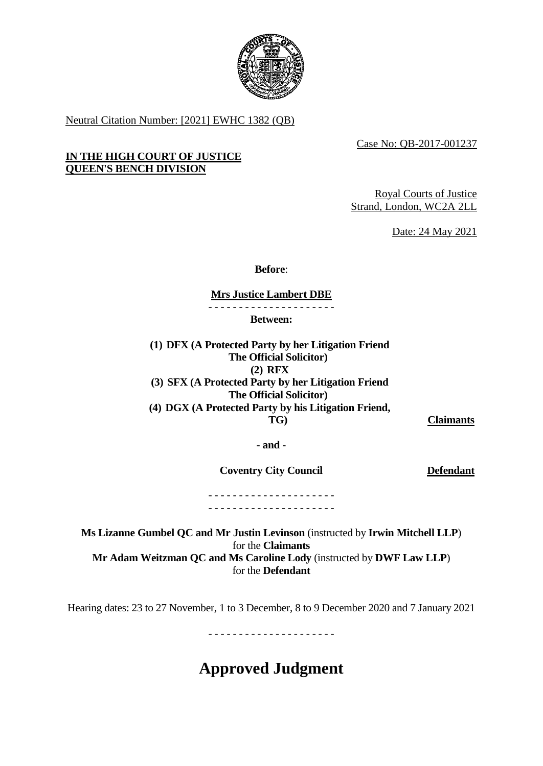

Neutral Citation Number: [2021] EWHC 1382 (QB)

Case No: QB-2017-001237

# **IN THE HIGH COURT OF JUSTICE QUEEN'S BENCH DIVISION**

Royal Courts of Justice Strand, London, WC2A 2LL

Date: 24 May 2021

**Before**:

**Mrs Justice Lambert DBE**

- - - - - - - - - - - - - - - - - - - - -

**Between:**

**(1) DFX (A Protected Party by her Litigation Friend The Official Solicitor) (2) RFX (3) SFX (A Protected Party by her Litigation Friend The Official Solicitor) (4) DGX (A Protected Party by his Litigation Friend, TG) Claimants**

**- and -**

**Coventry City Council Defendant** 

- - - - - - - - - - - - - - - - - - - - - - - - - - - - - - - - - - - - - - - - - -

**Ms Lizanne Gumbel QC and Mr Justin Levinson** (instructed by **Irwin Mitchell LLP**) for the **Claimants Mr Adam Weitzman QC and Ms Caroline Lody** (instructed by **DWF Law LLP**) for the **Defendant**

Hearing dates: 23 to 27 November, 1 to 3 December, 8 to 9 December 2020 and 7 January 2021

- - - - - - - - - - - - - - - - - - - - -

# **Approved Judgment**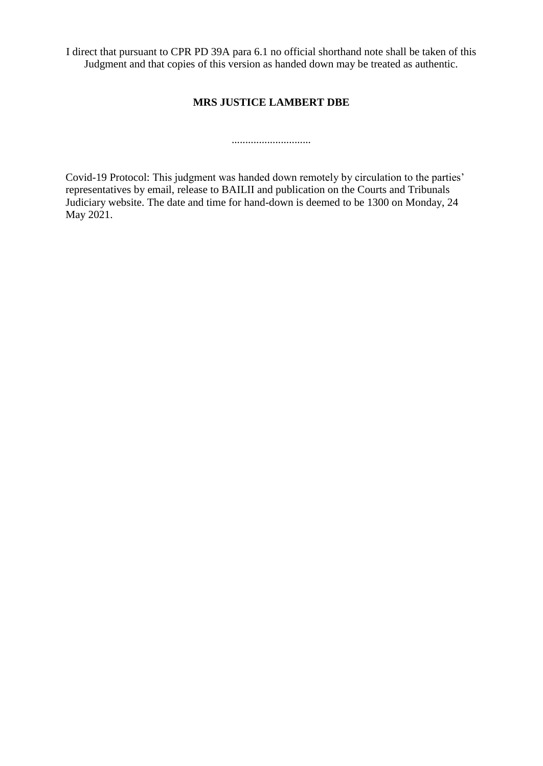I direct that pursuant to CPR PD 39A para 6.1 no official shorthand note shall be taken of this Judgment and that copies of this version as handed down may be treated as authentic.

# **MRS JUSTICE LAMBERT DBE**

.............................

Covid-19 Protocol: This judgment was handed down remotely by circulation to the parties' representatives by email, release to BAILII and publication on the Courts and Tribunals Judiciary website. The date and time for hand-down is deemed to be 1300 on Monday, 24 May 2021.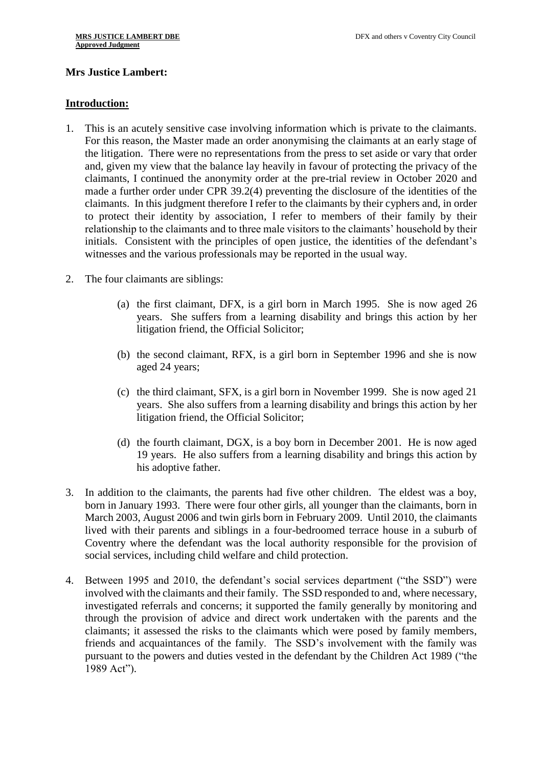# **Mrs Justice Lambert:**

#### **Introduction:**

- 1. This is an acutely sensitive case involving information which is private to the claimants. For this reason, the Master made an order anonymising the claimants at an early stage of the litigation. There were no representations from the press to set aside or vary that order and, given my view that the balance lay heavily in favour of protecting the privacy of the claimants, I continued the anonymity order at the pre-trial review in October 2020 and made a further order under CPR 39.2(4) preventing the disclosure of the identities of the claimants. In this judgment therefore I refer to the claimants by their cyphers and, in order to protect their identity by association, I refer to members of their family by their relationship to the claimants and to three male visitors to the claimants' household by their initials. Consistent with the principles of open justice, the identities of the defendant's witnesses and the various professionals may be reported in the usual way.
- 2. The four claimants are siblings:
	- (a) the first claimant, DFX, is a girl born in March 1995. She is now aged 26 years. She suffers from a learning disability and brings this action by her litigation friend, the Official Solicitor;
	- (b) the second claimant, RFX, is a girl born in September 1996 and she is now aged 24 years;
	- (c) the third claimant, SFX, is a girl born in November 1999. She is now aged 21 years. She also suffers from a learning disability and brings this action by her litigation friend, the Official Solicitor;
	- (d) the fourth claimant, DGX, is a boy born in December 2001. He is now aged 19 years. He also suffers from a learning disability and brings this action by his adoptive father.
- 3. In addition to the claimants, the parents had five other children. The eldest was a boy, born in January 1993. There were four other girls, all younger than the claimants, born in March 2003, August 2006 and twin girls born in February 2009. Until 2010, the claimants lived with their parents and siblings in a four-bedroomed terrace house in a suburb of Coventry where the defendant was the local authority responsible for the provision of social services, including child welfare and child protection.
- 4. Between 1995 and 2010, the defendant's social services department ("the SSD") were involved with the claimants and their family. The SSD responded to and, where necessary, investigated referrals and concerns; it supported the family generally by monitoring and through the provision of advice and direct work undertaken with the parents and the claimants; it assessed the risks to the claimants which were posed by family members, friends and acquaintances of the family. The SSD's involvement with the family was pursuant to the powers and duties vested in the defendant by the Children Act 1989 ("the 1989 Act").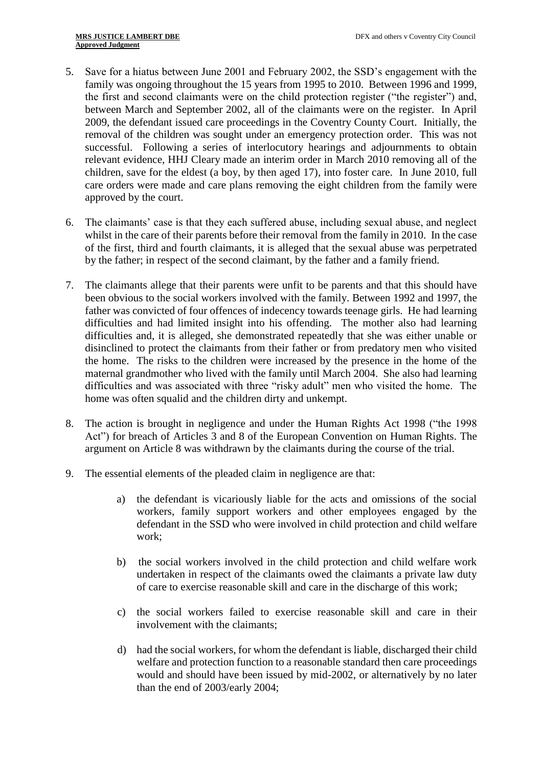- 5. Save for a hiatus between June 2001 and February 2002, the SSD's engagement with the family was ongoing throughout the 15 years from 1995 to 2010. Between 1996 and 1999, the first and second claimants were on the child protection register ("the register") and, between March and September 2002, all of the claimants were on the register. In April 2009, the defendant issued care proceedings in the Coventry County Court. Initially, the removal of the children was sought under an emergency protection order. This was not successful. Following a series of interlocutory hearings and adjournments to obtain relevant evidence, HHJ Cleary made an interim order in March 2010 removing all of the children, save for the eldest (a boy, by then aged 17), into foster care. In June 2010, full care orders were made and care plans removing the eight children from the family were approved by the court.
- 6. The claimants' case is that they each suffered abuse, including sexual abuse, and neglect whilst in the care of their parents before their removal from the family in 2010. In the case of the first, third and fourth claimants, it is alleged that the sexual abuse was perpetrated by the father; in respect of the second claimant, by the father and a family friend.
- 7. The claimants allege that their parents were unfit to be parents and that this should have been obvious to the social workers involved with the family. Between 1992 and 1997, the father was convicted of four offences of indecency towards teenage girls. He had learning difficulties and had limited insight into his offending. The mother also had learning difficulties and, it is alleged, she demonstrated repeatedly that she was either unable or disinclined to protect the claimants from their father or from predatory men who visited the home. The risks to the children were increased by the presence in the home of the maternal grandmother who lived with the family until March 2004. She also had learning difficulties and was associated with three "risky adult" men who visited the home. The home was often squalid and the children dirty and unkempt.
- 8. The action is brought in negligence and under the Human Rights Act 1998 ("the 1998 Act") for breach of Articles 3 and 8 of the European Convention on Human Rights. The argument on Article 8 was withdrawn by the claimants during the course of the trial.
- 9. The essential elements of the pleaded claim in negligence are that:
	- a) the defendant is vicariously liable for the acts and omissions of the social workers, family support workers and other employees engaged by the defendant in the SSD who were involved in child protection and child welfare work;
	- b) the social workers involved in the child protection and child welfare work undertaken in respect of the claimants owed the claimants a private law duty of care to exercise reasonable skill and care in the discharge of this work;
	- c) the social workers failed to exercise reasonable skill and care in their involvement with the claimants;
	- d) had the social workers, for whom the defendant is liable, discharged their child welfare and protection function to a reasonable standard then care proceedings would and should have been issued by mid-2002, or alternatively by no later than the end of 2003/early 2004;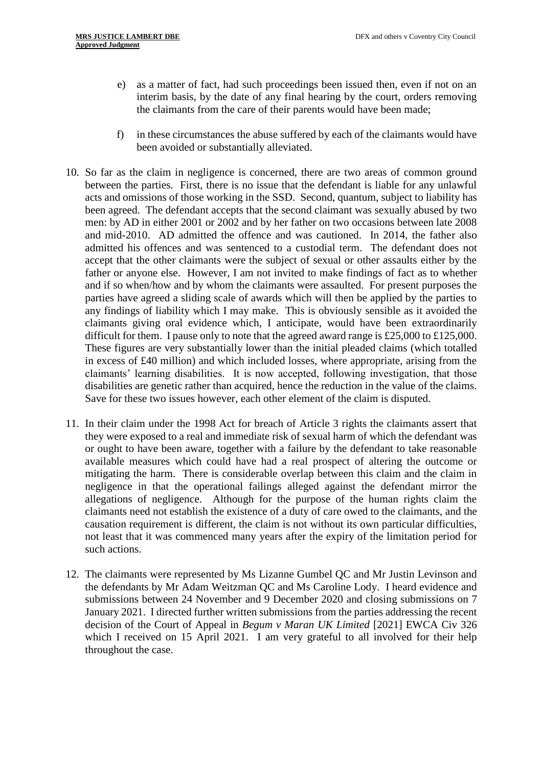- e) as a matter of fact, had such proceedings been issued then, even if not on an interim basis, by the date of any final hearing by the court, orders removing the claimants from the care of their parents would have been made;
- f) in these circumstances the abuse suffered by each of the claimants would have been avoided or substantially alleviated.
- 10. So far as the claim in negligence is concerned, there are two areas of common ground between the parties. First, there is no issue that the defendant is liable for any unlawful acts and omissions of those working in the SSD. Second, quantum, subject to liability has been agreed. The defendant accepts that the second claimant was sexually abused by two men: by AD in either 2001 or 2002 and by her father on two occasions between late 2008 and mid-2010. AD admitted the offence and was cautioned. In 2014, the father also admitted his offences and was sentenced to a custodial term. The defendant does not accept that the other claimants were the subject of sexual or other assaults either by the father or anyone else. However, I am not invited to make findings of fact as to whether and if so when/how and by whom the claimants were assaulted. For present purposes the parties have agreed a sliding scale of awards which will then be applied by the parties to any findings of liability which I may make. This is obviously sensible as it avoided the claimants giving oral evidence which, I anticipate, would have been extraordinarily difficult for them. I pause only to note that the agreed award range is £25,000 to £125,000. These figures are very substantially lower than the initial pleaded claims (which totalled in excess of £40 million) and which included losses, where appropriate, arising from the claimants' learning disabilities. It is now accepted, following investigation, that those disabilities are genetic rather than acquired, hence the reduction in the value of the claims. Save for these two issues however, each other element of the claim is disputed.
- 11. In their claim under the 1998 Act for breach of Article 3 rights the claimants assert that they were exposed to a real and immediate risk of sexual harm of which the defendant was or ought to have been aware, together with a failure by the defendant to take reasonable available measures which could have had a real prospect of altering the outcome or mitigating the harm. There is considerable overlap between this claim and the claim in negligence in that the operational failings alleged against the defendant mirror the allegations of negligence. Although for the purpose of the human rights claim the claimants need not establish the existence of a duty of care owed to the claimants, and the causation requirement is different, the claim is not without its own particular difficulties, not least that it was commenced many years after the expiry of the limitation period for such actions.
- 12. The claimants were represented by Ms Lizanne Gumbel QC and Mr Justin Levinson and the defendants by Mr Adam Weitzman QC and Ms Caroline Lody. I heard evidence and submissions between 24 November and 9 December 2020 and closing submissions on 7 January 2021. I directed further written submissions from the parties addressing the recent decision of the Court of Appeal in *Begum v Maran UK Limited* [2021] EWCA Civ 326 which I received on 15 April 2021. I am very grateful to all involved for their help throughout the case.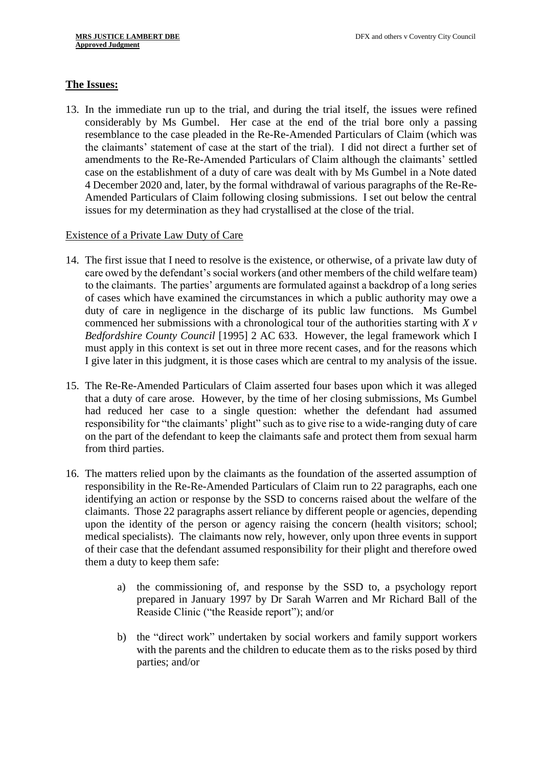# **The Issues:**

13. In the immediate run up to the trial, and during the trial itself, the issues were refined considerably by Ms Gumbel. Her case at the end of the trial bore only a passing resemblance to the case pleaded in the Re-Re-Amended Particulars of Claim (which was the claimants' statement of case at the start of the trial). I did not direct a further set of amendments to the Re-Re-Amended Particulars of Claim although the claimants' settled case on the establishment of a duty of care was dealt with by Ms Gumbel in a Note dated 4 December 2020 and, later, by the formal withdrawal of various paragraphs of the Re-Re-Amended Particulars of Claim following closing submissions. I set out below the central issues for my determination as they had crystallised at the close of the trial.

# Existence of a Private Law Duty of Care

- 14. The first issue that I need to resolve is the existence, or otherwise, of a private law duty of care owed by the defendant's social workers (and other members of the child welfare team) to the claimants. The parties' arguments are formulated against a backdrop of a long series of cases which have examined the circumstances in which a public authority may owe a duty of care in negligence in the discharge of its public law functions. Ms Gumbel commenced her submissions with a chronological tour of the authorities starting with *X v Bedfordshire County Council* [1995] 2 AC 633. However, the legal framework which I must apply in this context is set out in three more recent cases, and for the reasons which I give later in this judgment, it is those cases which are central to my analysis of the issue.
- 15. The Re-Re-Amended Particulars of Claim asserted four bases upon which it was alleged that a duty of care arose. However, by the time of her closing submissions, Ms Gumbel had reduced her case to a single question: whether the defendant had assumed responsibility for "the claimants' plight" such as to give rise to a wide-ranging duty of care on the part of the defendant to keep the claimants safe and protect them from sexual harm from third parties.
- 16. The matters relied upon by the claimants as the foundation of the asserted assumption of responsibility in the Re-Re-Amended Particulars of Claim run to 22 paragraphs, each one identifying an action or response by the SSD to concerns raised about the welfare of the claimants. Those 22 paragraphs assert reliance by different people or agencies, depending upon the identity of the person or agency raising the concern (health visitors; school; medical specialists). The claimants now rely, however, only upon three events in support of their case that the defendant assumed responsibility for their plight and therefore owed them a duty to keep them safe:
	- a) the commissioning of, and response by the SSD to, a psychology report prepared in January 1997 by Dr Sarah Warren and Mr Richard Ball of the Reaside Clinic ("the Reaside report"); and/or
	- b) the "direct work" undertaken by social workers and family support workers with the parents and the children to educate them as to the risks posed by third parties; and/or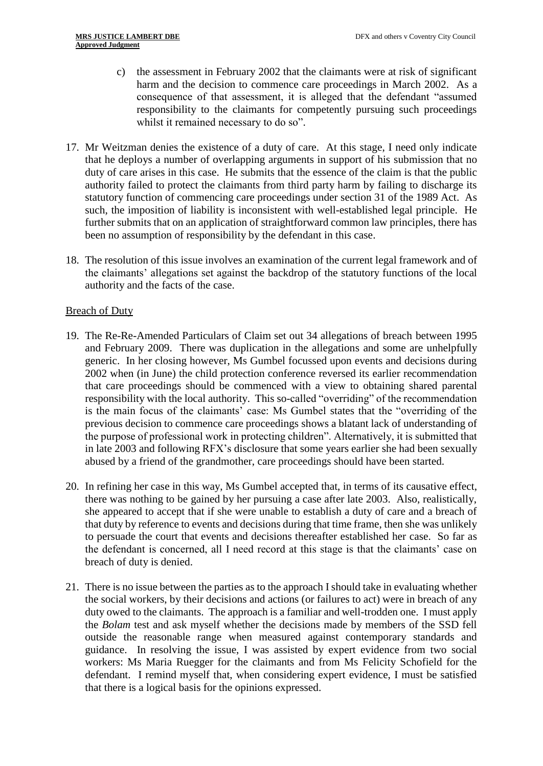- c) the assessment in February 2002 that the claimants were at risk of significant harm and the decision to commence care proceedings in March 2002. As a consequence of that assessment, it is alleged that the defendant "assumed responsibility to the claimants for competently pursuing such proceedings whilst it remained necessary to do so".
- 17. Mr Weitzman denies the existence of a duty of care. At this stage, I need only indicate that he deploys a number of overlapping arguments in support of his submission that no duty of care arises in this case. He submits that the essence of the claim is that the public authority failed to protect the claimants from third party harm by failing to discharge its statutory function of commencing care proceedings under section 31 of the 1989 Act. As such, the imposition of liability is inconsistent with well-established legal principle. He further submits that on an application of straightforward common law principles, there has been no assumption of responsibility by the defendant in this case.
- 18. The resolution of this issue involves an examination of the current legal framework and of the claimants' allegations set against the backdrop of the statutory functions of the local authority and the facts of the case.

# **Breach of Duty**

- 19. The Re-Re-Amended Particulars of Claim set out 34 allegations of breach between 1995 and February 2009. There was duplication in the allegations and some are unhelpfully generic. In her closing however, Ms Gumbel focussed upon events and decisions during 2002 when (in June) the child protection conference reversed its earlier recommendation that care proceedings should be commenced with a view to obtaining shared parental responsibility with the local authority. This so-called "overriding" of the recommendation is the main focus of the claimants' case: Ms Gumbel states that the "overriding of the previous decision to commence care proceedings shows a blatant lack of understanding of the purpose of professional work in protecting children". Alternatively, it is submitted that in late 2003 and following RFX's disclosure that some years earlier she had been sexually abused by a friend of the grandmother, care proceedings should have been started.
- 20. In refining her case in this way, Ms Gumbel accepted that, in terms of its causative effect, there was nothing to be gained by her pursuing a case after late 2003. Also, realistically, she appeared to accept that if she were unable to establish a duty of care and a breach of that duty by reference to events and decisions during that time frame, then she was unlikely to persuade the court that events and decisions thereafter established her case. So far as the defendant is concerned, all I need record at this stage is that the claimants' case on breach of duty is denied.
- 21. There is no issue between the parties as to the approach I should take in evaluating whether the social workers, by their decisions and actions (or failures to act) were in breach of any duty owed to the claimants. The approach is a familiar and well-trodden one. I must apply the *Bolam* test and ask myself whether the decisions made by members of the SSD fell outside the reasonable range when measured against contemporary standards and guidance. In resolving the issue, I was assisted by expert evidence from two social workers: Ms Maria Ruegger for the claimants and from Ms Felicity Schofield for the defendant. I remind myself that, when considering expert evidence, I must be satisfied that there is a logical basis for the opinions expressed.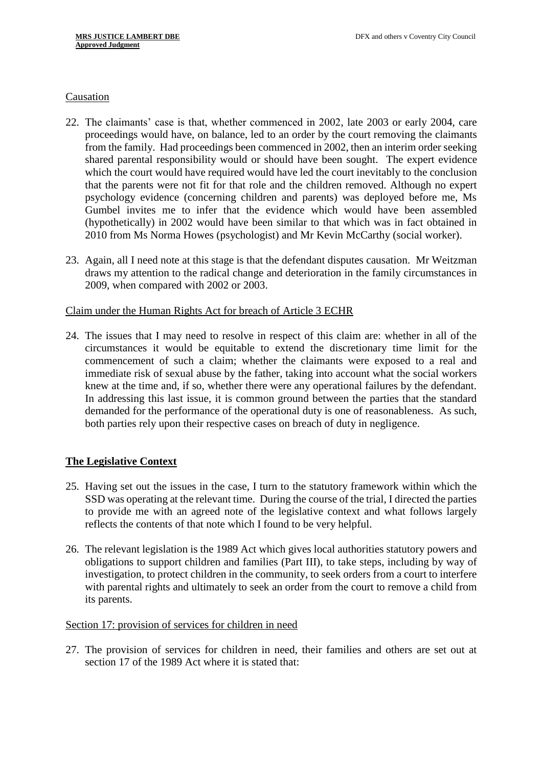#### Causation

- 22. The claimants' case is that, whether commenced in 2002, late 2003 or early 2004, care proceedings would have, on balance, led to an order by the court removing the claimants from the family. Had proceedings been commenced in 2002, then an interim order seeking shared parental responsibility would or should have been sought. The expert evidence which the court would have required would have led the court inevitably to the conclusion that the parents were not fit for that role and the children removed. Although no expert psychology evidence (concerning children and parents) was deployed before me, Ms Gumbel invites me to infer that the evidence which would have been assembled (hypothetically) in 2002 would have been similar to that which was in fact obtained in 2010 from Ms Norma Howes (psychologist) and Mr Kevin McCarthy (social worker).
- 23. Again, all I need note at this stage is that the defendant disputes causation. Mr Weitzman draws my attention to the radical change and deterioration in the family circumstances in 2009, when compared with 2002 or 2003.

#### Claim under the Human Rights Act for breach of Article 3 ECHR

24. The issues that I may need to resolve in respect of this claim are: whether in all of the circumstances it would be equitable to extend the discretionary time limit for the commencement of such a claim; whether the claimants were exposed to a real and immediate risk of sexual abuse by the father, taking into account what the social workers knew at the time and, if so, whether there were any operational failures by the defendant. In addressing this last issue, it is common ground between the parties that the standard demanded for the performance of the operational duty is one of reasonableness. As such, both parties rely upon their respective cases on breach of duty in negligence.

# **The Legislative Context**

- 25. Having set out the issues in the case, I turn to the statutory framework within which the SSD was operating at the relevant time. During the course of the trial, I directed the parties to provide me with an agreed note of the legislative context and what follows largely reflects the contents of that note which I found to be very helpful.
- 26. The relevant legislation is the 1989 Act which gives local authorities statutory powers and obligations to support children and families (Part III), to take steps, including by way of investigation, to protect children in the community, to seek orders from a court to interfere with parental rights and ultimately to seek an order from the court to remove a child from its parents.

# Section 17: provision of services for children in need

27. The provision of services for children in need, their families and others are set out at section 17 of the 1989 Act where it is stated that: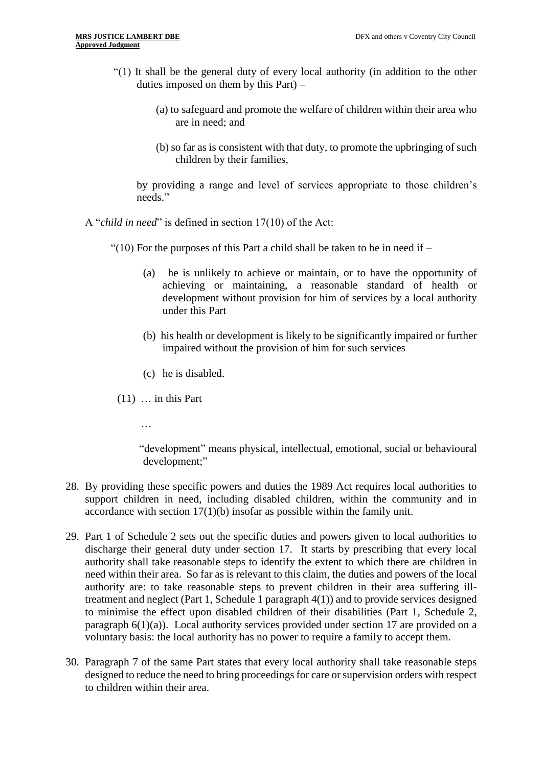- "(1) It shall be the general duty of every local authority (in addition to the other duties imposed on them by this Part) –
	- (a) to safeguard and promote the welfare of children within their area who are in need; and
	- (b) so far as is consistent with that duty, to promote the upbringing of such children by their families,

by providing a range and level of services appropriate to those children's needs."

A "*child in need*" is defined in section 17(10) of the Act:

"(10) For the purposes of this Part a child shall be taken to be in need if  $-$ 

- (a) he is unlikely to achieve or maintain, or to have the opportunity of achieving or maintaining, a reasonable standard of health or development without provision for him of services by a local authority under this Part
- (b) his health or development is likely to be significantly impaired or further impaired without the provision of him for such services
- (c) he is disabled.
- $(11)$  ... in this Part
	- …

"development" means physical, intellectual, emotional, social or behavioural development;"

- 28. By providing these specific powers and duties the 1989 Act requires local authorities to support children in need, including disabled children, within the community and in accordance with section 17(1)(b) insofar as possible within the family unit.
- 29. Part 1 of Schedule 2 sets out the specific duties and powers given to local authorities to discharge their general duty under section 17. It starts by prescribing that every local authority shall take reasonable steps to identify the extent to which there are children in need within their area. So far as is relevant to this claim, the duties and powers of the local authority are: to take reasonable steps to prevent children in their area suffering illtreatment and neglect (Part 1, Schedule 1 paragraph 4(1)) and to provide services designed to minimise the effect upon disabled children of their disabilities (Part 1, Schedule 2, paragraph  $6(1)(a)$ ). Local authority services provided under section 17 are provided on a voluntary basis: the local authority has no power to require a family to accept them.
- 30. Paragraph 7 of the same Part states that every local authority shall take reasonable steps designed to reduce the need to bring proceedings for care or supervision orders with respect to children within their area.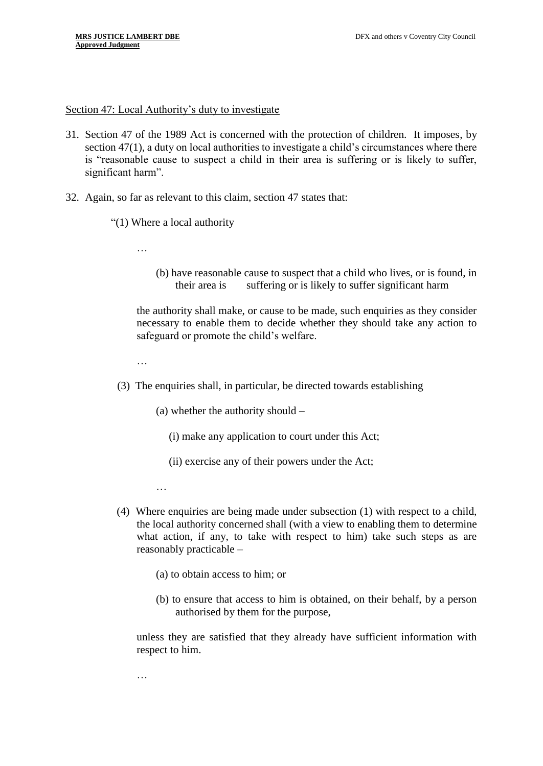Section 47: Local Authority's duty to investigate

- 31. Section 47 of the 1989 Act is concerned with the protection of children. It imposes, by section 47(1), a duty on local authorities to investigate a child's circumstances where there is "reasonable cause to suspect a child in their area is suffering or is likely to suffer, significant harm".
- 32. Again, so far as relevant to this claim, section 47 states that:
	- "(1) Where a local authority

…

(b) have reasonable cause to suspect that a child who lives, or is found, in their area is suffering or is likely to suffer significant harm

the authority shall make, or cause to be made, such enquiries as they consider necessary to enable them to decide whether they should take any action to safeguard or promote the child's welfare.

…

- (3) The enquiries shall, in particular, be directed towards establishing
	- (a) whether the authority should **–**
		- (i) make any application to court under this Act;
		- (ii) exercise any of their powers under the Act;

…

- (4) Where enquiries are being made under subsection (1) with respect to a child, the local authority concerned shall (with a view to enabling them to determine what action, if any, to take with respect to him) take such steps as are reasonably practicable –
	- (a) to obtain access to him; or
	- (b) to ensure that access to him is obtained, on their behalf, by a person authorised by them for the purpose,

unless they are satisfied that they already have sufficient information with respect to him.

…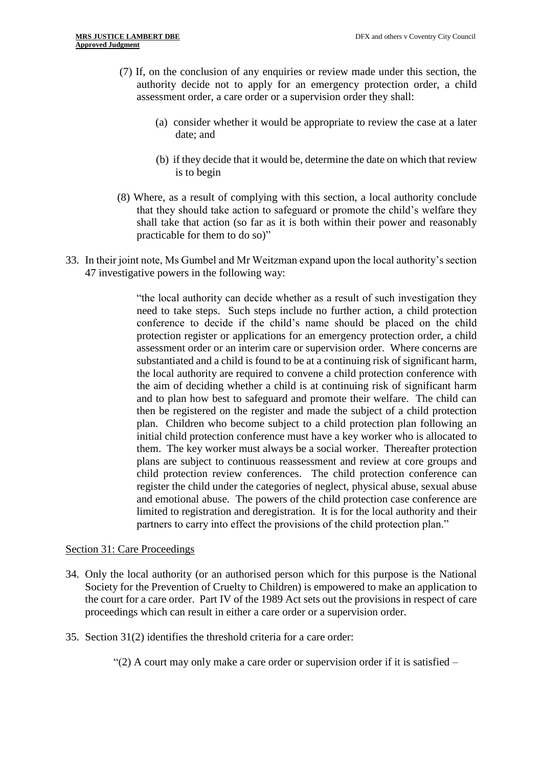- (7) If, on the conclusion of any enquiries or review made under this section, the authority decide not to apply for an emergency protection order, a child assessment order, a care order or a supervision order they shall:
	- (a) consider whether it would be appropriate to review the case at a later date; and
	- (b) if they decide that it would be, determine the date on which that review is to begin
- (8) Where, as a result of complying with this section, a local authority conclude that they should take action to safeguard or promote the child's welfare they shall take that action (so far as it is both within their power and reasonably practicable for them to do so)"
- 33. In their joint note, Ms Gumbel and Mr Weitzman expand upon the local authority's section 47 investigative powers in the following way:

"the local authority can decide whether as a result of such investigation they need to take steps. Such steps include no further action, a child protection conference to decide if the child's name should be placed on the child protection register or applications for an emergency protection order, a child assessment order or an interim care or supervision order. Where concerns are substantiated and a child is found to be at a continuing risk of significant harm, the local authority are required to convene a child protection conference with the aim of deciding whether a child is at continuing risk of significant harm and to plan how best to safeguard and promote their welfare. The child can then be registered on the register and made the subject of a child protection plan. Children who become subject to a child protection plan following an initial child protection conference must have a key worker who is allocated to them. The key worker must always be a social worker. Thereafter protection plans are subject to continuous reassessment and review at core groups and child protection review conferences. The child protection conference can register the child under the categories of neglect, physical abuse, sexual abuse and emotional abuse. The powers of the child protection case conference are limited to registration and deregistration. It is for the local authority and their partners to carry into effect the provisions of the child protection plan."

# Section 31: Care Proceedings

- 34. Only the local authority (or an authorised person which for this purpose is the National Society for the Prevention of Cruelty to Children) is empowered to make an application to the court for a care order. Part IV of the 1989 Act sets out the provisions in respect of care proceedings which can result in either a care order or a supervision order.
- 35. Section 31(2) identifies the threshold criteria for a care order:

"(2) A court may only make a care order or supervision order if it is satisfied –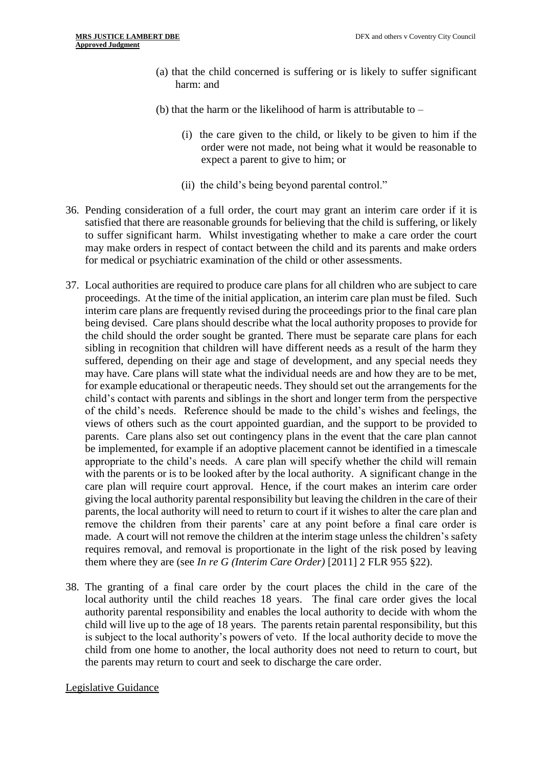- (a) that the child concerned is suffering or is likely to suffer significant harm: and
- (b) that the harm or the likelihood of harm is attributable to  $-$ 
	- (i) the care given to the child, or likely to be given to him if the order were not made, not being what it would be reasonable to expect a parent to give to him; or
	- (ii) the child's being beyond parental control."
- 36. Pending consideration of a full order, the court may grant an interim care order if it is satisfied that there are reasonable grounds for believing that the child is suffering, or likely to suffer significant harm. Whilst investigating whether to make a care order the court may make orders in respect of contact between the child and its parents and make orders for medical or psychiatric examination of the child or other assessments.
- 37. Local authorities are required to produce care plans for all children who are subject to care proceedings. At the time of the initial application, an interim care plan must be filed. Such interim care plans are frequently revised during the proceedings prior to the final care plan being devised. Care plans should describe what the local authority proposes to provide for the child should the order sought be granted. There must be separate care plans for each sibling in recognition that children will have different needs as a result of the harm they suffered, depending on their age and stage of development, and any special needs they may have. Care plans will state what the individual needs are and how they are to be met, for example educational or therapeutic needs. They should set out the arrangements for the child's contact with parents and siblings in the short and longer term from the perspective of the child's needs. Reference should be made to the child's wishes and feelings, the views of others such as the court appointed guardian, and the support to be provided to parents. Care plans also set out contingency plans in the event that the care plan cannot be implemented, for example if an adoptive placement cannot be identified in a timescale appropriate to the child's needs. A care plan will specify whether the child will remain with the parents or is to be looked after by the local authority. A significant change in the care plan will require court approval. Hence, if the court makes an interim care order giving the local authority parental responsibility but leaving the children in the care of their parents, the local authority will need to return to court if it wishes to alter the care plan and remove the children from their parents' care at any point before a final care order is made. A court will not remove the children at the interim stage unless the children's safety requires removal, and removal is proportionate in the light of the risk posed by leaving them where they are (see *In re G (Interim Care Order)* [2011] 2 FLR 955 §22).
- 38. The granting of a final care order by the court places the child in the care of the local authority until the child reaches 18 years. The final care order gives the local authority parental responsibility and enables the local authority to decide with whom the child will live up to the age of 18 years. The parents retain parental responsibility, but this is subject to the local authority's powers of veto. If the local authority decide to move the child from one home to another, the local authority does not need to return to court, but the parents may return to court and seek to discharge the care order.

# Legislative Guidance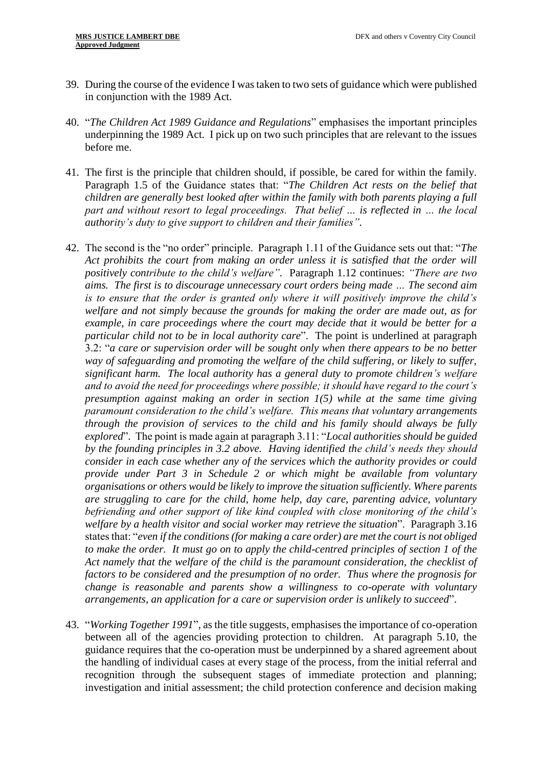- 39. During the course of the evidence I was taken to two sets of guidance which were published in conjunction with the 1989 Act.
- 40. "*The Children Act 1989 Guidance and Regulations*" emphasises the important principles underpinning the 1989 Act. I pick up on two such principles that are relevant to the issues before me.
- 41. The first is the principle that children should, if possible, be cared for within the family. Paragraph 1.5 of the Guidance states that: "*The Children Act rests on the belief that children are generally best looked after within the family with both parents playing a full part and without resort to legal proceedings. That belief … is reflected in … the local authority's duty to give support to children and their families".*
- 42. The second is the "no order" principle. Paragraph 1.11 of the Guidance sets out that: "*The Act prohibits the court from making an order unless it is satisfied that the order will positively contribute to the child's welfare".* Paragraph 1.12 continues: *"There are two aims. The first is to discourage unnecessary court orders being made … The second aim is to ensure that the order is granted only where it will positively improve the child's welfare and not simply because the grounds for making the order are made out, as for example, in care proceedings where the court may decide that it would be better for a particular child not to be in local authority care*". The point is underlined at paragraph 3.2: "*a care or supervision order will be sought only when there appears to be no better way of safeguarding and promoting the welfare of the child suffering, or likely to suffer, significant harm. The local authority has a general duty to promote children's welfare and to avoid the need for proceedings where possible; it should have regard to the court's presumption against making an order in section 1(5) while at the same time giving paramount consideration to the child's welfare. This means that voluntary arrangements through the provision of services to the child and his family should always be fully explored*". The point is made again at paragraph 3.11: "*Local authorities should be guided by the founding principles in 3.2 above. Having identified the child's needs they should consider in each case whether any of the services which the authority provides or could provide under Part 3 in Schedule 2 or which might be available from voluntary organisations or others would be likely to improve the situation sufficiently. Where parents are struggling to care for the child, home help, day care, parenting advice, voluntary befriending and other support of like kind coupled with close monitoring of the child's welfare by a health visitor and social worker may retrieve the situation*". Paragraph 3.16 states that: "*even if the conditions (for making a care order) are met the court is not obliged to make the order. It must go on to apply the child-centred principles of section 1 of the Act namely that the welfare of the child is the paramount consideration, the checklist of factors to be considered and the presumption of no order. Thus where the prognosis for change is reasonable and parents show a willingness to co-operate with voluntary arrangements, an application for a care or supervision order is unlikely to succeed*".
- 43. "*Working Together 1991*", as the title suggests, emphasises the importance of co-operation between all of the agencies providing protection to children. At paragraph 5.10, the guidance requires that the co-operation must be underpinned by a shared agreement about the handling of individual cases at every stage of the process, from the initial referral and recognition through the subsequent stages of immediate protection and planning; investigation and initial assessment; the child protection conference and decision making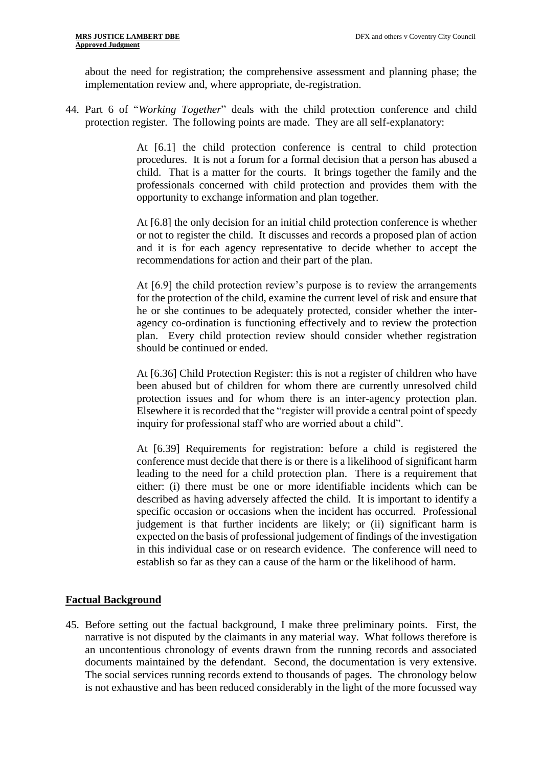about the need for registration; the comprehensive assessment and planning phase; the implementation review and, where appropriate, de-registration.

44. Part 6 of "*Working Together*" deals with the child protection conference and child protection register. The following points are made. They are all self-explanatory:

> At [6.1] the child protection conference is central to child protection procedures. It is not a forum for a formal decision that a person has abused a child. That is a matter for the courts. It brings together the family and the professionals concerned with child protection and provides them with the opportunity to exchange information and plan together.

> At [6.8] the only decision for an initial child protection conference is whether or not to register the child. It discusses and records a proposed plan of action and it is for each agency representative to decide whether to accept the recommendations for action and their part of the plan.

> At [6.9] the child protection review's purpose is to review the arrangements for the protection of the child, examine the current level of risk and ensure that he or she continues to be adequately protected, consider whether the interagency co-ordination is functioning effectively and to review the protection plan. Every child protection review should consider whether registration should be continued or ended.

> At [6.36] Child Protection Register: this is not a register of children who have been abused but of children for whom there are currently unresolved child protection issues and for whom there is an inter-agency protection plan. Elsewhere it is recorded that the "register will provide a central point of speedy inquiry for professional staff who are worried about a child".

> At [6.39] Requirements for registration: before a child is registered the conference must decide that there is or there is a likelihood of significant harm leading to the need for a child protection plan. There is a requirement that either: (i) there must be one or more identifiable incidents which can be described as having adversely affected the child. It is important to identify a specific occasion or occasions when the incident has occurred. Professional judgement is that further incidents are likely; or (ii) significant harm is expected on the basis of professional judgement of findings of the investigation in this individual case or on research evidence. The conference will need to establish so far as they can a cause of the harm or the likelihood of harm.

# **Factual Background**

45. Before setting out the factual background, I make three preliminary points. First, the narrative is not disputed by the claimants in any material way. What follows therefore is an uncontentious chronology of events drawn from the running records and associated documents maintained by the defendant. Second, the documentation is very extensive. The social services running records extend to thousands of pages. The chronology below is not exhaustive and has been reduced considerably in the light of the more focussed way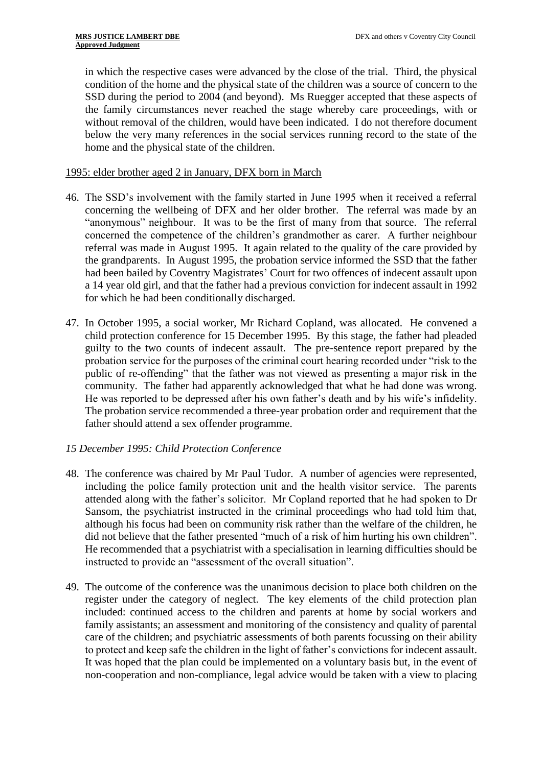in which the respective cases were advanced by the close of the trial. Third, the physical condition of the home and the physical state of the children was a source of concern to the SSD during the period to 2004 (and beyond). Ms Ruegger accepted that these aspects of the family circumstances never reached the stage whereby care proceedings, with or without removal of the children, would have been indicated. I do not therefore document below the very many references in the social services running record to the state of the home and the physical state of the children.

# 1995: elder brother aged 2 in January, DFX born in March

- 46. The SSD's involvement with the family started in June 1995 when it received a referral concerning the wellbeing of DFX and her older brother. The referral was made by an "anonymous" neighbour. It was to be the first of many from that source. The referral concerned the competence of the children's grandmother as carer. A further neighbour referral was made in August 1995. It again related to the quality of the care provided by the grandparents. In August 1995, the probation service informed the SSD that the father had been bailed by Coventry Magistrates' Court for two offences of indecent assault upon a 14 year old girl, and that the father had a previous conviction for indecent assault in 1992 for which he had been conditionally discharged.
- 47. In October 1995, a social worker, Mr Richard Copland, was allocated. He convened a child protection conference for 15 December 1995. By this stage, the father had pleaded guilty to the two counts of indecent assault. The pre-sentence report prepared by the probation service for the purposes of the criminal court hearing recorded under "risk to the public of re-offending" that the father was not viewed as presenting a major risk in the community. The father had apparently acknowledged that what he had done was wrong. He was reported to be depressed after his own father's death and by his wife's infidelity. The probation service recommended a three-year probation order and requirement that the father should attend a sex offender programme.

# *15 December 1995: Child Protection Conference*

- 48. The conference was chaired by Mr Paul Tudor. A number of agencies were represented, including the police family protection unit and the health visitor service. The parents attended along with the father's solicitor. Mr Copland reported that he had spoken to Dr Sansom, the psychiatrist instructed in the criminal proceedings who had told him that, although his focus had been on community risk rather than the welfare of the children, he did not believe that the father presented "much of a risk of him hurting his own children". He recommended that a psychiatrist with a specialisation in learning difficulties should be instructed to provide an "assessment of the overall situation".
- 49. The outcome of the conference was the unanimous decision to place both children on the register under the category of neglect. The key elements of the child protection plan included: continued access to the children and parents at home by social workers and family assistants; an assessment and monitoring of the consistency and quality of parental care of the children; and psychiatric assessments of both parents focussing on their ability to protect and keep safe the children in the light of father's convictions for indecent assault. It was hoped that the plan could be implemented on a voluntary basis but, in the event of non-cooperation and non-compliance, legal advice would be taken with a view to placing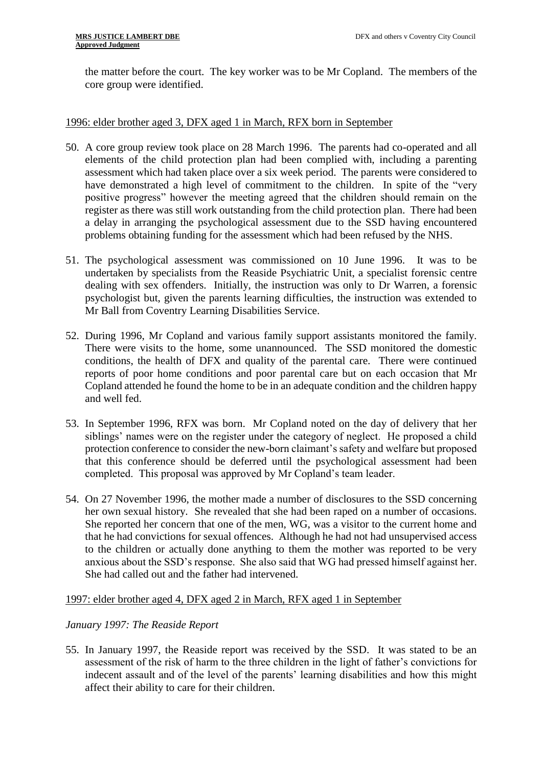the matter before the court. The key worker was to be Mr Copland. The members of the core group were identified.

# 1996: elder brother aged 3, DFX aged 1 in March, RFX born in September

- 50. A core group review took place on 28 March 1996. The parents had co-operated and all elements of the child protection plan had been complied with, including a parenting assessment which had taken place over a six week period. The parents were considered to have demonstrated a high level of commitment to the children. In spite of the "very positive progress" however the meeting agreed that the children should remain on the register as there was still work outstanding from the child protection plan. There had been a delay in arranging the psychological assessment due to the SSD having encountered problems obtaining funding for the assessment which had been refused by the NHS.
- 51. The psychological assessment was commissioned on 10 June 1996. It was to be undertaken by specialists from the Reaside Psychiatric Unit, a specialist forensic centre dealing with sex offenders. Initially, the instruction was only to Dr Warren, a forensic psychologist but, given the parents learning difficulties, the instruction was extended to Mr Ball from Coventry Learning Disabilities Service.
- 52. During 1996, Mr Copland and various family support assistants monitored the family. There were visits to the home, some unannounced. The SSD monitored the domestic conditions, the health of DFX and quality of the parental care. There were continued reports of poor home conditions and poor parental care but on each occasion that Mr Copland attended he found the home to be in an adequate condition and the children happy and well fed.
- 53. In September 1996, RFX was born. Mr Copland noted on the day of delivery that her siblings' names were on the register under the category of neglect. He proposed a child protection conference to consider the new-born claimant's safety and welfare but proposed that this conference should be deferred until the psychological assessment had been completed. This proposal was approved by Mr Copland's team leader.
- 54. On 27 November 1996, the mother made a number of disclosures to the SSD concerning her own sexual history. She revealed that she had been raped on a number of occasions. She reported her concern that one of the men, WG, was a visitor to the current home and that he had convictions for sexual offences. Although he had not had unsupervised access to the children or actually done anything to them the mother was reported to be very anxious about the SSD's response. She also said that WG had pressed himself against her. She had called out and the father had intervened.

# 1997: elder brother aged 4, DFX aged 2 in March, RFX aged 1 in September

# *January 1997: The Reaside Report*

55. In January 1997, the Reaside report was received by the SSD. It was stated to be an assessment of the risk of harm to the three children in the light of father's convictions for indecent assault and of the level of the parents' learning disabilities and how this might affect their ability to care for their children.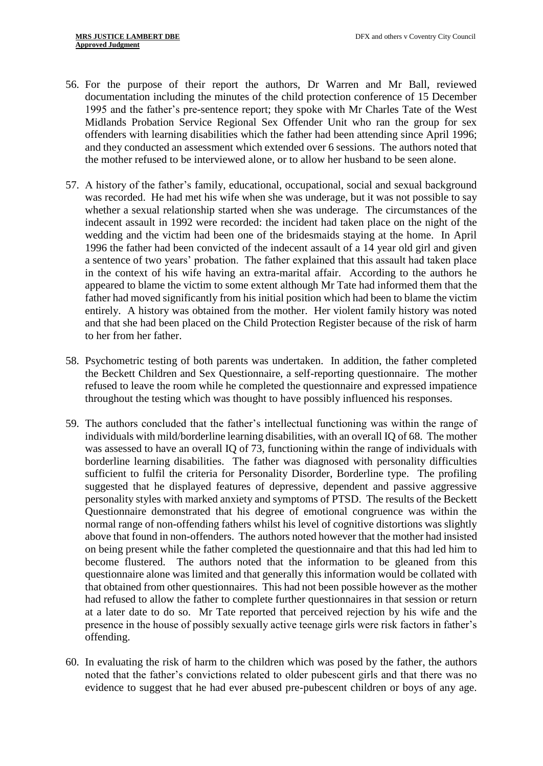- 56. For the purpose of their report the authors, Dr Warren and Mr Ball, reviewed documentation including the minutes of the child protection conference of 15 December 1995 and the father's pre-sentence report; they spoke with Mr Charles Tate of the West Midlands Probation Service Regional Sex Offender Unit who ran the group for sex offenders with learning disabilities which the father had been attending since April 1996; and they conducted an assessment which extended over 6 sessions. The authors noted that the mother refused to be interviewed alone, or to allow her husband to be seen alone.
- 57. A history of the father's family, educational, occupational, social and sexual background was recorded. He had met his wife when she was underage, but it was not possible to say whether a sexual relationship started when she was underage. The circumstances of the indecent assault in 1992 were recorded: the incident had taken place on the night of the wedding and the victim had been one of the bridesmaids staying at the home. In April 1996 the father had been convicted of the indecent assault of a 14 year old girl and given a sentence of two years' probation. The father explained that this assault had taken place in the context of his wife having an extra-marital affair. According to the authors he appeared to blame the victim to some extent although Mr Tate had informed them that the father had moved significantly from his initial position which had been to blame the victim entirely. A history was obtained from the mother. Her violent family history was noted and that she had been placed on the Child Protection Register because of the risk of harm to her from her father.
- 58. Psychometric testing of both parents was undertaken. In addition, the father completed the Beckett Children and Sex Questionnaire, a self-reporting questionnaire. The mother refused to leave the room while he completed the questionnaire and expressed impatience throughout the testing which was thought to have possibly influenced his responses.
- 59. The authors concluded that the father's intellectual functioning was within the range of individuals with mild/borderline learning disabilities, with an overall IQ of 68. The mother was assessed to have an overall IQ of 73, functioning within the range of individuals with borderline learning disabilities. The father was diagnosed with personality difficulties sufficient to fulfil the criteria for Personality Disorder, Borderline type. The profiling suggested that he displayed features of depressive, dependent and passive aggressive personality styles with marked anxiety and symptoms of PTSD. The results of the Beckett Questionnaire demonstrated that his degree of emotional congruence was within the normal range of non-offending fathers whilst his level of cognitive distortions was slightly above that found in non-offenders. The authors noted however that the mother had insisted on being present while the father completed the questionnaire and that this had led him to become flustered. The authors noted that the information to be gleaned from this questionnaire alone was limited and that generally this information would be collated with that obtained from other questionnaires. This had not been possible however as the mother had refused to allow the father to complete further questionnaires in that session or return at a later date to do so. Mr Tate reported that perceived rejection by his wife and the presence in the house of possibly sexually active teenage girls were risk factors in father's offending.
- 60. In evaluating the risk of harm to the children which was posed by the father, the authors noted that the father's convictions related to older pubescent girls and that there was no evidence to suggest that he had ever abused pre-pubescent children or boys of any age.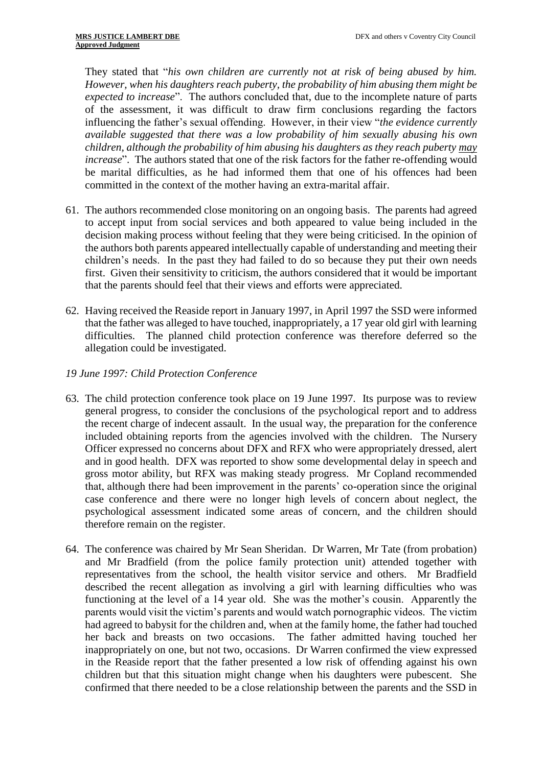They stated that "*his own children are currently not at risk of being abused by him. However, when his daughters reach puberty, the probability of him abusing them might be expected to increase*". The authors concluded that, due to the incomplete nature of parts of the assessment, it was difficult to draw firm conclusions regarding the factors influencing the father's sexual offending. However, in their view "*the evidence currently available suggested that there was a low probability of him sexually abusing his own children, although the probability of him abusing his daughters as they reach puberty may increase*". The authors stated that one of the risk factors for the father re-offending would be marital difficulties, as he had informed them that one of his offences had been committed in the context of the mother having an extra-marital affair.

- 61. The authors recommended close monitoring on an ongoing basis. The parents had agreed to accept input from social services and both appeared to value being included in the decision making process without feeling that they were being criticised. In the opinion of the authors both parents appeared intellectually capable of understanding and meeting their children's needs. In the past they had failed to do so because they put their own needs first. Given their sensitivity to criticism, the authors considered that it would be important that the parents should feel that their views and efforts were appreciated.
- 62. Having received the Reaside report in January 1997, in April 1997 the SSD were informed that the father was alleged to have touched, inappropriately, a 17 year old girl with learning difficulties. The planned child protection conference was therefore deferred so the allegation could be investigated.
- *19 June 1997: Child Protection Conference*
- 63. The child protection conference took place on 19 June 1997. Its purpose was to review general progress, to consider the conclusions of the psychological report and to address the recent charge of indecent assault. In the usual way, the preparation for the conference included obtaining reports from the agencies involved with the children. The Nursery Officer expressed no concerns about DFX and RFX who were appropriately dressed, alert and in good health. DFX was reported to show some developmental delay in speech and gross motor ability, but RFX was making steady progress. Mr Copland recommended that, although there had been improvement in the parents' co-operation since the original case conference and there were no longer high levels of concern about neglect, the psychological assessment indicated some areas of concern, and the children should therefore remain on the register.
- 64. The conference was chaired by Mr Sean Sheridan. Dr Warren, Mr Tate (from probation) and Mr Bradfield (from the police family protection unit) attended together with representatives from the school, the health visitor service and others. Mr Bradfield described the recent allegation as involving a girl with learning difficulties who was functioning at the level of a 14 year old. She was the mother's cousin. Apparently the parents would visit the victim's parents and would watch pornographic videos. The victim had agreed to babysit for the children and, when at the family home, the father had touched her back and breasts on two occasions. The father admitted having touched her inappropriately on one, but not two, occasions. Dr Warren confirmed the view expressed in the Reaside report that the father presented a low risk of offending against his own children but that this situation might change when his daughters were pubescent. She confirmed that there needed to be a close relationship between the parents and the SSD in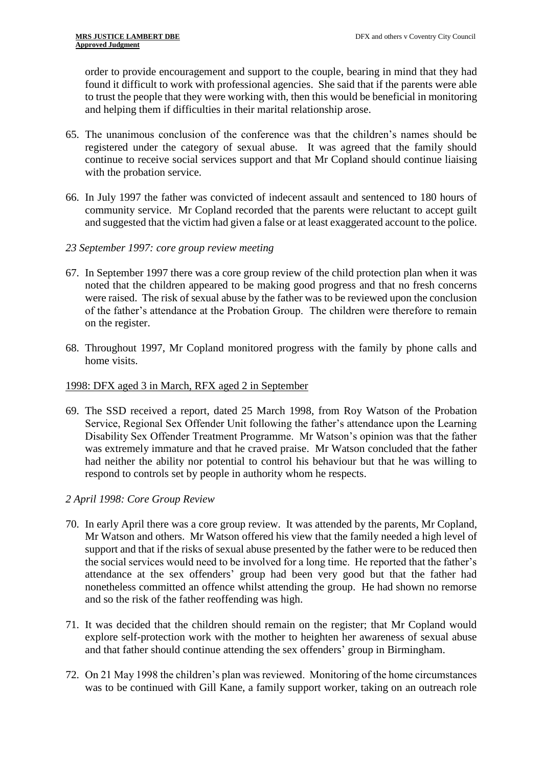order to provide encouragement and support to the couple, bearing in mind that they had found it difficult to work with professional agencies. She said that if the parents were able to trust the people that they were working with, then this would be beneficial in monitoring and helping them if difficulties in their marital relationship arose.

- 65. The unanimous conclusion of the conference was that the children's names should be registered under the category of sexual abuse. It was agreed that the family should continue to receive social services support and that Mr Copland should continue liaising with the probation service.
- 66. In July 1997 the father was convicted of indecent assault and sentenced to 180 hours of community service. Mr Copland recorded that the parents were reluctant to accept guilt and suggested that the victim had given a false or at least exaggerated account to the police.
- *23 September 1997: core group review meeting*
- 67. In September 1997 there was a core group review of the child protection plan when it was noted that the children appeared to be making good progress and that no fresh concerns were raised. The risk of sexual abuse by the father was to be reviewed upon the conclusion of the father's attendance at the Probation Group. The children were therefore to remain on the register.
- 68. Throughout 1997, Mr Copland monitored progress with the family by phone calls and home visits.

#### 1998: DFX aged 3 in March, RFX aged 2 in September

69. The SSD received a report, dated 25 March 1998, from Roy Watson of the Probation Service, Regional Sex Offender Unit following the father's attendance upon the Learning Disability Sex Offender Treatment Programme. Mr Watson's opinion was that the father was extremely immature and that he craved praise. Mr Watson concluded that the father had neither the ability nor potential to control his behaviour but that he was willing to respond to controls set by people in authority whom he respects.

# *2 April 1998: Core Group Review*

- 70. In early April there was a core group review. It was attended by the parents, Mr Copland, Mr Watson and others. Mr Watson offered his view that the family needed a high level of support and that if the risks of sexual abuse presented by the father were to be reduced then the social services would need to be involved for a long time. He reported that the father's attendance at the sex offenders' group had been very good but that the father had nonetheless committed an offence whilst attending the group. He had shown no remorse and so the risk of the father reoffending was high.
- 71. It was decided that the children should remain on the register; that Mr Copland would explore self-protection work with the mother to heighten her awareness of sexual abuse and that father should continue attending the sex offenders' group in Birmingham.
- 72. On 21 May 1998 the children's plan was reviewed. Monitoring of the home circumstances was to be continued with Gill Kane, a family support worker, taking on an outreach role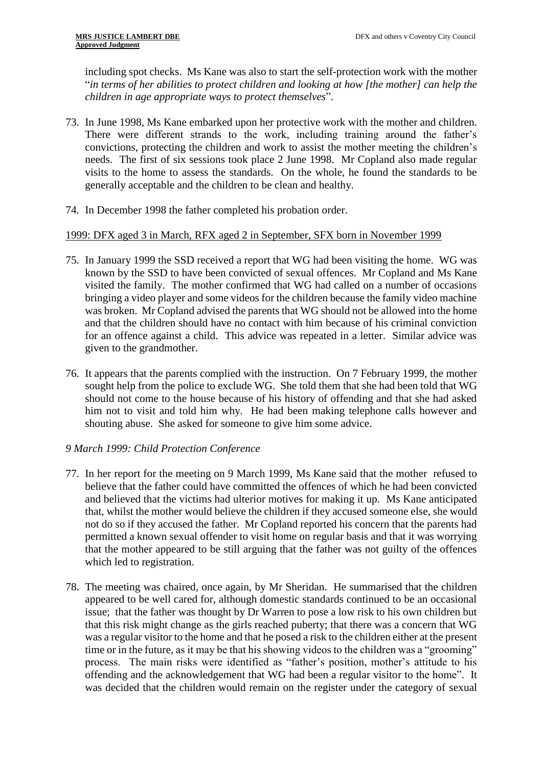including spot checks. Ms Kane was also to start the self-protection work with the mother "*in terms of her abilities to protect children and looking at how [the mother] can help the children in age appropriate ways to protect themselves*".

- 73. In June 1998, Ms Kane embarked upon her protective work with the mother and children. There were different strands to the work, including training around the father's convictions, protecting the children and work to assist the mother meeting the children's needs. The first of six sessions took place 2 June 1998. Mr Copland also made regular visits to the home to assess the standards. On the whole, he found the standards to be generally acceptable and the children to be clean and healthy.
- 74. In December 1998 the father completed his probation order.

# 1999: DFX aged 3 in March, RFX aged 2 in September, SFX born in November 1999

- 75. In January 1999 the SSD received a report that WG had been visiting the home. WG was known by the SSD to have been convicted of sexual offences. Mr Copland and Ms Kane visited the family. The mother confirmed that WG had called on a number of occasions bringing a video player and some videos for the children because the family video machine was broken. Mr Copland advised the parents that WG should not be allowed into the home and that the children should have no contact with him because of his criminal conviction for an offence against a child. This advice was repeated in a letter. Similar advice was given to the grandmother.
- 76. It appears that the parents complied with the instruction. On 7 February 1999, the mother sought help from the police to exclude WG. She told them that she had been told that WG should not come to the house because of his history of offending and that she had asked him not to visit and told him why. He had been making telephone calls however and shouting abuse. She asked for someone to give him some advice.

# *9 March 1999: Child Protection Conference*

- 77. In her report for the meeting on 9 March 1999, Ms Kane said that the mother refused to believe that the father could have committed the offences of which he had been convicted and believed that the victims had ulterior motives for making it up. Ms Kane anticipated that, whilst the mother would believe the children if they accused someone else, she would not do so if they accused the father. Mr Copland reported his concern that the parents had permitted a known sexual offender to visit home on regular basis and that it was worrying that the mother appeared to be still arguing that the father was not guilty of the offences which led to registration.
- 78. The meeting was chaired, once again, by Mr Sheridan. He summarised that the children appeared to be well cared for, although domestic standards continued to be an occasional issue; that the father was thought by Dr Warren to pose a low risk to his own children but that this risk might change as the girls reached puberty; that there was a concern that WG was a regular visitor to the home and that he posed a risk to the children either at the present time or in the future, as it may be that his showing videos to the children was a "grooming" process. The main risks were identified as "father's position, mother's attitude to his offending and the acknowledgement that WG had been a regular visitor to the home". It was decided that the children would remain on the register under the category of sexual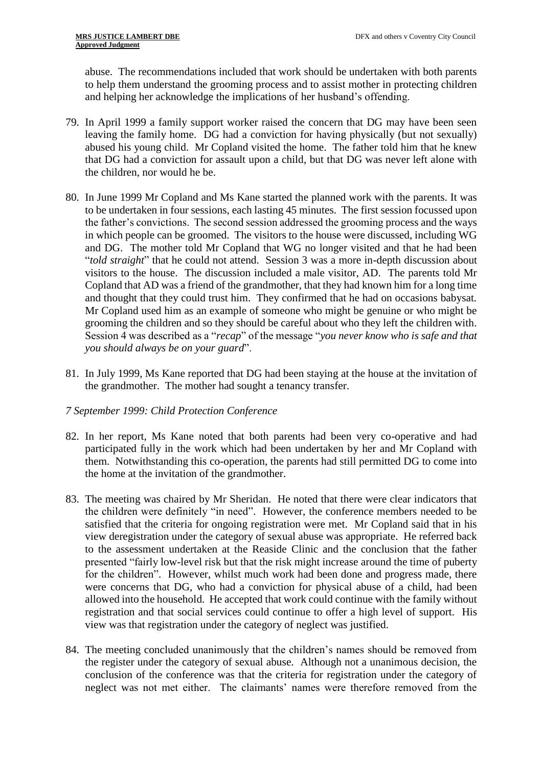abuse. The recommendations included that work should be undertaken with both parents to help them understand the grooming process and to assist mother in protecting children and helping her acknowledge the implications of her husband's offending.

- 79. In April 1999 a family support worker raised the concern that DG may have been seen leaving the family home. DG had a conviction for having physically (but not sexually) abused his young child. Mr Copland visited the home. The father told him that he knew that DG had a conviction for assault upon a child, but that DG was never left alone with the children, nor would he be.
- 80. In June 1999 Mr Copland and Ms Kane started the planned work with the parents. It was to be undertaken in four sessions, each lasting 45 minutes. The first session focussed upon the father's convictions. The second session addressed the grooming process and the ways in which people can be groomed. The visitors to the house were discussed, including WG and DG. The mother told Mr Copland that WG no longer visited and that he had been "*told straight*" that he could not attend. Session 3 was a more in-depth discussion about visitors to the house. The discussion included a male visitor, AD. The parents told Mr Copland that AD was a friend of the grandmother, that they had known him for a long time and thought that they could trust him. They confirmed that he had on occasions babysat. Mr Copland used him as an example of someone who might be genuine or who might be grooming the children and so they should be careful about who they left the children with. Session 4 was described as a "*recap*" of the message "*you never know who is safe and that you should always be on your guard*".
- 81. In July 1999, Ms Kane reported that DG had been staying at the house at the invitation of the grandmother. The mother had sought a tenancy transfer.

# *7 September 1999: Child Protection Conference*

- 82. In her report, Ms Kane noted that both parents had been very co-operative and had participated fully in the work which had been undertaken by her and Mr Copland with them. Notwithstanding this co-operation, the parents had still permitted DG to come into the home at the invitation of the grandmother.
- 83. The meeting was chaired by Mr Sheridan. He noted that there were clear indicators that the children were definitely "in need". However, the conference members needed to be satisfied that the criteria for ongoing registration were met. Mr Copland said that in his view deregistration under the category of sexual abuse was appropriate. He referred back to the assessment undertaken at the Reaside Clinic and the conclusion that the father presented "fairly low-level risk but that the risk might increase around the time of puberty for the children". However, whilst much work had been done and progress made, there were concerns that DG, who had a conviction for physical abuse of a child, had been allowed into the household. He accepted that work could continue with the family without registration and that social services could continue to offer a high level of support. His view was that registration under the category of neglect was justified.
- 84. The meeting concluded unanimously that the children's names should be removed from the register under the category of sexual abuse. Although not a unanimous decision, the conclusion of the conference was that the criteria for registration under the category of neglect was not met either. The claimants' names were therefore removed from the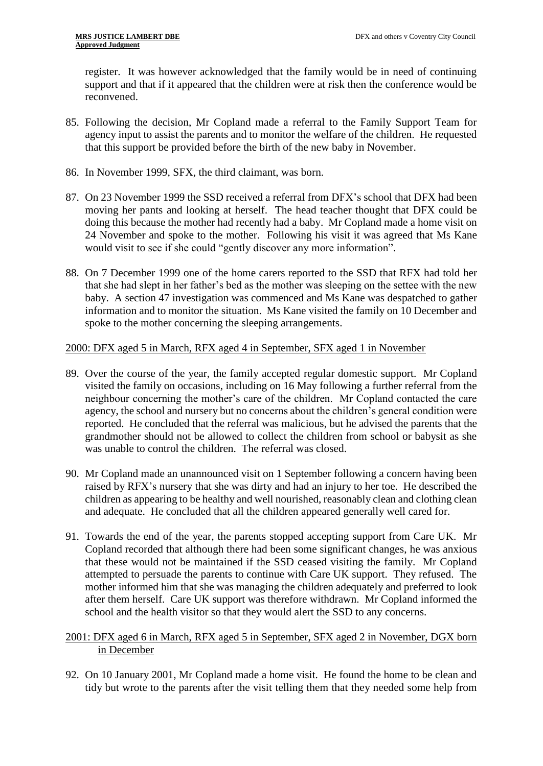register. It was however acknowledged that the family would be in need of continuing support and that if it appeared that the children were at risk then the conference would be reconvened.

- 85. Following the decision, Mr Copland made a referral to the Family Support Team for agency input to assist the parents and to monitor the welfare of the children. He requested that this support be provided before the birth of the new baby in November.
- 86. In November 1999, SFX, the third claimant, was born.
- 87. On 23 November 1999 the SSD received a referral from DFX's school that DFX had been moving her pants and looking at herself. The head teacher thought that DFX could be doing this because the mother had recently had a baby. Mr Copland made a home visit on 24 November and spoke to the mother. Following his visit it was agreed that Ms Kane would visit to see if she could "gently discover any more information".
- 88. On 7 December 1999 one of the home carers reported to the SSD that RFX had told her that she had slept in her father's bed as the mother was sleeping on the settee with the new baby. A section 47 investigation was commenced and Ms Kane was despatched to gather information and to monitor the situation. Ms Kane visited the family on 10 December and spoke to the mother concerning the sleeping arrangements.

# 2000: DFX aged 5 in March, RFX aged 4 in September, SFX aged 1 in November

- 89. Over the course of the year, the family accepted regular domestic support. Mr Copland visited the family on occasions, including on 16 May following a further referral from the neighbour concerning the mother's care of the children. Mr Copland contacted the care agency, the school and nursery but no concerns about the children's general condition were reported. He concluded that the referral was malicious, but he advised the parents that the grandmother should not be allowed to collect the children from school or babysit as she was unable to control the children. The referral was closed.
- 90. Mr Copland made an unannounced visit on 1 September following a concern having been raised by RFX's nursery that she was dirty and had an injury to her toe. He described the children as appearing to be healthy and well nourished, reasonably clean and clothing clean and adequate. He concluded that all the children appeared generally well cared for.
- 91. Towards the end of the year, the parents stopped accepting support from Care UK. Mr Copland recorded that although there had been some significant changes, he was anxious that these would not be maintained if the SSD ceased visiting the family. Mr Copland attempted to persuade the parents to continue with Care UK support. They refused. The mother informed him that she was managing the children adequately and preferred to look after them herself. Care UK support was therefore withdrawn. Mr Copland informed the school and the health visitor so that they would alert the SSD to any concerns.

# 2001: DFX aged 6 in March, RFX aged 5 in September, SFX aged 2 in November, DGX born in December

92. On 10 January 2001, Mr Copland made a home visit. He found the home to be clean and tidy but wrote to the parents after the visit telling them that they needed some help from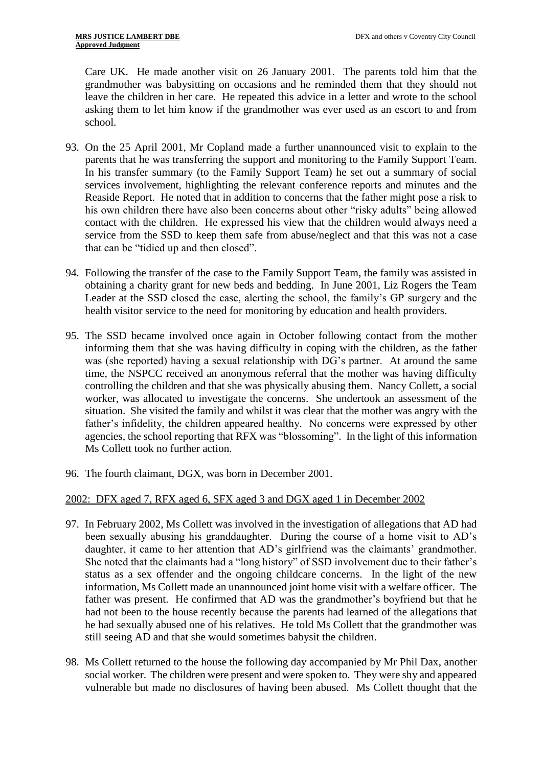Care UK. He made another visit on 26 January 2001. The parents told him that the grandmother was babysitting on occasions and he reminded them that they should not leave the children in her care. He repeated this advice in a letter and wrote to the school asking them to let him know if the grandmother was ever used as an escort to and from school.

- 93. On the 25 April 2001, Mr Copland made a further unannounced visit to explain to the parents that he was transferring the support and monitoring to the Family Support Team. In his transfer summary (to the Family Support Team) he set out a summary of social services involvement, highlighting the relevant conference reports and minutes and the Reaside Report. He noted that in addition to concerns that the father might pose a risk to his own children there have also been concerns about other "risky adults" being allowed contact with the children. He expressed his view that the children would always need a service from the SSD to keep them safe from abuse/neglect and that this was not a case that can be "tidied up and then closed".
- 94. Following the transfer of the case to the Family Support Team, the family was assisted in obtaining a charity grant for new beds and bedding. In June 2001, Liz Rogers the Team Leader at the SSD closed the case, alerting the school, the family's GP surgery and the health visitor service to the need for monitoring by education and health providers.
- 95. The SSD became involved once again in October following contact from the mother informing them that she was having difficulty in coping with the children, as the father was (she reported) having a sexual relationship with DG's partner. At around the same time, the NSPCC received an anonymous referral that the mother was having difficulty controlling the children and that she was physically abusing them. Nancy Collett, a social worker, was allocated to investigate the concerns. She undertook an assessment of the situation. She visited the family and whilst it was clear that the mother was angry with the father's infidelity, the children appeared healthy. No concerns were expressed by other agencies, the school reporting that RFX was "blossoming". In the light of this information Ms Collett took no further action.
- 96. The fourth claimant, DGX, was born in December 2001.

# 2002: DFX aged 7, RFX aged 6, SFX aged 3 and DGX aged 1 in December 2002

- 97. In February 2002, Ms Collett was involved in the investigation of allegations that AD had been sexually abusing his granddaughter. During the course of a home visit to AD's daughter, it came to her attention that AD's girlfriend was the claimants' grandmother. She noted that the claimants had a "long history" of SSD involvement due to their father's status as a sex offender and the ongoing childcare concerns. In the light of the new information, Ms Collett made an unannounced joint home visit with a welfare officer. The father was present. He confirmed that AD was the grandmother's boyfriend but that he had not been to the house recently because the parents had learned of the allegations that he had sexually abused one of his relatives. He told Ms Collett that the grandmother was still seeing AD and that she would sometimes babysit the children.
- 98. Ms Collett returned to the house the following day accompanied by Mr Phil Dax, another social worker. The children were present and were spoken to. They were shy and appeared vulnerable but made no disclosures of having been abused. Ms Collett thought that the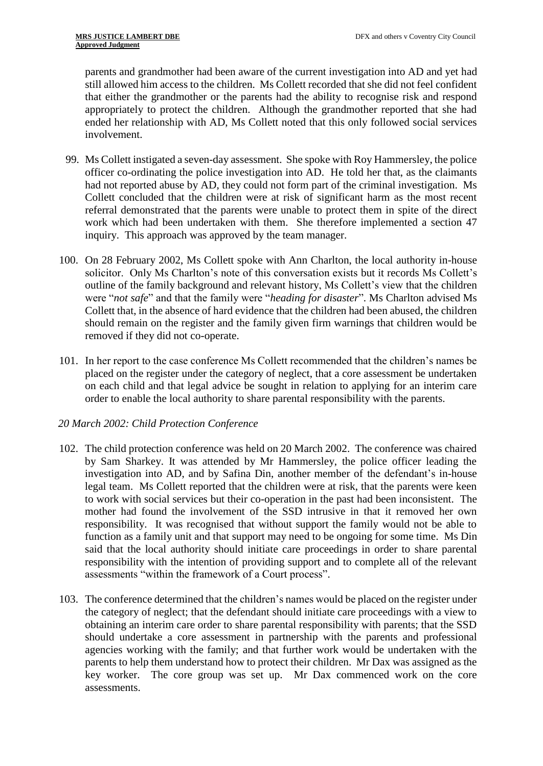parents and grandmother had been aware of the current investigation into AD and yet had still allowed him access to the children. Ms Collett recorded that she did not feel confident that either the grandmother or the parents had the ability to recognise risk and respond appropriately to protect the children. Although the grandmother reported that she had ended her relationship with AD, Ms Collett noted that this only followed social services involvement.

- 99. Ms Collett instigated a seven-day assessment. She spoke with Roy Hammersley, the police officer co-ordinating the police investigation into AD. He told her that, as the claimants had not reported abuse by AD, they could not form part of the criminal investigation. Ms Collett concluded that the children were at risk of significant harm as the most recent referral demonstrated that the parents were unable to protect them in spite of the direct work which had been undertaken with them. She therefore implemented a section 47 inquiry. This approach was approved by the team manager.
- 100. On 28 February 2002, Ms Collett spoke with Ann Charlton, the local authority in-house solicitor. Only Ms Charlton's note of this conversation exists but it records Ms Collett's outline of the family background and relevant history, Ms Collett's view that the children were "*not safe*" and that the family were "*heading for disaster*". Ms Charlton advised Ms Collett that, in the absence of hard evidence that the children had been abused, the children should remain on the register and the family given firm warnings that children would be removed if they did not co-operate.
- 101. In her report to the case conference Ms Collett recommended that the children's names be placed on the register under the category of neglect, that a core assessment be undertaken on each child and that legal advice be sought in relation to applying for an interim care order to enable the local authority to share parental responsibility with the parents.

# *20 March 2002: Child Protection Conference*

- 102. The child protection conference was held on 20 March 2002. The conference was chaired by Sam Sharkey. It was attended by Mr Hammersley, the police officer leading the investigation into AD, and by Safina Din, another member of the defendant's in-house legal team. Ms Collett reported that the children were at risk, that the parents were keen to work with social services but their co-operation in the past had been inconsistent. The mother had found the involvement of the SSD intrusive in that it removed her own responsibility. It was recognised that without support the family would not be able to function as a family unit and that support may need to be ongoing for some time. Ms Din said that the local authority should initiate care proceedings in order to share parental responsibility with the intention of providing support and to complete all of the relevant assessments "within the framework of a Court process".
- 103. The conference determined that the children's names would be placed on the register under the category of neglect; that the defendant should initiate care proceedings with a view to obtaining an interim care order to share parental responsibility with parents; that the SSD should undertake a core assessment in partnership with the parents and professional agencies working with the family; and that further work would be undertaken with the parents to help them understand how to protect their children. Mr Dax was assigned as the key worker. The core group was set up. Mr Dax commenced work on the core assessments.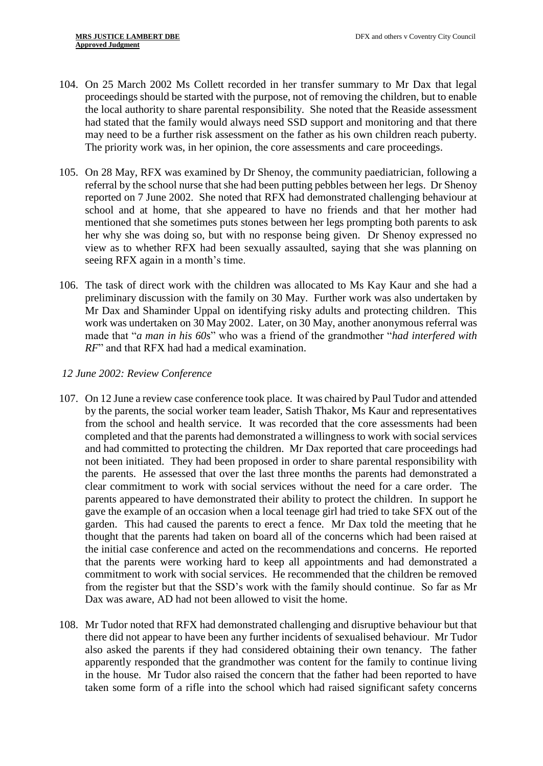- 104. On 25 March 2002 Ms Collett recorded in her transfer summary to Mr Dax that legal proceedings should be started with the purpose, not of removing the children, but to enable the local authority to share parental responsibility. She noted that the Reaside assessment had stated that the family would always need SSD support and monitoring and that there may need to be a further risk assessment on the father as his own children reach puberty. The priority work was, in her opinion, the core assessments and care proceedings.
- 105. On 28 May, RFX was examined by Dr Shenoy, the community paediatrician, following a referral by the school nurse that she had been putting pebbles between her legs. Dr Shenoy reported on 7 June 2002. She noted that RFX had demonstrated challenging behaviour at school and at home, that she appeared to have no friends and that her mother had mentioned that she sometimes puts stones between her legs prompting both parents to ask her why she was doing so, but with no response being given. Dr Shenoy expressed no view as to whether RFX had been sexually assaulted, saying that she was planning on seeing RFX again in a month's time.
- 106. The task of direct work with the children was allocated to Ms Kay Kaur and she had a preliminary discussion with the family on 30 May. Further work was also undertaken by Mr Dax and Shaminder Uppal on identifying risky adults and protecting children. This work was undertaken on 30 May 2002. Later, on 30 May, another anonymous referral was made that "*a man in his 60s*" who was a friend of the grandmother "*had interfered with RF*" and that RFX had had a medical examination.

#### *12 June 2002: Review Conference*

- 107. On 12 June a review case conference took place. It was chaired by Paul Tudor and attended by the parents, the social worker team leader, Satish Thakor, Ms Kaur and representatives from the school and health service. It was recorded that the core assessments had been completed and that the parents had demonstrated a willingness to work with social services and had committed to protecting the children. Mr Dax reported that care proceedings had not been initiated. They had been proposed in order to share parental responsibility with the parents. He assessed that over the last three months the parents had demonstrated a clear commitment to work with social services without the need for a care order. The parents appeared to have demonstrated their ability to protect the children. In support he gave the example of an occasion when a local teenage girl had tried to take SFX out of the garden. This had caused the parents to erect a fence. Mr Dax told the meeting that he thought that the parents had taken on board all of the concerns which had been raised at the initial case conference and acted on the recommendations and concerns. He reported that the parents were working hard to keep all appointments and had demonstrated a commitment to work with social services. He recommended that the children be removed from the register but that the SSD's work with the family should continue. So far as Mr Dax was aware, AD had not been allowed to visit the home.
- 108. Mr Tudor noted that RFX had demonstrated challenging and disruptive behaviour but that there did not appear to have been any further incidents of sexualised behaviour. Mr Tudor also asked the parents if they had considered obtaining their own tenancy. The father apparently responded that the grandmother was content for the family to continue living in the house. Mr Tudor also raised the concern that the father had been reported to have taken some form of a rifle into the school which had raised significant safety concerns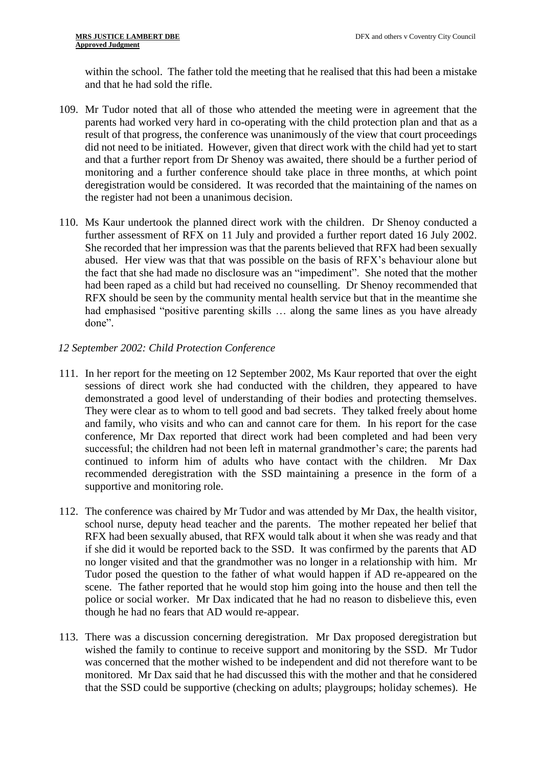within the school. The father told the meeting that he realised that this had been a mistake and that he had sold the rifle.

- 109. Mr Tudor noted that all of those who attended the meeting were in agreement that the parents had worked very hard in co-operating with the child protection plan and that as a result of that progress, the conference was unanimously of the view that court proceedings did not need to be initiated. However, given that direct work with the child had yet to start and that a further report from Dr Shenoy was awaited, there should be a further period of monitoring and a further conference should take place in three months, at which point deregistration would be considered. It was recorded that the maintaining of the names on the register had not been a unanimous decision.
- 110. Ms Kaur undertook the planned direct work with the children. Dr Shenoy conducted a further assessment of RFX on 11 July and provided a further report dated 16 July 2002. She recorded that her impression was that the parents believed that RFX had been sexually abused. Her view was that that was possible on the basis of RFX's behaviour alone but the fact that she had made no disclosure was an "impediment". She noted that the mother had been raped as a child but had received no counselling. Dr Shenoy recommended that RFX should be seen by the community mental health service but that in the meantime she had emphasised "positive parenting skills … along the same lines as you have already done".
- *12 September 2002: Child Protection Conference*
- 111. In her report for the meeting on 12 September 2002, Ms Kaur reported that over the eight sessions of direct work she had conducted with the children, they appeared to have demonstrated a good level of understanding of their bodies and protecting themselves. They were clear as to whom to tell good and bad secrets. They talked freely about home and family, who visits and who can and cannot care for them. In his report for the case conference, Mr Dax reported that direct work had been completed and had been very successful; the children had not been left in maternal grandmother's care; the parents had continued to inform him of adults who have contact with the children. Mr Dax recommended deregistration with the SSD maintaining a presence in the form of a supportive and monitoring role.
- 112. The conference was chaired by Mr Tudor and was attended by Mr Dax, the health visitor, school nurse, deputy head teacher and the parents. The mother repeated her belief that RFX had been sexually abused, that RFX would talk about it when she was ready and that if she did it would be reported back to the SSD. It was confirmed by the parents that AD no longer visited and that the grandmother was no longer in a relationship with him. Mr Tudor posed the question to the father of what would happen if AD re-appeared on the scene. The father reported that he would stop him going into the house and then tell the police or social worker. Mr Dax indicated that he had no reason to disbelieve this, even though he had no fears that AD would re-appear.
- 113. There was a discussion concerning deregistration. Mr Dax proposed deregistration but wished the family to continue to receive support and monitoring by the SSD. Mr Tudor was concerned that the mother wished to be independent and did not therefore want to be monitored. Mr Dax said that he had discussed this with the mother and that he considered that the SSD could be supportive (checking on adults; playgroups; holiday schemes). He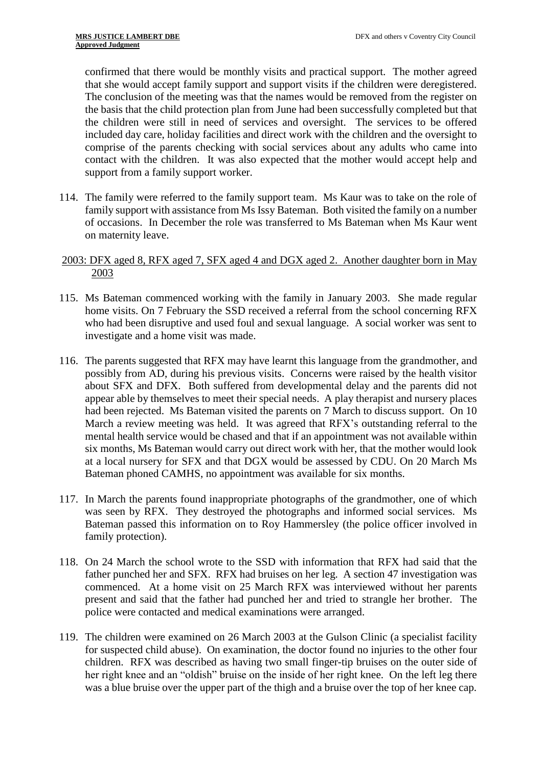confirmed that there would be monthly visits and practical support. The mother agreed that she would accept family support and support visits if the children were deregistered. The conclusion of the meeting was that the names would be removed from the register on the basis that the child protection plan from June had been successfully completed but that the children were still in need of services and oversight. The services to be offered included day care, holiday facilities and direct work with the children and the oversight to comprise of the parents checking with social services about any adults who came into contact with the children. It was also expected that the mother would accept help and support from a family support worker.

114. The family were referred to the family support team. Ms Kaur was to take on the role of family support with assistance from Ms Issy Bateman. Both visited the family on a number of occasions. In December the role was transferred to Ms Bateman when Ms Kaur went on maternity leave.

# 2003: DFX aged 8, RFX aged 7, SFX aged 4 and DGX aged 2. Another daughter born in May 2003

- 115. Ms Bateman commenced working with the family in January 2003. She made regular home visits. On 7 February the SSD received a referral from the school concerning RFX who had been disruptive and used foul and sexual language. A social worker was sent to investigate and a home visit was made.
- 116. The parents suggested that RFX may have learnt this language from the grandmother, and possibly from AD, during his previous visits. Concerns were raised by the health visitor about SFX and DFX. Both suffered from developmental delay and the parents did not appear able by themselves to meet their special needs. A play therapist and nursery places had been rejected. Ms Bateman visited the parents on 7 March to discuss support. On 10 March a review meeting was held. It was agreed that RFX's outstanding referral to the mental health service would be chased and that if an appointment was not available within six months, Ms Bateman would carry out direct work with her, that the mother would look at a local nursery for SFX and that DGX would be assessed by CDU. On 20 March Ms Bateman phoned CAMHS, no appointment was available for six months.
- 117. In March the parents found inappropriate photographs of the grandmother, one of which was seen by RFX. They destroyed the photographs and informed social services. Ms Bateman passed this information on to Roy Hammersley (the police officer involved in family protection).
- 118. On 24 March the school wrote to the SSD with information that RFX had said that the father punched her and SFX. RFX had bruises on her leg. A section 47 investigation was commenced. At a home visit on 25 March RFX was interviewed without her parents present and said that the father had punched her and tried to strangle her brother. The police were contacted and medical examinations were arranged.
- 119. The children were examined on 26 March 2003 at the Gulson Clinic (a specialist facility for suspected child abuse). On examination, the doctor found no injuries to the other four children. RFX was described as having two small finger-tip bruises on the outer side of her right knee and an "oldish" bruise on the inside of her right knee. On the left leg there was a blue bruise over the upper part of the thigh and a bruise over the top of her knee cap.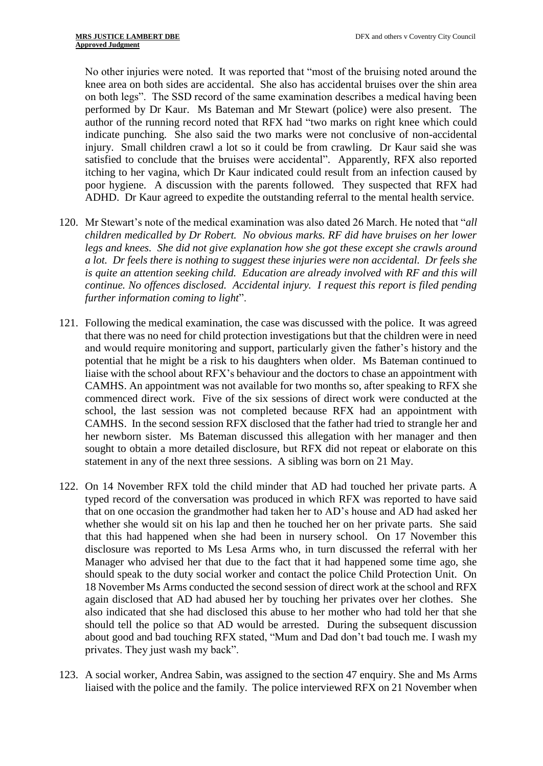No other injuries were noted. It was reported that "most of the bruising noted around the knee area on both sides are accidental. She also has accidental bruises over the shin area on both legs". The SSD record of the same examination describes a medical having been performed by Dr Kaur. Ms Bateman and Mr Stewart (police) were also present. The author of the running record noted that RFX had "two marks on right knee which could indicate punching. She also said the two marks were not conclusive of non-accidental injury. Small children crawl a lot so it could be from crawling. Dr Kaur said she was satisfied to conclude that the bruises were accidental". Apparently, RFX also reported itching to her vagina, which Dr Kaur indicated could result from an infection caused by poor hygiene. A discussion with the parents followed. They suspected that RFX had ADHD. Dr Kaur agreed to expedite the outstanding referral to the mental health service.

- 120. Mr Stewart's note of the medical examination was also dated 26 March. He noted that "*all children medicalled by Dr Robert. No obvious marks. RF did have bruises on her lower legs and knees. She did not give explanation how she got these except she crawls around a lot. Dr feels there is nothing to suggest these injuries were non accidental. Dr feels she is quite an attention seeking child. Education are already involved with RF and this will continue. No offences disclosed. Accidental injury. I request this report is filed pending further information coming to light*".
- 121. Following the medical examination, the case was discussed with the police. It was agreed that there was no need for child protection investigations but that the children were in need and would require monitoring and support, particularly given the father's history and the potential that he might be a risk to his daughters when older. Ms Bateman continued to liaise with the school about RFX's behaviour and the doctors to chase an appointment with CAMHS. An appointment was not available for two months so, after speaking to RFX she commenced direct work. Five of the six sessions of direct work were conducted at the school, the last session was not completed because RFX had an appointment with CAMHS. In the second session RFX disclosed that the father had tried to strangle her and her newborn sister. Ms Bateman discussed this allegation with her manager and then sought to obtain a more detailed disclosure, but RFX did not repeat or elaborate on this statement in any of the next three sessions. A sibling was born on 21 May.
- 122. On 14 November RFX told the child minder that AD had touched her private parts. A typed record of the conversation was produced in which RFX was reported to have said that on one occasion the grandmother had taken her to AD's house and AD had asked her whether she would sit on his lap and then he touched her on her private parts. She said that this had happened when she had been in nursery school. On 17 November this disclosure was reported to Ms Lesa Arms who, in turn discussed the referral with her Manager who advised her that due to the fact that it had happened some time ago, she should speak to the duty social worker and contact the police Child Protection Unit. On 18 November Ms Arms conducted the second session of direct work at the school and RFX again disclosed that AD had abused her by touching her privates over her clothes. She also indicated that she had disclosed this abuse to her mother who had told her that she should tell the police so that AD would be arrested. During the subsequent discussion about good and bad touching RFX stated, "Mum and Dad don't bad touch me. I wash my privates. They just wash my back".
- 123. A social worker, Andrea Sabin, was assigned to the section 47 enquiry. She and Ms Arms liaised with the police and the family. The police interviewed RFX on 21 November when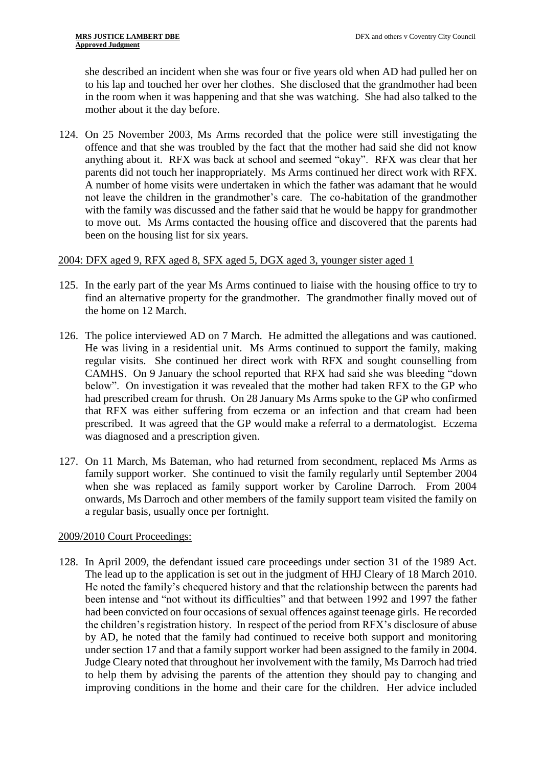she described an incident when she was four or five years old when AD had pulled her on to his lap and touched her over her clothes. She disclosed that the grandmother had been in the room when it was happening and that she was watching. She had also talked to the mother about it the day before.

124. On 25 November 2003, Ms Arms recorded that the police were still investigating the offence and that she was troubled by the fact that the mother had said she did not know anything about it. RFX was back at school and seemed "okay". RFX was clear that her parents did not touch her inappropriately. Ms Arms continued her direct work with RFX. A number of home visits were undertaken in which the father was adamant that he would not leave the children in the grandmother's care. The co-habitation of the grandmother with the family was discussed and the father said that he would be happy for grandmother to move out. Ms Arms contacted the housing office and discovered that the parents had been on the housing list for six years.

# 2004: DFX aged 9, RFX aged 8, SFX aged 5, DGX aged 3, younger sister aged 1

- 125. In the early part of the year Ms Arms continued to liaise with the housing office to try to find an alternative property for the grandmother. The grandmother finally moved out of the home on 12 March.
- 126. The police interviewed AD on 7 March. He admitted the allegations and was cautioned. He was living in a residential unit. Ms Arms continued to support the family, making regular visits. She continued her direct work with RFX and sought counselling from CAMHS. On 9 January the school reported that RFX had said she was bleeding "down below". On investigation it was revealed that the mother had taken RFX to the GP who had prescribed cream for thrush. On 28 January Ms Arms spoke to the GP who confirmed that RFX was either suffering from eczema or an infection and that cream had been prescribed. It was agreed that the GP would make a referral to a dermatologist. Eczema was diagnosed and a prescription given.
- 127. On 11 March, Ms Bateman, who had returned from secondment, replaced Ms Arms as family support worker. She continued to visit the family regularly until September 2004 when she was replaced as family support worker by Caroline Darroch. From 2004 onwards, Ms Darroch and other members of the family support team visited the family on a regular basis, usually once per fortnight.

# 2009/2010 Court Proceedings:

128. In April 2009, the defendant issued care proceedings under section 31 of the 1989 Act. The lead up to the application is set out in the judgment of HHJ Cleary of 18 March 2010. He noted the family's chequered history and that the relationship between the parents had been intense and "not without its difficulties" and that between 1992 and 1997 the father had been convicted on four occasions of sexual offences against teenage girls. He recorded the children's registration history. In respect of the period from RFX's disclosure of abuse by AD, he noted that the family had continued to receive both support and monitoring under section 17 and that a family support worker had been assigned to the family in 2004. Judge Cleary noted that throughout her involvement with the family, Ms Darroch had tried to help them by advising the parents of the attention they should pay to changing and improving conditions in the home and their care for the children. Her advice included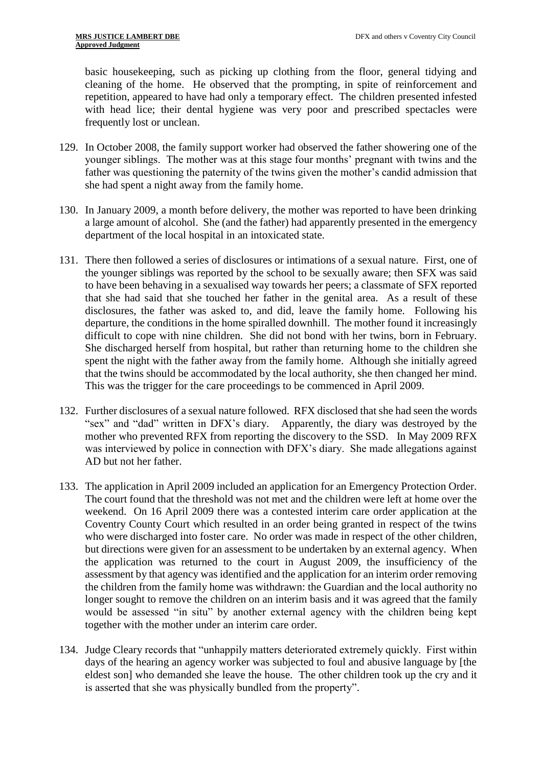basic housekeeping, such as picking up clothing from the floor, general tidying and cleaning of the home. He observed that the prompting, in spite of reinforcement and repetition, appeared to have had only a temporary effect. The children presented infested with head lice; their dental hygiene was very poor and prescribed spectacles were frequently lost or unclean.

- 129. In October 2008, the family support worker had observed the father showering one of the younger siblings. The mother was at this stage four months' pregnant with twins and the father was questioning the paternity of the twins given the mother's candid admission that she had spent a night away from the family home.
- 130. In January 2009, a month before delivery, the mother was reported to have been drinking a large amount of alcohol. She (and the father) had apparently presented in the emergency department of the local hospital in an intoxicated state.
- 131. There then followed a series of disclosures or intimations of a sexual nature. First, one of the younger siblings was reported by the school to be sexually aware; then SFX was said to have been behaving in a sexualised way towards her peers; a classmate of SFX reported that she had said that she touched her father in the genital area. As a result of these disclosures, the father was asked to, and did, leave the family home. Following his departure, the conditions in the home spiralled downhill. The mother found it increasingly difficult to cope with nine children. She did not bond with her twins, born in February. She discharged herself from hospital, but rather than returning home to the children she spent the night with the father away from the family home. Although she initially agreed that the twins should be accommodated by the local authority, she then changed her mind. This was the trigger for the care proceedings to be commenced in April 2009.
- 132. Further disclosures of a sexual nature followed. RFX disclosed that she had seen the words "sex" and "dad" written in DFX's diary. Apparently, the diary was destroyed by the mother who prevented RFX from reporting the discovery to the SSD. In May 2009 RFX was interviewed by police in connection with DFX's diary. She made allegations against AD but not her father.
- 133. The application in April 2009 included an application for an Emergency Protection Order. The court found that the threshold was not met and the children were left at home over the weekend. On 16 April 2009 there was a contested interim care order application at the Coventry County Court which resulted in an order being granted in respect of the twins who were discharged into foster care. No order was made in respect of the other children, but directions were given for an assessment to be undertaken by an external agency. When the application was returned to the court in August 2009, the insufficiency of the assessment by that agency was identified and the application for an interim order removing the children from the family home was withdrawn: the Guardian and the local authority no longer sought to remove the children on an interim basis and it was agreed that the family would be assessed "in situ" by another external agency with the children being kept together with the mother under an interim care order.
- 134. Judge Cleary records that "unhappily matters deteriorated extremely quickly. First within days of the hearing an agency worker was subjected to foul and abusive language by [the eldest son] who demanded she leave the house. The other children took up the cry and it is asserted that she was physically bundled from the property".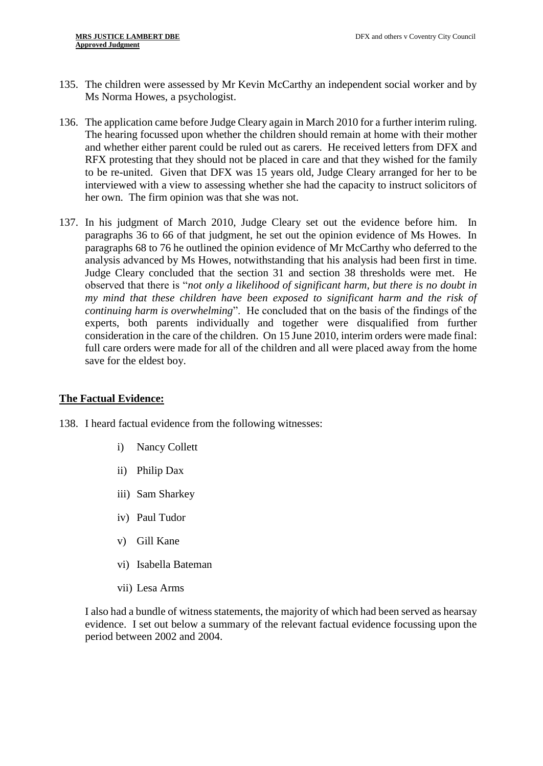- 135. The children were assessed by Mr Kevin McCarthy an independent social worker and by Ms Norma Howes, a psychologist.
- 136. The application came before Judge Cleary again in March 2010 for a further interim ruling. The hearing focussed upon whether the children should remain at home with their mother and whether either parent could be ruled out as carers. He received letters from DFX and RFX protesting that they should not be placed in care and that they wished for the family to be re-united. Given that DFX was 15 years old, Judge Cleary arranged for her to be interviewed with a view to assessing whether she had the capacity to instruct solicitors of her own. The firm opinion was that she was not.
- 137. In his judgment of March 2010, Judge Cleary set out the evidence before him. In paragraphs 36 to 66 of that judgment, he set out the opinion evidence of Ms Howes. In paragraphs 68 to 76 he outlined the opinion evidence of Mr McCarthy who deferred to the analysis advanced by Ms Howes, notwithstanding that his analysis had been first in time. Judge Cleary concluded that the section 31 and section 38 thresholds were met. He observed that there is "*not only a likelihood of significant harm, but there is no doubt in my mind that these children have been exposed to significant harm and the risk of continuing harm is overwhelming*". He concluded that on the basis of the findings of the experts, both parents individually and together were disqualified from further consideration in the care of the children. On 15 June 2010, interim orders were made final: full care orders were made for all of the children and all were placed away from the home save for the eldest boy.

# **The Factual Evidence:**

- 138. I heard factual evidence from the following witnesses:
	- i) Nancy Collett
	- ii) Philip Dax
	- iii) Sam Sharkey
	- iv) Paul Tudor
	- v) Gill Kane
	- vi) Isabella Bateman
	- vii) Lesa Arms

I also had a bundle of witness statements, the majority of which had been served as hearsay evidence. I set out below a summary of the relevant factual evidence focussing upon the period between 2002 and 2004.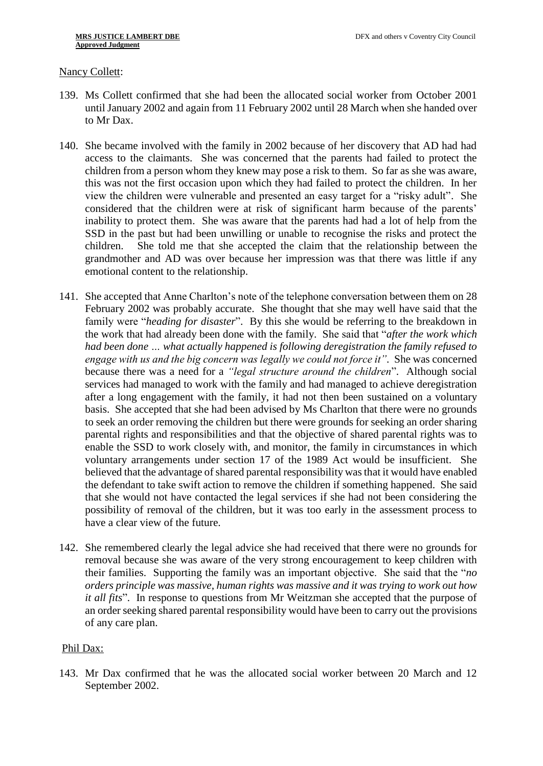#### Nancy Collett:

- 139. Ms Collett confirmed that she had been the allocated social worker from October 2001 until January 2002 and again from 11 February 2002 until 28 March when she handed over to Mr Dax.
- 140. She became involved with the family in 2002 because of her discovery that AD had had access to the claimants. She was concerned that the parents had failed to protect the children from a person whom they knew may pose a risk to them. So far as she was aware, this was not the first occasion upon which they had failed to protect the children. In her view the children were vulnerable and presented an easy target for a "risky adult". She considered that the children were at risk of significant harm because of the parents' inability to protect them. She was aware that the parents had had a lot of help from the SSD in the past but had been unwilling or unable to recognise the risks and protect the children. She told me that she accepted the claim that the relationship between the grandmother and AD was over because her impression was that there was little if any emotional content to the relationship.
- 141. She accepted that Anne Charlton's note of the telephone conversation between them on 28 February 2002 was probably accurate. She thought that she may well have said that the family were "*heading for disaster*". By this she would be referring to the breakdown in the work that had already been done with the family. She said that "*after the work which had been done … what actually happened is following deregistration the family refused to engage with us and the big concern was legally we could not force it".* She was concerned because there was a need for a *"legal structure around the children*". Although social services had managed to work with the family and had managed to achieve deregistration after a long engagement with the family, it had not then been sustained on a voluntary basis. She accepted that she had been advised by Ms Charlton that there were no grounds to seek an order removing the children but there were grounds for seeking an order sharing parental rights and responsibilities and that the objective of shared parental rights was to enable the SSD to work closely with, and monitor, the family in circumstances in which voluntary arrangements under section 17 of the 1989 Act would be insufficient. She believed that the advantage of shared parental responsibility was that it would have enabled the defendant to take swift action to remove the children if something happened. She said that she would not have contacted the legal services if she had not been considering the possibility of removal of the children, but it was too early in the assessment process to have a clear view of the future.
- 142. She remembered clearly the legal advice she had received that there were no grounds for removal because she was aware of the very strong encouragement to keep children with their families. Supporting the family was an important objective. She said that the "*no orders principle was massive, human rights was massive and it was trying to work out how it all fits*". In response to questions from Mr Weitzman she accepted that the purpose of an order seeking shared parental responsibility would have been to carry out the provisions of any care plan.

# Phil Dax:

143. Mr Dax confirmed that he was the allocated social worker between 20 March and 12 September 2002.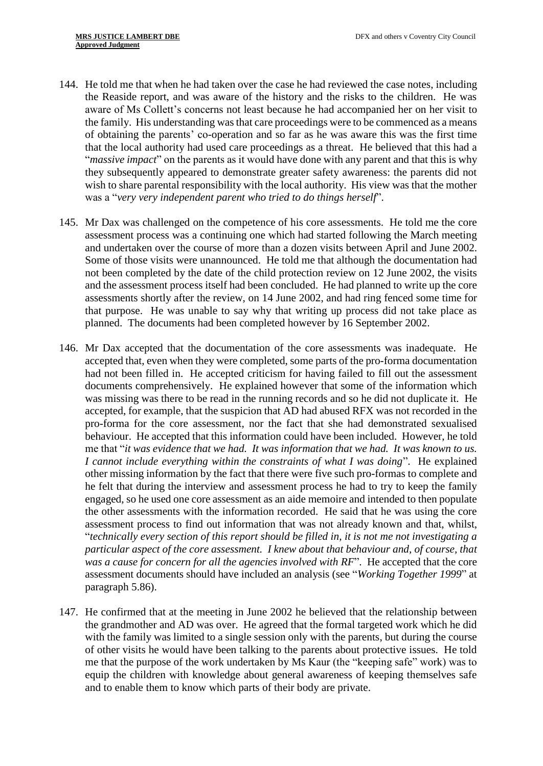- 144. He told me that when he had taken over the case he had reviewed the case notes, including the Reaside report, and was aware of the history and the risks to the children. He was aware of Ms Collett's concerns not least because he had accompanied her on her visit to the family. His understanding was that care proceedings were to be commenced as a means of obtaining the parents' co-operation and so far as he was aware this was the first time that the local authority had used care proceedings as a threat. He believed that this had a "*massive impact*" on the parents as it would have done with any parent and that this is why they subsequently appeared to demonstrate greater safety awareness: the parents did not wish to share parental responsibility with the local authority. His view was that the mother was a "*very very independent parent who tried to do things herself*".
- 145. Mr Dax was challenged on the competence of his core assessments. He told me the core assessment process was a continuing one which had started following the March meeting and undertaken over the course of more than a dozen visits between April and June 2002. Some of those visits were unannounced. He told me that although the documentation had not been completed by the date of the child protection review on 12 June 2002, the visits and the assessment process itself had been concluded. He had planned to write up the core assessments shortly after the review, on 14 June 2002, and had ring fenced some time for that purpose. He was unable to say why that writing up process did not take place as planned. The documents had been completed however by 16 September 2002.
- 146. Mr Dax accepted that the documentation of the core assessments was inadequate. He accepted that, even when they were completed, some parts of the pro-forma documentation had not been filled in. He accepted criticism for having failed to fill out the assessment documents comprehensively. He explained however that some of the information which was missing was there to be read in the running records and so he did not duplicate it. He accepted, for example, that the suspicion that AD had abused RFX was not recorded in the pro-forma for the core assessment, nor the fact that she had demonstrated sexualised behaviour. He accepted that this information could have been included. However, he told me that "*it was evidence that we had. It was information that we had. It was known to us. I cannot include everything within the constraints of what I was doing*". He explained other missing information by the fact that there were five such pro-formas to complete and he felt that during the interview and assessment process he had to try to keep the family engaged, so he used one core assessment as an aide memoire and intended to then populate the other assessments with the information recorded. He said that he was using the core assessment process to find out information that was not already known and that, whilst, "*technically every section of this report should be filled in, it is not me not investigating a particular aspect of the core assessment. I knew about that behaviour and, of course, that was a cause for concern for all the agencies involved with RF*". He accepted that the core assessment documents should have included an analysis (see "*Working Together 1999*" at paragraph 5.86).
- 147. He confirmed that at the meeting in June 2002 he believed that the relationship between the grandmother and AD was over. He agreed that the formal targeted work which he did with the family was limited to a single session only with the parents, but during the course of other visits he would have been talking to the parents about protective issues. He told me that the purpose of the work undertaken by Ms Kaur (the "keeping safe" work) was to equip the children with knowledge about general awareness of keeping themselves safe and to enable them to know which parts of their body are private.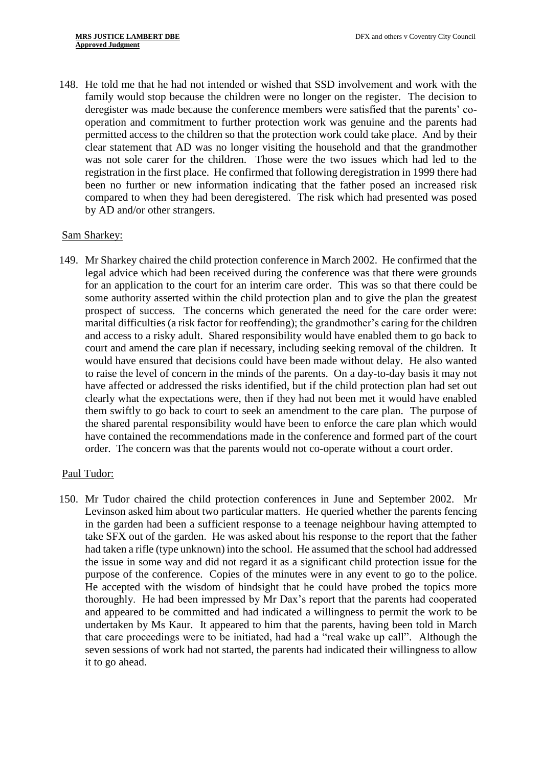148. He told me that he had not intended or wished that SSD involvement and work with the family would stop because the children were no longer on the register. The decision to deregister was made because the conference members were satisfied that the parents' cooperation and commitment to further protection work was genuine and the parents had permitted access to the children so that the protection work could take place. And by their clear statement that AD was no longer visiting the household and that the grandmother was not sole carer for the children. Those were the two issues which had led to the registration in the first place. He confirmed that following deregistration in 1999 there had been no further or new information indicating that the father posed an increased risk compared to when they had been deregistered. The risk which had presented was posed by AD and/or other strangers.

#### Sam Sharkey:

149. Mr Sharkey chaired the child protection conference in March 2002. He confirmed that the legal advice which had been received during the conference was that there were grounds for an application to the court for an interim care order. This was so that there could be some authority asserted within the child protection plan and to give the plan the greatest prospect of success. The concerns which generated the need for the care order were: marital difficulties (a risk factor for reoffending); the grandmother's caring for the children and access to a risky adult. Shared responsibility would have enabled them to go back to court and amend the care plan if necessary, including seeking removal of the children. It would have ensured that decisions could have been made without delay. He also wanted to raise the level of concern in the minds of the parents. On a day-to-day basis it may not have affected or addressed the risks identified, but if the child protection plan had set out clearly what the expectations were, then if they had not been met it would have enabled them swiftly to go back to court to seek an amendment to the care plan. The purpose of the shared parental responsibility would have been to enforce the care plan which would have contained the recommendations made in the conference and formed part of the court order. The concern was that the parents would not co-operate without a court order.

# Paul Tudor:

150. Mr Tudor chaired the child protection conferences in June and September 2002. Mr Levinson asked him about two particular matters. He queried whether the parents fencing in the garden had been a sufficient response to a teenage neighbour having attempted to take SFX out of the garden. He was asked about his response to the report that the father had taken a rifle (type unknown) into the school. He assumed that the school had addressed the issue in some way and did not regard it as a significant child protection issue for the purpose of the conference. Copies of the minutes were in any event to go to the police. He accepted with the wisdom of hindsight that he could have probed the topics more thoroughly. He had been impressed by Mr Dax's report that the parents had cooperated and appeared to be committed and had indicated a willingness to permit the work to be undertaken by Ms Kaur. It appeared to him that the parents, having been told in March that care proceedings were to be initiated, had had a "real wake up call". Although the seven sessions of work had not started, the parents had indicated their willingness to allow it to go ahead.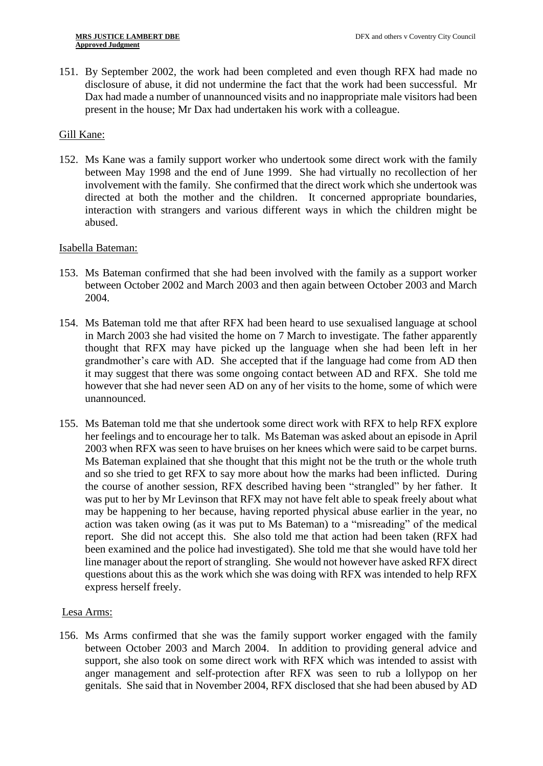151. By September 2002, the work had been completed and even though RFX had made no disclosure of abuse, it did not undermine the fact that the work had been successful. Mr Dax had made a number of unannounced visits and no inappropriate male visitors had been present in the house; Mr Dax had undertaken his work with a colleague.

# Gill Kane:

152. Ms Kane was a family support worker who undertook some direct work with the family between May 1998 and the end of June 1999. She had virtually no recollection of her involvement with the family. She confirmed that the direct work which she undertook was directed at both the mother and the children. It concerned appropriate boundaries, interaction with strangers and various different ways in which the children might be abused.

# Isabella Bateman:

- 153. Ms Bateman confirmed that she had been involved with the family as a support worker between October 2002 and March 2003 and then again between October 2003 and March 2004.
- 154. Ms Bateman told me that after RFX had been heard to use sexualised language at school in March 2003 she had visited the home on 7 March to investigate. The father apparently thought that RFX may have picked up the language when she had been left in her grandmother's care with AD. She accepted that if the language had come from AD then it may suggest that there was some ongoing contact between AD and RFX. She told me however that she had never seen AD on any of her visits to the home, some of which were unannounced.
- 155. Ms Bateman told me that she undertook some direct work with RFX to help RFX explore her feelings and to encourage her to talk. Ms Bateman was asked about an episode in April 2003 when RFX was seen to have bruises on her knees which were said to be carpet burns. Ms Bateman explained that she thought that this might not be the truth or the whole truth and so she tried to get RFX to say more about how the marks had been inflicted. During the course of another session, RFX described having been "strangled" by her father. It was put to her by Mr Levinson that RFX may not have felt able to speak freely about what may be happening to her because, having reported physical abuse earlier in the year, no action was taken owing (as it was put to Ms Bateman) to a "misreading" of the medical report. She did not accept this. She also told me that action had been taken (RFX had been examined and the police had investigated). She told me that she would have told her line manager about the report of strangling. She would not however have asked RFX direct questions about this as the work which she was doing with RFX was intended to help RFX express herself freely.

# Lesa Arms:

156. Ms Arms confirmed that she was the family support worker engaged with the family between October 2003 and March 2004. In addition to providing general advice and support, she also took on some direct work with RFX which was intended to assist with anger management and self-protection after RFX was seen to rub a lollypop on her genitals. She said that in November 2004, RFX disclosed that she had been abused by AD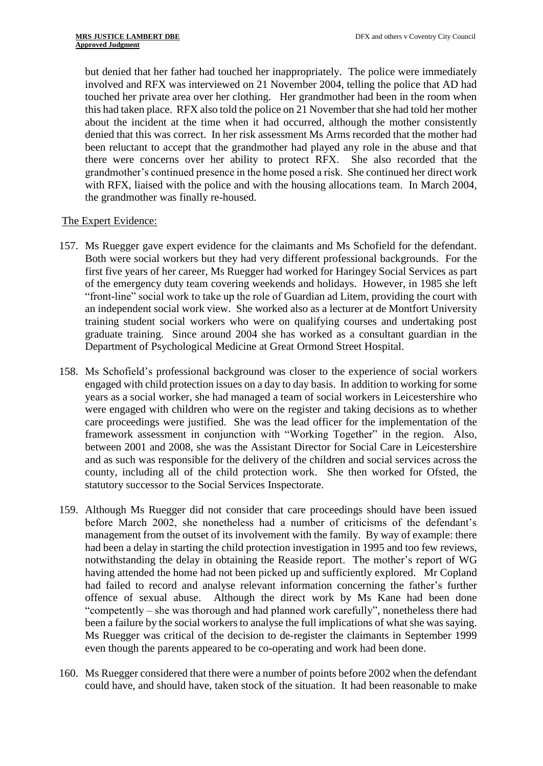but denied that her father had touched her inappropriately. The police were immediately involved and RFX was interviewed on 21 November 2004, telling the police that AD had touched her private area over her clothing. Her grandmother had been in the room when this had taken place. RFX also told the police on 21 November that she had told her mother about the incident at the time when it had occurred, although the mother consistently denied that this was correct. In her risk assessment Ms Arms recorded that the mother had been reluctant to accept that the grandmother had played any role in the abuse and that there were concerns over her ability to protect RFX. She also recorded that the grandmother's continued presence in the home posed a risk. She continued her direct work with RFX, liaised with the police and with the housing allocations team. In March 2004, the grandmother was finally re-housed.

# The Expert Evidence:

- 157. Ms Ruegger gave expert evidence for the claimants and Ms Schofield for the defendant. Both were social workers but they had very different professional backgrounds. For the first five years of her career, Ms Ruegger had worked for Haringey Social Services as part of the emergency duty team covering weekends and holidays. However, in 1985 she left "front-line" social work to take up the role of Guardian ad Litem, providing the court with an independent social work view. She worked also as a lecturer at de Montfort University training student social workers who were on qualifying courses and undertaking post graduate training. Since around 2004 she has worked as a consultant guardian in the Department of Psychological Medicine at Great Ormond Street Hospital.
- 158. Ms Schofield's professional background was closer to the experience of social workers engaged with child protection issues on a day to day basis. In addition to working for some years as a social worker, she had managed a team of social workers in Leicestershire who were engaged with children who were on the register and taking decisions as to whether care proceedings were justified. She was the lead officer for the implementation of the framework assessment in conjunction with "Working Together" in the region. Also, between 2001 and 2008, she was the Assistant Director for Social Care in Leicestershire and as such was responsible for the delivery of the children and social services across the county, including all of the child protection work. She then worked for Ofsted, the statutory successor to the Social Services Inspectorate.
- 159. Although Ms Ruegger did not consider that care proceedings should have been issued before March 2002, she nonetheless had a number of criticisms of the defendant's management from the outset of its involvement with the family. By way of example: there had been a delay in starting the child protection investigation in 1995 and too few reviews, notwithstanding the delay in obtaining the Reaside report. The mother's report of WG having attended the home had not been picked up and sufficiently explored. Mr Copland had failed to record and analyse relevant information concerning the father's further offence of sexual abuse. Although the direct work by Ms Kane had been done "competently – she was thorough and had planned work carefully", nonetheless there had been a failure by the social workers to analyse the full implications of what she was saying. Ms Ruegger was critical of the decision to de-register the claimants in September 1999 even though the parents appeared to be co-operating and work had been done.
- 160. Ms Ruegger considered that there were a number of points before 2002 when the defendant could have, and should have, taken stock of the situation. It had been reasonable to make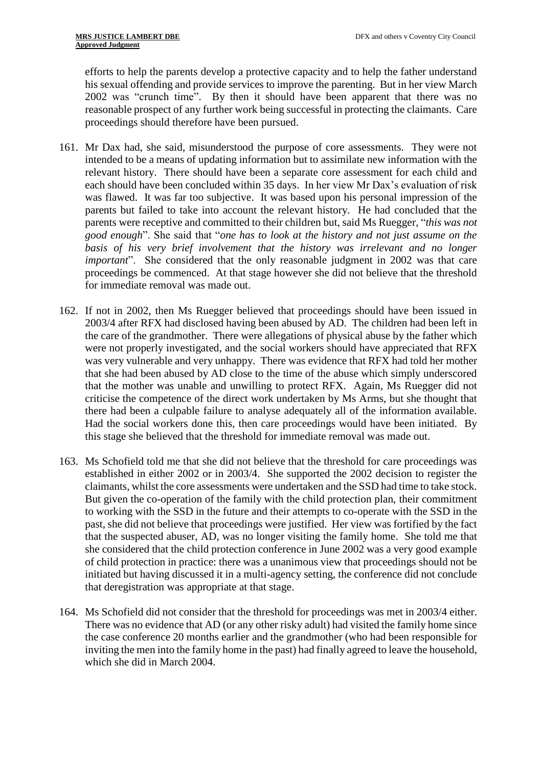efforts to help the parents develop a protective capacity and to help the father understand his sexual offending and provide services to improve the parenting. But in her view March 2002 was "crunch time". By then it should have been apparent that there was no reasonable prospect of any further work being successful in protecting the claimants. Care proceedings should therefore have been pursued.

- 161. Mr Dax had, she said, misunderstood the purpose of core assessments. They were not intended to be a means of updating information but to assimilate new information with the relevant history. There should have been a separate core assessment for each child and each should have been concluded within 35 days. In her view Mr Dax's evaluation of risk was flawed. It was far too subjective. It was based upon his personal impression of the parents but failed to take into account the relevant history. He had concluded that the parents were receptive and committed to their children but, said Ms Ruegger, "*this was not good enough*". She said that "*one has to look at the history and not just assume on the basis of his very brief involvement that the history was irrelevant and no longer important*". She considered that the only reasonable judgment in 2002 was that care proceedings be commenced. At that stage however she did not believe that the threshold for immediate removal was made out.
- 162. If not in 2002, then Ms Ruegger believed that proceedings should have been issued in 2003/4 after RFX had disclosed having been abused by AD. The children had been left in the care of the grandmother. There were allegations of physical abuse by the father which were not properly investigated, and the social workers should have appreciated that RFX was very vulnerable and very unhappy. There was evidence that RFX had told her mother that she had been abused by AD close to the time of the abuse which simply underscored that the mother was unable and unwilling to protect RFX. Again, Ms Ruegger did not criticise the competence of the direct work undertaken by Ms Arms, but she thought that there had been a culpable failure to analyse adequately all of the information available. Had the social workers done this, then care proceedings would have been initiated. By this stage she believed that the threshold for immediate removal was made out.
- 163. Ms Schofield told me that she did not believe that the threshold for care proceedings was established in either 2002 or in 2003/4. She supported the 2002 decision to register the claimants, whilst the core assessments were undertaken and the SSD had time to take stock. But given the co-operation of the family with the child protection plan, their commitment to working with the SSD in the future and their attempts to co-operate with the SSD in the past, she did not believe that proceedings were justified. Her view was fortified by the fact that the suspected abuser, AD, was no longer visiting the family home. She told me that she considered that the child protection conference in June 2002 was a very good example of child protection in practice: there was a unanimous view that proceedings should not be initiated but having discussed it in a multi-agency setting, the conference did not conclude that deregistration was appropriate at that stage.
- 164. Ms Schofield did not consider that the threshold for proceedings was met in 2003/4 either. There was no evidence that AD (or any other risky adult) had visited the family home since the case conference 20 months earlier and the grandmother (who had been responsible for inviting the men into the family home in the past) had finally agreed to leave the household, which she did in March 2004.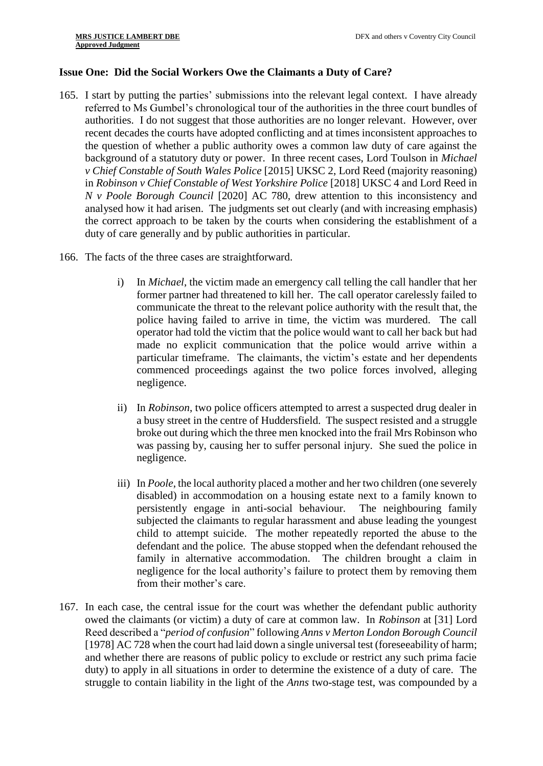# **Issue One: Did the Social Workers Owe the Claimants a Duty of Care?**

- 165. I start by putting the parties' submissions into the relevant legal context. I have already referred to Ms Gumbel's chronological tour of the authorities in the three court bundles of authorities. I do not suggest that those authorities are no longer relevant. However, over recent decades the courts have adopted conflicting and at times inconsistent approaches to the question of whether a public authority owes a common law duty of care against the background of a statutory duty or power. In three recent cases, Lord Toulson in *Michael v Chief Constable of South Wales Police* [2015] UKSC 2, Lord Reed (majority reasoning) in *Robinson v Chief Constable of West Yorkshire Police* [2018] UKSC 4 and Lord Reed in *N v Poole Borough Council* [2020] AC 780*,* drew attention to this inconsistency and analysed how it had arisen. The judgments set out clearly (and with increasing emphasis) the correct approach to be taken by the courts when considering the establishment of a duty of care generally and by public authorities in particular.
- 166. The facts of the three cases are straightforward.
	- i) In *Michael*, the victim made an emergency call telling the call handler that her former partner had threatened to kill her. The call operator carelessly failed to communicate the threat to the relevant police authority with the result that, the police having failed to arrive in time, the victim was murdered. The call operator had told the victim that the police would want to call her back but had made no explicit communication that the police would arrive within a particular timeframe. The claimants, the victim's estate and her dependents commenced proceedings against the two police forces involved, alleging negligence.
	- ii) In *Robinson*, two police officers attempted to arrest a suspected drug dealer in a busy street in the centre of Huddersfield. The suspect resisted and a struggle broke out during which the three men knocked into the frail Mrs Robinson who was passing by, causing her to suffer personal injury. She sued the police in negligence.
	- iii) In *Poole*, the local authority placed a mother and her two children (one severely disabled) in accommodation on a housing estate next to a family known to persistently engage in anti-social behaviour. The neighbouring family subjected the claimants to regular harassment and abuse leading the youngest child to attempt suicide. The mother repeatedly reported the abuse to the defendant and the police. The abuse stopped when the defendant rehoused the family in alternative accommodation. The children brought a claim in negligence for the local authority's failure to protect them by removing them from their mother's care.
- 167. In each case, the central issue for the court was whether the defendant public authority owed the claimants (or victim) a duty of care at common law. In *Robinson* at [31] Lord Reed described a "*period of confusion*" following *Anns v Merton London Borough Council* [1978] AC 728 when the court had laid down a single universal test (foreseeability of harm; and whether there are reasons of public policy to exclude or restrict any such prima facie duty) to apply in all situations in order to determine the existence of a duty of care. The struggle to contain liability in the light of the *Anns* two-stage test, was compounded by a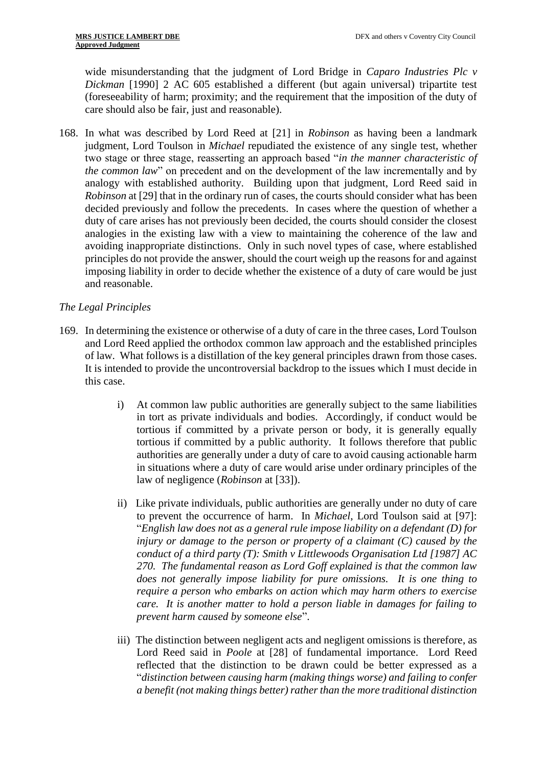wide misunderstanding that the judgment of Lord Bridge in *Caparo Industries Plc v Dickman* [1990] 2 AC 605 established a different (but again universal) tripartite test (foreseeability of harm; proximity; and the requirement that the imposition of the duty of care should also be fair, just and reasonable).

168. In what was described by Lord Reed at [21] in *Robinson* as having been a landmark judgment, Lord Toulson in *Michael* repudiated the existence of any single test, whether two stage or three stage, reasserting an approach based "*in the manner characteristic of the common law*" on precedent and on the development of the law incrementally and by analogy with established authority. Building upon that judgment, Lord Reed said in *Robinson* at [29] that in the ordinary run of cases, the courts should consider what has been decided previously and follow the precedents. In cases where the question of whether a duty of care arises has not previously been decided, the courts should consider the closest analogies in the existing law with a view to maintaining the coherence of the law and avoiding inappropriate distinctions. Only in such novel types of case, where established principles do not provide the answer, should the court weigh up the reasons for and against imposing liability in order to decide whether the existence of a duty of care would be just and reasonable.

# *The Legal Principles*

- 169. In determining the existence or otherwise of a duty of care in the three cases, Lord Toulson and Lord Reed applied the orthodox common law approach and the established principles of law. What follows is a distillation of the key general principles drawn from those cases. It is intended to provide the uncontroversial backdrop to the issues which I must decide in this case.
	- i) At common law public authorities are generally subject to the same liabilities in tort as private individuals and bodies. Accordingly, if conduct would be tortious if committed by a private person or body, it is generally equally tortious if committed by a public authority. It follows therefore that public authorities are generally under a duty of care to avoid causing actionable harm in situations where a duty of care would arise under ordinary principles of the law of negligence (*Robinson* at [33]).
	- ii) Like private individuals, public authorities are generally under no duty of care to prevent the occurrence of harm. In *Michael*, Lord Toulson said at [97]: "*English law does not as a general rule impose liability on a defendant (D) for injury or damage to the person or property of a claimant (C) caused by the conduct of a third party (T): Smith v Littlewoods Organisation Ltd [1987] AC 270. The fundamental reason as Lord Goff explained is that the common law does not generally impose liability for pure omissions. It is one thing to require a person who embarks on action which may harm others to exercise care. It is another matter to hold a person liable in damages for failing to prevent harm caused by someone else*".
	- iii) The distinction between negligent acts and negligent omissions is therefore, as Lord Reed said in *Poole* at [28] of fundamental importance. Lord Reed reflected that the distinction to be drawn could be better expressed as a "*distinction between causing harm (making things worse) and failing to confer a benefit (not making things better) rather than the more traditional distinction*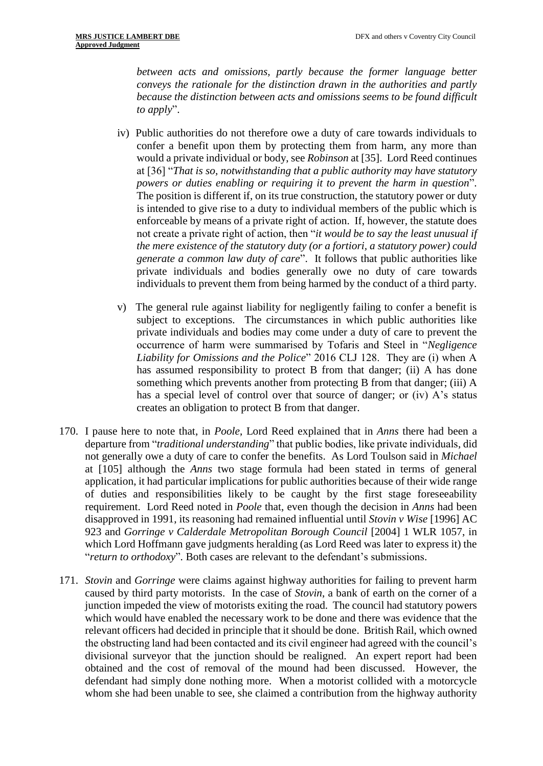*between acts and omissions, partly because the former language better conveys the rationale for the distinction drawn in the authorities and partly because the distinction between acts and omissions seems to be found difficult to apply*".

- iv) Public authorities do not therefore owe a duty of care towards individuals to confer a benefit upon them by protecting them from harm, any more than would a private individual or body, see *Robinson* at [35]. Lord Reed continues at [36] "*That is so, notwithstanding that a public authority may have statutory powers or duties enabling or requiring it to prevent the harm in question*". The position is different if, on its true construction, the statutory power or duty is intended to give rise to a duty to individual members of the public which is enforceable by means of a private right of action. If, however, the statute does not create a private right of action, then "*it would be to say the least unusual if the mere existence of the statutory duty (or a fortiori, a statutory power) could generate a common law duty of care*". It follows that public authorities like private individuals and bodies generally owe no duty of care towards individuals to prevent them from being harmed by the conduct of a third party.
- v) The general rule against liability for negligently failing to confer a benefit is subject to exceptions. The circumstances in which public authorities like private individuals and bodies may come under a duty of care to prevent the occurrence of harm were summarised by Tofaris and Steel in "*Negligence Liability for Omissions and the Police*" 2016 CLJ 128. They are (i) when A has assumed responsibility to protect B from that danger; (ii) A has done something which prevents another from protecting B from that danger; (iii) A has a special level of control over that source of danger; or (iv) A's status creates an obligation to protect B from that danger.
- 170. I pause here to note that, in *Poole*, Lord Reed explained that in *Anns* there had been a departure from "*traditional understanding*" that public bodies, like private individuals, did not generally owe a duty of care to confer the benefits. As Lord Toulson said in *Michael* at [105] although the *Anns* two stage formula had been stated in terms of general application, it had particular implications for public authorities because of their wide range of duties and responsibilities likely to be caught by the first stage foreseeability requirement. Lord Reed noted in *Poole* that, even though the decision in *Anns* had been disapproved in 1991, its reasoning had remained influential until *Stovin v Wise* [1996] AC 923 and *Gorringe v Calderdale Metropolitan Borough Council* [2004] 1 WLR 1057, in which Lord Hoffmann gave judgments heralding (as Lord Reed was later to express it) the "*return to orthodoxy*". Both cases are relevant to the defendant's submissions.
- 171. *Stovin* and *Gorringe* were claims against highway authorities for failing to prevent harm caused by third party motorists. In the case of *Stovin*, a bank of earth on the corner of a junction impeded the view of motorists exiting the road. The council had statutory powers which would have enabled the necessary work to be done and there was evidence that the relevant officers had decided in principle that it should be done. British Rail, which owned the obstructing land had been contacted and its civil engineer had agreed with the council's divisional surveyor that the junction should be realigned. An expert report had been obtained and the cost of removal of the mound had been discussed. However, the defendant had simply done nothing more. When a motorist collided with a motorcycle whom she had been unable to see, she claimed a contribution from the highway authority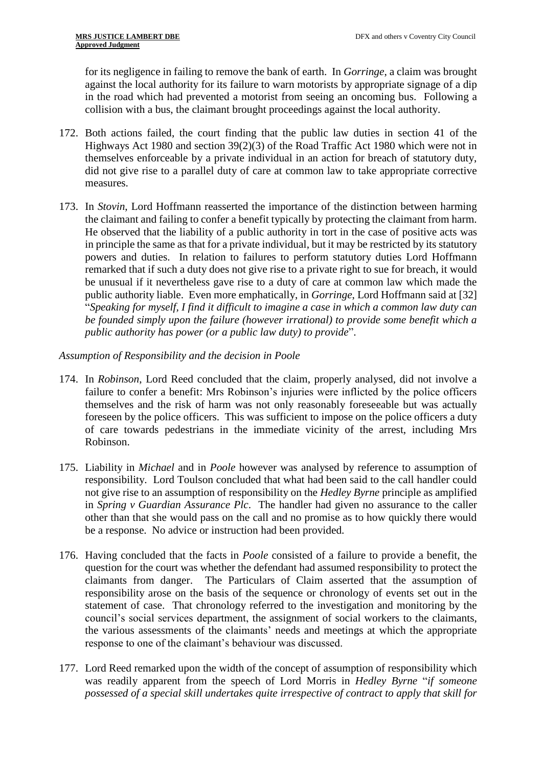for its negligence in failing to remove the bank of earth. In *Gorringe*, a claim was brought against the local authority for its failure to warn motorists by appropriate signage of a dip in the road which had prevented a motorist from seeing an oncoming bus. Following a collision with a bus, the claimant brought proceedings against the local authority.

- 172. Both actions failed, the court finding that the public law duties in section 41 of the Highways Act 1980 and section 39(2)(3) of the Road Traffic Act 1980 which were not in themselves enforceable by a private individual in an action for breach of statutory duty, did not give rise to a parallel duty of care at common law to take appropriate corrective measures.
- 173. In *Stovin*, Lord Hoffmann reasserted the importance of the distinction between harming the claimant and failing to confer a benefit typically by protecting the claimant from harm. He observed that the liability of a public authority in tort in the case of positive acts was in principle the same as that for a private individual, but it may be restricted by its statutory powers and duties. In relation to failures to perform statutory duties Lord Hoffmann remarked that if such a duty does not give rise to a private right to sue for breach, it would be unusual if it nevertheless gave rise to a duty of care at common law which made the public authority liable. Even more emphatically, in *Gorringe*, Lord Hoffmann said at [32] "*Speaking for myself, I find it difficult to imagine a case in which a common law duty can be founded simply upon the failure (however irrational) to provide some benefit which a public authority has power (or a public law duty) to provide*".

*Assumption of Responsibility and the decision in Poole*

- 174. In *Robinson*, Lord Reed concluded that the claim, properly analysed, did not involve a failure to confer a benefit: Mrs Robinson's injuries were inflicted by the police officers themselves and the risk of harm was not only reasonably foreseeable but was actually foreseen by the police officers. This was sufficient to impose on the police officers a duty of care towards pedestrians in the immediate vicinity of the arrest, including Mrs Robinson.
- 175. Liability in *Michael* and in *Poole* however was analysed by reference to assumption of responsibility. Lord Toulson concluded that what had been said to the call handler could not give rise to an assumption of responsibility on the *Hedley Byrne* principle as amplified in *Spring v Guardian Assurance Plc*. The handler had given no assurance to the caller other than that she would pass on the call and no promise as to how quickly there would be a response. No advice or instruction had been provided.
- 176. Having concluded that the facts in *Poole* consisted of a failure to provide a benefit, the question for the court was whether the defendant had assumed responsibility to protect the claimants from danger. The Particulars of Claim asserted that the assumption of responsibility arose on the basis of the sequence or chronology of events set out in the statement of case. That chronology referred to the investigation and monitoring by the council's social services department, the assignment of social workers to the claimants, the various assessments of the claimants' needs and meetings at which the appropriate response to one of the claimant's behaviour was discussed.
- 177. Lord Reed remarked upon the width of the concept of assumption of responsibility which was readily apparent from the speech of Lord Morris in *Hedley Byrne* "*if someone possessed of a special skill undertakes quite irrespective of contract to apply that skill for*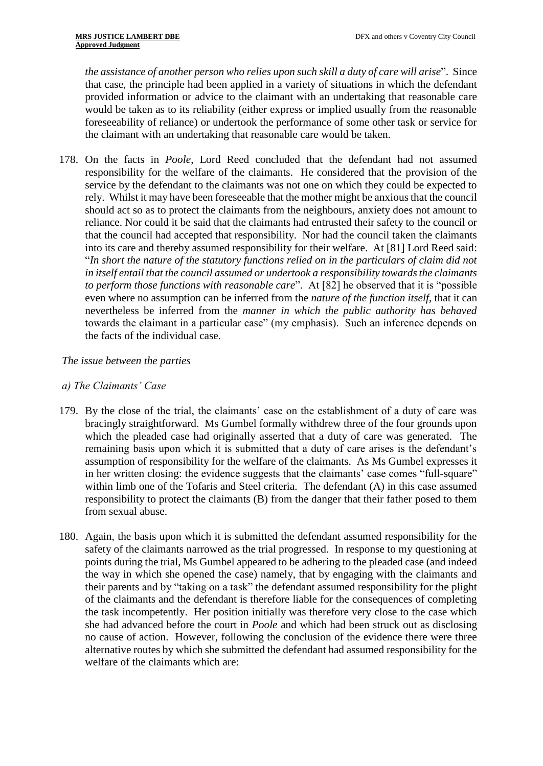*the assistance of another person who relies upon such skill a duty of care will arise*". Since that case, the principle had been applied in a variety of situations in which the defendant provided information or advice to the claimant with an undertaking that reasonable care would be taken as to its reliability (either express or implied usually from the reasonable foreseeability of reliance) or undertook the performance of some other task or service for the claimant with an undertaking that reasonable care would be taken.

178. On the facts in *Poole*, Lord Reed concluded that the defendant had not assumed responsibility for the welfare of the claimants. He considered that the provision of the service by the defendant to the claimants was not one on which they could be expected to rely. Whilst it may have been foreseeable that the mother might be anxious that the council should act so as to protect the claimants from the neighbours, anxiety does not amount to reliance. Nor could it be said that the claimants had entrusted their safety to the council or that the council had accepted that responsibility. Nor had the council taken the claimants into its care and thereby assumed responsibility for their welfare. At [81] Lord Reed said: "*In short the nature of the statutory functions relied on in the particulars of claim did not in itself entail that the council assumed or undertook a responsibility towards the claimants to perform those functions with reasonable care*". At [82] he observed that it is "possible even where no assumption can be inferred from the *nature of the function itself*, that it can nevertheless be inferred from the *manner in which the public authority has behaved* towards the claimant in a particular case" (my emphasis). Such an inference depends on the facts of the individual case.

# *The issue between the parties*

# *a) The Claimants' Case*

- 179. By the close of the trial, the claimants' case on the establishment of a duty of care was bracingly straightforward. Ms Gumbel formally withdrew three of the four grounds upon which the pleaded case had originally asserted that a duty of care was generated. The remaining basis upon which it is submitted that a duty of care arises is the defendant's assumption of responsibility for the welfare of the claimants. As Ms Gumbel expresses it in her written closing: the evidence suggests that the claimants' case comes "full-square" within limb one of the Tofaris and Steel criteria. The defendant (A) in this case assumed responsibility to protect the claimants (B) from the danger that their father posed to them from sexual abuse.
- 180. Again, the basis upon which it is submitted the defendant assumed responsibility for the safety of the claimants narrowed as the trial progressed. In response to my questioning at points during the trial, Ms Gumbel appeared to be adhering to the pleaded case (and indeed the way in which she opened the case) namely, that by engaging with the claimants and their parents and by "taking on a task" the defendant assumed responsibility for the plight of the claimants and the defendant is therefore liable for the consequences of completing the task incompetently. Her position initially was therefore very close to the case which she had advanced before the court in *Poole* and which had been struck out as disclosing no cause of action. However, following the conclusion of the evidence there were three alternative routes by which she submitted the defendant had assumed responsibility for the welfare of the claimants which are: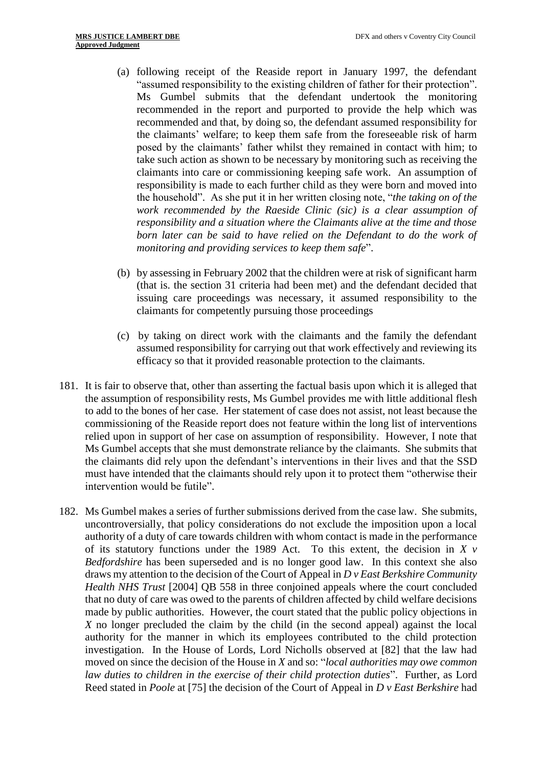- (a) following receipt of the Reaside report in January 1997, the defendant "assumed responsibility to the existing children of father for their protection". Ms Gumbel submits that the defendant undertook the monitoring recommended in the report and purported to provide the help which was recommended and that, by doing so, the defendant assumed responsibility for the claimants' welfare; to keep them safe from the foreseeable risk of harm posed by the claimants' father whilst they remained in contact with him; to take such action as shown to be necessary by monitoring such as receiving the claimants into care or commissioning keeping safe work. An assumption of responsibility is made to each further child as they were born and moved into the household". As she put it in her written closing note, "*the taking on of the work recommended by the Raeside Clinic (sic) is a clear assumption of responsibility and a situation where the Claimants alive at the time and those*  born later can be said to have relied on the Defendant to do the work of *monitoring and providing services to keep them safe*".
- (b) by assessing in February 2002 that the children were at risk of significant harm (that is. the section 31 criteria had been met) and the defendant decided that issuing care proceedings was necessary, it assumed responsibility to the claimants for competently pursuing those proceedings
- (c) by taking on direct work with the claimants and the family the defendant assumed responsibility for carrying out that work effectively and reviewing its efficacy so that it provided reasonable protection to the claimants.
- 181. It is fair to observe that, other than asserting the factual basis upon which it is alleged that the assumption of responsibility rests, Ms Gumbel provides me with little additional flesh to add to the bones of her case. Her statement of case does not assist, not least because the commissioning of the Reaside report does not feature within the long list of interventions relied upon in support of her case on assumption of responsibility. However, I note that Ms Gumbel accepts that she must demonstrate reliance by the claimants. She submits that the claimants did rely upon the defendant's interventions in their lives and that the SSD must have intended that the claimants should rely upon it to protect them "otherwise their intervention would be futile".
- 182. Ms Gumbel makes a series of further submissions derived from the case law. She submits, uncontroversially, that policy considerations do not exclude the imposition upon a local authority of a duty of care towards children with whom contact is made in the performance of its statutory functions under the 1989 Act. To this extent, the decision in *X v Bedfordshire* has been superseded and is no longer good law. In this context she also draws my attention to the decision of the Court of Appeal in *D v East Berkshire Community Health NHS Trust* [2004] QB 558 in three conjoined appeals where the court concluded that no duty of care was owed to the parents of children affected by child welfare decisions made by public authorities. However, the court stated that the public policy objections in *X* no longer precluded the claim by the child (in the second appeal) against the local authority for the manner in which its employees contributed to the child protection investigation. In the House of Lords, Lord Nicholls observed at [82] that the law had moved on since the decision of the House in *X* and so: "*local authorities may owe common law duties to children in the exercise of their child protection duties*". Further, as Lord Reed stated in *Poole* at [75] the decision of the Court of Appeal in *D v East Berkshire* had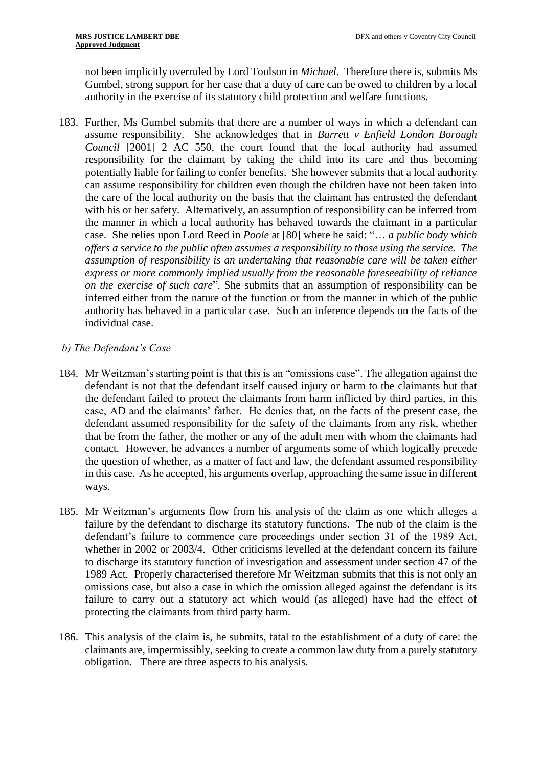not been implicitly overruled by Lord Toulson in *Michael*. Therefore there is, submits Ms Gumbel, strong support for her case that a duty of care can be owed to children by a local authority in the exercise of its statutory child protection and welfare functions.

183. Further, Ms Gumbel submits that there are a number of ways in which a defendant can assume responsibility. She acknowledges that in *Barrett v Enfield London Borough Council* [2001] 2 AC 550, the court found that the local authority had assumed responsibility for the claimant by taking the child into its care and thus becoming potentially liable for failing to confer benefits. She however submits that a local authority can assume responsibility for children even though the children have not been taken into the care of the local authority on the basis that the claimant has entrusted the defendant with his or her safety. Alternatively, an assumption of responsibility can be inferred from the manner in which a local authority has behaved towards the claimant in a particular case. She relies upon Lord Reed in *Poole* at [80] where he said: "… *a public body which offers a service to the public often assumes a responsibility to those using the service. The assumption of responsibility is an undertaking that reasonable care will be taken either express or more commonly implied usually from the reasonable foreseeability of reliance on the exercise of such care*". She submits that an assumption of responsibility can be inferred either from the nature of the function or from the manner in which of the public authority has behaved in a particular case. Such an inference depends on the facts of the individual case.

# *b) The Defendant's Case*

- 184. Mr Weitzman's starting point is that this is an "omissions case". The allegation against the defendant is not that the defendant itself caused injury or harm to the claimants but that the defendant failed to protect the claimants from harm inflicted by third parties, in this case, AD and the claimants' father. He denies that, on the facts of the present case, the defendant assumed responsibility for the safety of the claimants from any risk, whether that be from the father, the mother or any of the adult men with whom the claimants had contact. However, he advances a number of arguments some of which logically precede the question of whether, as a matter of fact and law, the defendant assumed responsibility in this case. As he accepted, his arguments overlap, approaching the same issue in different ways.
- 185. Mr Weitzman's arguments flow from his analysis of the claim as one which alleges a failure by the defendant to discharge its statutory functions. The nub of the claim is the defendant's failure to commence care proceedings under section 31 of the 1989 Act, whether in 2002 or 2003/4. Other criticisms levelled at the defendant concern its failure to discharge its statutory function of investigation and assessment under section 47 of the 1989 Act. Properly characterised therefore Mr Weitzman submits that this is not only an omissions case, but also a case in which the omission alleged against the defendant is its failure to carry out a statutory act which would (as alleged) have had the effect of protecting the claimants from third party harm.
- 186. This analysis of the claim is, he submits, fatal to the establishment of a duty of care: the claimants are, impermissibly, seeking to create a common law duty from a purely statutory obligation. There are three aspects to his analysis.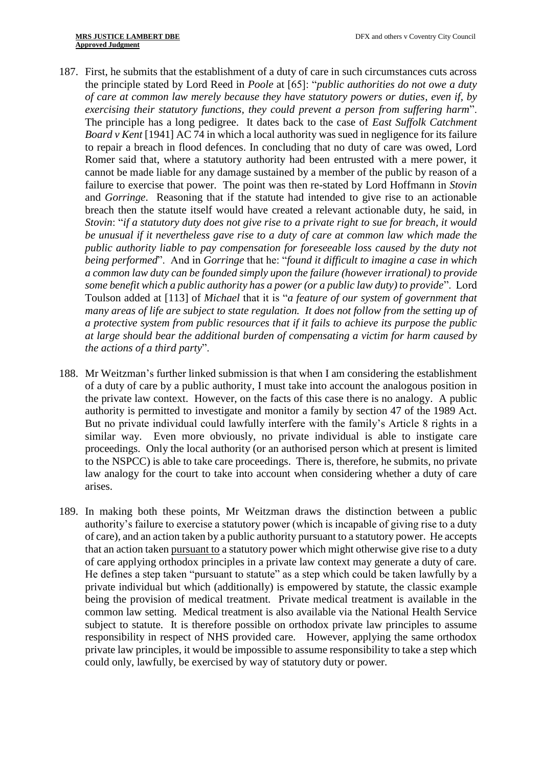- 187. First, he submits that the establishment of a duty of care in such circumstances cuts across the principle stated by Lord Reed in *Poole* at [65]: "*public authorities do not owe a duty of care at common law merely because they have statutory powers or duties, even if, by exercising their statutory functions, they could prevent a person from suffering harm*". The principle has a long pedigree. It dates back to the case of *East Suffolk Catchment Board v Kent* [1941] AC 74 in which a local authority was sued in negligence for its failure to repair a breach in flood defences. In concluding that no duty of care was owed, Lord Romer said that, where a statutory authority had been entrusted with a mere power, it cannot be made liable for any damage sustained by a member of the public by reason of a failure to exercise that power. The point was then re-stated by Lord Hoffmann in *Stovin* and *Gorringe*. Reasoning that if the statute had intended to give rise to an actionable breach then the statute itself would have created a relevant actionable duty, he said, in *Stovin*: "*if a statutory duty does not give rise to a private right to sue for breach, it would be unusual if it nevertheless gave rise to a duty of care at common law which made the public authority liable to pay compensation for foreseeable loss caused by the duty not being performed*". And in *Gorringe* that he: "*found it difficult to imagine a case in which a common law duty can be founded simply upon the failure (however irrational) to provide some benefit which a public authority has a power (or a public law duty) to provide*". Lord Toulson added at [113] of *Michael* that it is "*a feature of our system of government that many areas of life are subject to state regulation. It does not follow from the setting up of a protective system from public resources that if it fails to achieve its purpose the public at large should bear the additional burden of compensating a victim for harm caused by the actions of a third party*".
- 188. Mr Weitzman's further linked submission is that when I am considering the establishment of a duty of care by a public authority, I must take into account the analogous position in the private law context. However, on the facts of this case there is no analogy. A public authority is permitted to investigate and monitor a family by section 47 of the 1989 Act. But no private individual could lawfully interfere with the family's Article 8 rights in a similar way. Even more obviously, no private individual is able to instigate care proceedings. Only the local authority (or an authorised person which at present is limited to the NSPCC) is able to take care proceedings. There is, therefore, he submits, no private law analogy for the court to take into account when considering whether a duty of care arises.
- 189. In making both these points, Mr Weitzman draws the distinction between a public authority's failure to exercise a statutory power (which is incapable of giving rise to a duty of care), and an action taken by a public authority pursuant to a statutory power. He accepts that an action taken pursuant to a statutory power which might otherwise give rise to a duty of care applying orthodox principles in a private law context may generate a duty of care. He defines a step taken "pursuant to statute" as a step which could be taken lawfully by a private individual but which (additionally) is empowered by statute, the classic example being the provision of medical treatment. Private medical treatment is available in the common law setting. Medical treatment is also available via the National Health Service subject to statute. It is therefore possible on orthodox private law principles to assume responsibility in respect of NHS provided care. However, applying the same orthodox private law principles, it would be impossible to assume responsibility to take a step which could only, lawfully, be exercised by way of statutory duty or power.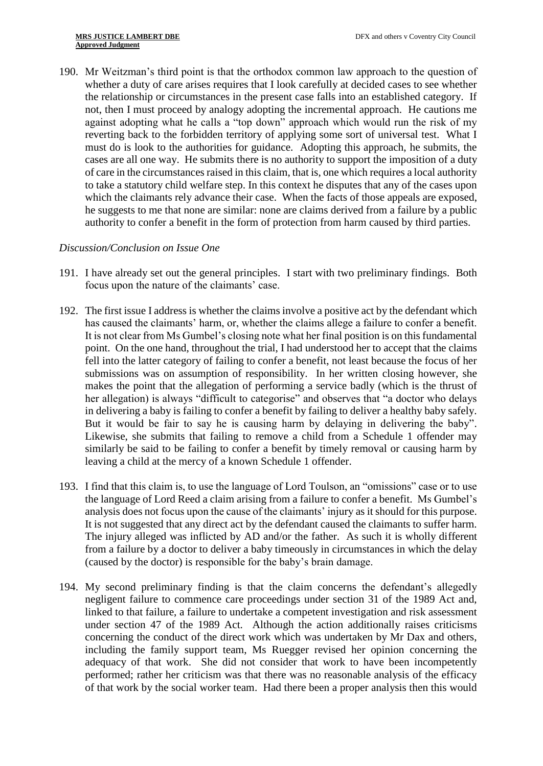190. Mr Weitzman's third point is that the orthodox common law approach to the question of whether a duty of care arises requires that I look carefully at decided cases to see whether the relationship or circumstances in the present case falls into an established category. If not, then I must proceed by analogy adopting the incremental approach. He cautions me against adopting what he calls a "top down" approach which would run the risk of my reverting back to the forbidden territory of applying some sort of universal test. What I must do is look to the authorities for guidance. Adopting this approach, he submits, the cases are all one way. He submits there is no authority to support the imposition of a duty of care in the circumstances raised in this claim, that is, one which requires a local authority to take a statutory child welfare step. In this context he disputes that any of the cases upon which the claimants rely advance their case. When the facts of those appeals are exposed, he suggests to me that none are similar: none are claims derived from a failure by a public authority to confer a benefit in the form of protection from harm caused by third parties.

# *Discussion/Conclusion on Issue One*

- 191. I have already set out the general principles. I start with two preliminary findings. Both focus upon the nature of the claimants' case.
- 192. The first issue I address is whether the claims involve a positive act by the defendant which has caused the claimants' harm, or, whether the claims allege a failure to confer a benefit. It is not clear from Ms Gumbel's closing note what her final position is on this fundamental point. On the one hand, throughout the trial, I had understood her to accept that the claims fell into the latter category of failing to confer a benefit, not least because the focus of her submissions was on assumption of responsibility. In her written closing however, she makes the point that the allegation of performing a service badly (which is the thrust of her allegation) is always "difficult to categorise" and observes that "a doctor who delays in delivering a baby is failing to confer a benefit by failing to deliver a healthy baby safely. But it would be fair to say he is causing harm by delaying in delivering the baby". Likewise, she submits that failing to remove a child from a Schedule 1 offender may similarly be said to be failing to confer a benefit by timely removal or causing harm by leaving a child at the mercy of a known Schedule 1 offender.
- 193. I find that this claim is, to use the language of Lord Toulson, an "omissions" case or to use the language of Lord Reed a claim arising from a failure to confer a benefit. Ms Gumbel's analysis does not focus upon the cause of the claimants' injury as it should for this purpose. It is not suggested that any direct act by the defendant caused the claimants to suffer harm. The injury alleged was inflicted by AD and/or the father. As such it is wholly different from a failure by a doctor to deliver a baby timeously in circumstances in which the delay (caused by the doctor) is responsible for the baby's brain damage.
- 194. My second preliminary finding is that the claim concerns the defendant's allegedly negligent failure to commence care proceedings under section 31 of the 1989 Act and, linked to that failure, a failure to undertake a competent investigation and risk assessment under section 47 of the 1989 Act. Although the action additionally raises criticisms concerning the conduct of the direct work which was undertaken by Mr Dax and others, including the family support team, Ms Ruegger revised her opinion concerning the adequacy of that work. She did not consider that work to have been incompetently performed; rather her criticism was that there was no reasonable analysis of the efficacy of that work by the social worker team. Had there been a proper analysis then this would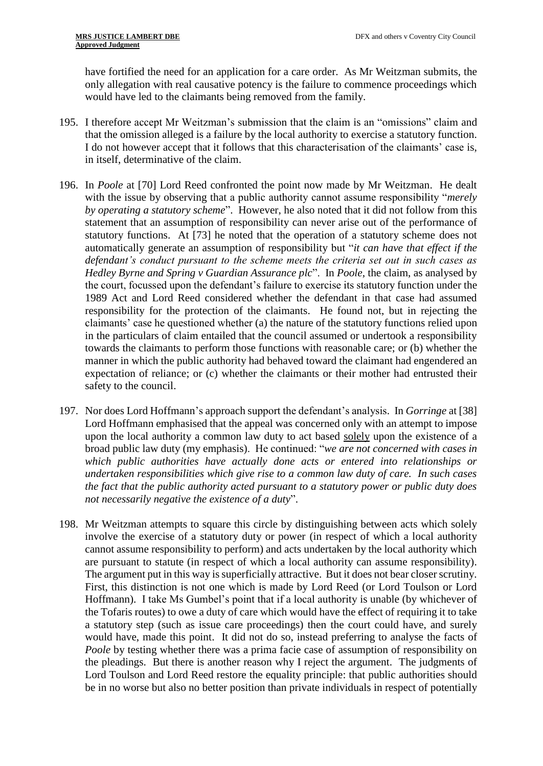have fortified the need for an application for a care order. As Mr Weitzman submits, the only allegation with real causative potency is the failure to commence proceedings which would have led to the claimants being removed from the family.

- 195. I therefore accept Mr Weitzman's submission that the claim is an "omissions" claim and that the omission alleged is a failure by the local authority to exercise a statutory function. I do not however accept that it follows that this characterisation of the claimants' case is, in itself, determinative of the claim.
- 196. In *Poole* at [70] Lord Reed confronted the point now made by Mr Weitzman. He dealt with the issue by observing that a public authority cannot assume responsibility "*merely by operating a statutory scheme*". However, he also noted that it did not follow from this statement that an assumption of responsibility can never arise out of the performance of statutory functions. At [73] he noted that the operation of a statutory scheme does not automatically generate an assumption of responsibility but "*it can have that effect if the defendant's conduct pursuant to the scheme meets the criteria set out in such cases as Hedley Byrne and Spring v Guardian Assurance plc*". In *Poole*, the claim, as analysed by the court, focussed upon the defendant's failure to exercise its statutory function under the 1989 Act and Lord Reed considered whether the defendant in that case had assumed responsibility for the protection of the claimants. He found not, but in rejecting the claimants' case he questioned whether (a) the nature of the statutory functions relied upon in the particulars of claim entailed that the council assumed or undertook a responsibility towards the claimants to perform those functions with reasonable care; or (b) whether the manner in which the public authority had behaved toward the claimant had engendered an expectation of reliance; or (c) whether the claimants or their mother had entrusted their safety to the council.
- 197. Nor does Lord Hoffmann's approach support the defendant's analysis. In *Gorringe* at [38] Lord Hoffmann emphasised that the appeal was concerned only with an attempt to impose upon the local authority a common law duty to act based solely upon the existence of a broad public law duty (my emphasis). He continued: "*we are not concerned with cases in which public authorities have actually done acts or entered into relationships or undertaken responsibilities which give rise to a common law duty of care. In such cases the fact that the public authority acted pursuant to a statutory power or public duty does not necessarily negative the existence of a duty*".
- 198. Mr Weitzman attempts to square this circle by distinguishing between acts which solely involve the exercise of a statutory duty or power (in respect of which a local authority cannot assume responsibility to perform) and acts undertaken by the local authority which are pursuant to statute (in respect of which a local authority can assume responsibility). The argument put in this way is superficially attractive. But it does not bear closer scrutiny. First, this distinction is not one which is made by Lord Reed (or Lord Toulson or Lord Hoffmann). I take Ms Gumbel's point that if a local authority is unable (by whichever of the Tofaris routes) to owe a duty of care which would have the effect of requiring it to take a statutory step (such as issue care proceedings) then the court could have, and surely would have, made this point. It did not do so, instead preferring to analyse the facts of *Poole* by testing whether there was a prima facie case of assumption of responsibility on the pleadings. But there is another reason why I reject the argument. The judgments of Lord Toulson and Lord Reed restore the equality principle: that public authorities should be in no worse but also no better position than private individuals in respect of potentially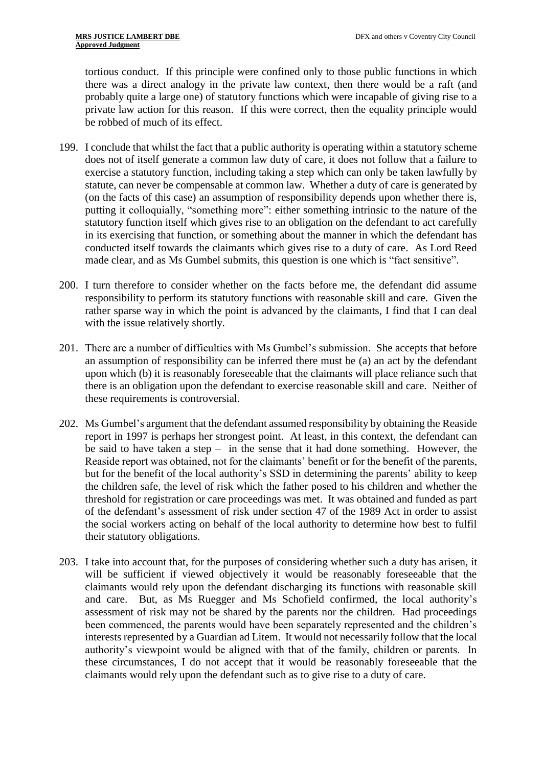tortious conduct. If this principle were confined only to those public functions in which there was a direct analogy in the private law context, then there would be a raft (and probably quite a large one) of statutory functions which were incapable of giving rise to a private law action for this reason. If this were correct, then the equality principle would be robbed of much of its effect.

- 199. I conclude that whilst the fact that a public authority is operating within a statutory scheme does not of itself generate a common law duty of care, it does not follow that a failure to exercise a statutory function, including taking a step which can only be taken lawfully by statute, can never be compensable at common law. Whether a duty of care is generated by (on the facts of this case) an assumption of responsibility depends upon whether there is, putting it colloquially, "something more": either something intrinsic to the nature of the statutory function itself which gives rise to an obligation on the defendant to act carefully in its exercising that function, or something about the manner in which the defendant has conducted itself towards the claimants which gives rise to a duty of care. As Lord Reed made clear, and as Ms Gumbel submits, this question is one which is "fact sensitive".
- 200. I turn therefore to consider whether on the facts before me, the defendant did assume responsibility to perform its statutory functions with reasonable skill and care. Given the rather sparse way in which the point is advanced by the claimants, I find that I can deal with the issue relatively shortly.
- 201. There are a number of difficulties with Ms Gumbel's submission. She accepts that before an assumption of responsibility can be inferred there must be (a) an act by the defendant upon which (b) it is reasonably foreseeable that the claimants will place reliance such that there is an obligation upon the defendant to exercise reasonable skill and care. Neither of these requirements is controversial.
- 202. Ms Gumbel's argument that the defendant assumed responsibility by obtaining the Reaside report in 1997 is perhaps her strongest point. At least, in this context, the defendant can be said to have taken a step – in the sense that it had done something. However, the Reaside report was obtained, not for the claimants' benefit or for the benefit of the parents, but for the benefit of the local authority's SSD in determining the parents' ability to keep the children safe, the level of risk which the father posed to his children and whether the threshold for registration or care proceedings was met. It was obtained and funded as part of the defendant's assessment of risk under section 47 of the 1989 Act in order to assist the social workers acting on behalf of the local authority to determine how best to fulfil their statutory obligations.
- 203. I take into account that, for the purposes of considering whether such a duty has arisen, it will be sufficient if viewed objectively it would be reasonably foreseeable that the claimants would rely upon the defendant discharging its functions with reasonable skill and care. But, as Ms Ruegger and Ms Schofield confirmed, the local authority's assessment of risk may not be shared by the parents nor the children. Had proceedings been commenced, the parents would have been separately represented and the children's interests represented by a Guardian ad Litem. It would not necessarily follow that the local authority's viewpoint would be aligned with that of the family, children or parents. In these circumstances, I do not accept that it would be reasonably foreseeable that the claimants would rely upon the defendant such as to give rise to a duty of care.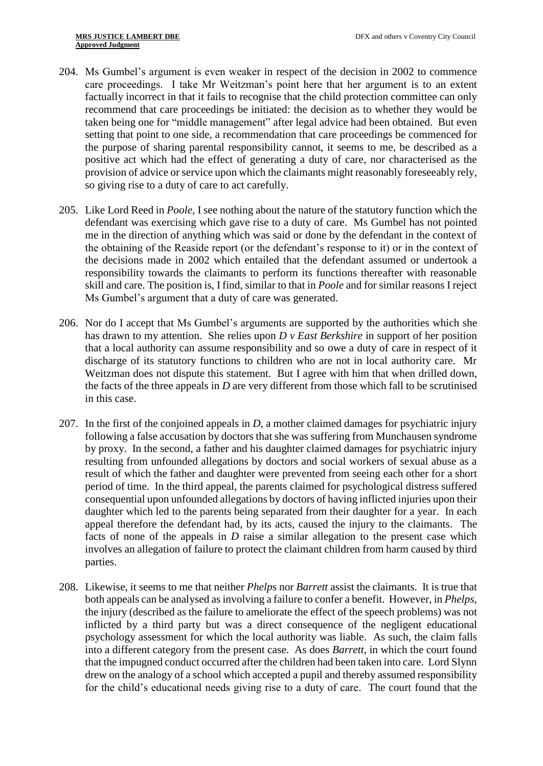- 204. Ms Gumbel's argument is even weaker in respect of the decision in 2002 to commence care proceedings. I take Mr Weitzman's point here that her argument is to an extent factually incorrect in that it fails to recognise that the child protection committee can only recommend that care proceedings be initiated: the decision as to whether they would be taken being one for "middle management" after legal advice had been obtained. But even setting that point to one side, a recommendation that care proceedings be commenced for the purpose of sharing parental responsibility cannot, it seems to me, be described as a positive act which had the effect of generating a duty of care, nor characterised as the provision of advice or service upon which the claimants might reasonably foreseeably rely, so giving rise to a duty of care to act carefully.
- 205. Like Lord Reed in *Poole,* I see nothing about the nature of the statutory function which the defendant was exercising which gave rise to a duty of care. Ms Gumbel has not pointed me in the direction of anything which was said or done by the defendant in the context of the obtaining of the Reaside report (or the defendant's response to it) or in the context of the decisions made in 2002 which entailed that the defendant assumed or undertook a responsibility towards the claimants to perform its functions thereafter with reasonable skill and care. The position is, I find, similar to that in *Poole* and for similar reasons I reject Ms Gumbel's argument that a duty of care was generated.
- 206. Nor do I accept that Ms Gumbel's arguments are supported by the authorities which she has drawn to my attention. She relies upon *D v East Berkshire* in support of her position that a local authority can assume responsibility and so owe a duty of care in respect of it discharge of its statutory functions to children who are not in local authority care. Mr Weitzman does not dispute this statement. But I agree with him that when drilled down, the facts of the three appeals in *D* are very different from those which fall to be scrutinised in this case.
- 207. In the first of the conjoined appeals in *D*, a mother claimed damages for psychiatric injury following a false accusation by doctors that she was suffering from Munchausen syndrome by proxy. In the second, a father and his daughter claimed damages for psychiatric injury resulting from unfounded allegations by doctors and social workers of sexual abuse as a result of which the father and daughter were prevented from seeing each other for a short period of time. In the third appeal, the parents claimed for psychological distress suffered consequential upon unfounded allegations by doctors of having inflicted injuries upon their daughter which led to the parents being separated from their daughter for a year. In each appeal therefore the defendant had, by its acts, caused the injury to the claimants. The facts of none of the appeals in *D* raise a similar allegation to the present case which involves an allegation of failure to protect the claimant children from harm caused by third parties.
- 208. Likewise, it seems to me that neither *Phelp*s nor *Barrett* assist the claimants. It is true that both appeals can be analysed as involving a failure to confer a benefit. However, in *Phelps,* the injury (described as the failure to ameliorate the effect of the speech problems) was not inflicted by a third party but was a direct consequence of the negligent educational psychology assessment for which the local authority was liable. As such, the claim falls into a different category from the present case. As does *Barrett*, in which the court found that the impugned conduct occurred after the children had been taken into care. Lord Slynn drew on the analogy of a school which accepted a pupil and thereby assumed responsibility for the child's educational needs giving rise to a duty of care. The court found that the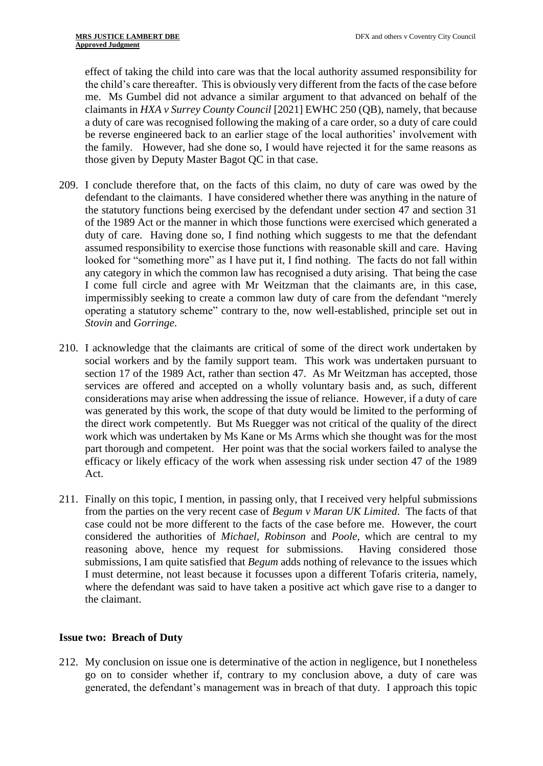effect of taking the child into care was that the local authority assumed responsibility for the child's care thereafter. This is obviously very different from the facts of the case before me. Ms Gumbel did not advance a similar argument to that advanced on behalf of the claimants in *HXA v Surrey County Council* [2021] EWHC 250 (QB), namely, that because a duty of care was recognised following the making of a care order, so a duty of care could be reverse engineered back to an earlier stage of the local authorities' involvement with the family. However, had she done so, I would have rejected it for the same reasons as those given by Deputy Master Bagot QC in that case.

- 209. I conclude therefore that, on the facts of this claim, no duty of care was owed by the defendant to the claimants. I have considered whether there was anything in the nature of the statutory functions being exercised by the defendant under section 47 and section 31 of the 1989 Act or the manner in which those functions were exercised which generated a duty of care. Having done so, I find nothing which suggests to me that the defendant assumed responsibility to exercise those functions with reasonable skill and care. Having looked for "something more" as I have put it, I find nothing. The facts do not fall within any category in which the common law has recognised a duty arising. That being the case I come full circle and agree with Mr Weitzman that the claimants are, in this case, impermissibly seeking to create a common law duty of care from the defendant "merely operating a statutory scheme" contrary to the, now well-established, principle set out in *Stovin* and *Gorringe*.
- 210. I acknowledge that the claimants are critical of some of the direct work undertaken by social workers and by the family support team. This work was undertaken pursuant to section 17 of the 1989 Act, rather than section 47. As Mr Weitzman has accepted, those services are offered and accepted on a wholly voluntary basis and, as such, different considerations may arise when addressing the issue of reliance. However, if a duty of care was generated by this work, the scope of that duty would be limited to the performing of the direct work competently. But Ms Ruegger was not critical of the quality of the direct work which was undertaken by Ms Kane or Ms Arms which she thought was for the most part thorough and competent. Her point was that the social workers failed to analyse the efficacy or likely efficacy of the work when assessing risk under section 47 of the 1989 Act.
- 211. Finally on this topic, I mention, in passing only, that I received very helpful submissions from the parties on the very recent case of *Begum v Maran UK Limited*. The facts of that case could not be more different to the facts of the case before me. However, the court considered the authorities of *Michael, Robinson* and *Poole*, which are central to my reasoning above, hence my request for submissions. Having considered those submissions, I am quite satisfied that *Begum* adds nothing of relevance to the issues which I must determine, not least because it focusses upon a different Tofaris criteria, namely, where the defendant was said to have taken a positive act which gave rise to a danger to the claimant.

# **Issue two: Breach of Duty**

212. My conclusion on issue one is determinative of the action in negligence, but I nonetheless go on to consider whether if, contrary to my conclusion above, a duty of care was generated, the defendant's management was in breach of that duty. I approach this topic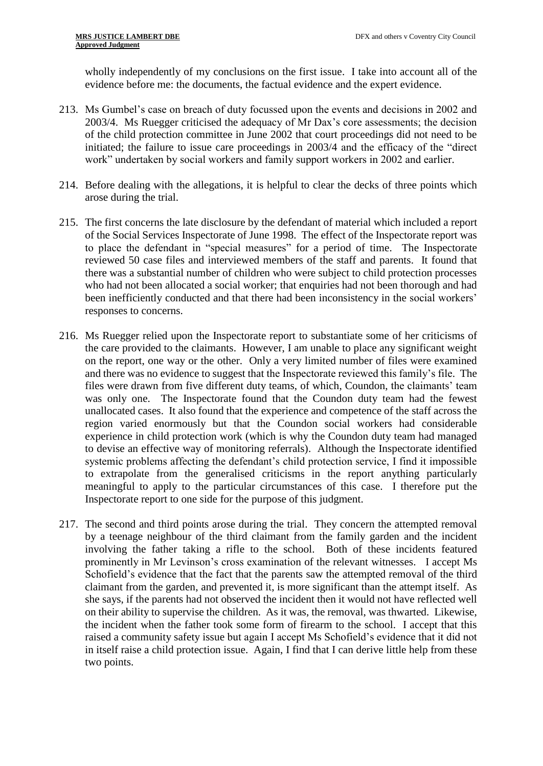wholly independently of my conclusions on the first issue. I take into account all of the evidence before me: the documents, the factual evidence and the expert evidence.

- 213. Ms Gumbel's case on breach of duty focussed upon the events and decisions in 2002 and 2003/4. Ms Ruegger criticised the adequacy of Mr Dax's core assessments; the decision of the child protection committee in June 2002 that court proceedings did not need to be initiated; the failure to issue care proceedings in 2003/4 and the efficacy of the "direct work" undertaken by social workers and family support workers in 2002 and earlier.
- 214. Before dealing with the allegations, it is helpful to clear the decks of three points which arose during the trial.
- 215. The first concerns the late disclosure by the defendant of material which included a report of the Social Services Inspectorate of June 1998. The effect of the Inspectorate report was to place the defendant in "special measures" for a period of time. The Inspectorate reviewed 50 case files and interviewed members of the staff and parents. It found that there was a substantial number of children who were subject to child protection processes who had not been allocated a social worker; that enquiries had not been thorough and had been inefficiently conducted and that there had been inconsistency in the social workers' responses to concerns.
- 216. Ms Ruegger relied upon the Inspectorate report to substantiate some of her criticisms of the care provided to the claimants. However, I am unable to place any significant weight on the report, one way or the other. Only a very limited number of files were examined and there was no evidence to suggest that the Inspectorate reviewed this family's file. The files were drawn from five different duty teams, of which, Coundon, the claimants' team was only one. The Inspectorate found that the Coundon duty team had the fewest unallocated cases. It also found that the experience and competence of the staff across the region varied enormously but that the Coundon social workers had considerable experience in child protection work (which is why the Coundon duty team had managed to devise an effective way of monitoring referrals). Although the Inspectorate identified systemic problems affecting the defendant's child protection service, I find it impossible to extrapolate from the generalised criticisms in the report anything particularly meaningful to apply to the particular circumstances of this case. I therefore put the Inspectorate report to one side for the purpose of this judgment.
- 217. The second and third points arose during the trial. They concern the attempted removal by a teenage neighbour of the third claimant from the family garden and the incident involving the father taking a rifle to the school. Both of these incidents featured prominently in Mr Levinson's cross examination of the relevant witnesses. I accept Ms Schofield's evidence that the fact that the parents saw the attempted removal of the third claimant from the garden, and prevented it, is more significant than the attempt itself. As she says, if the parents had not observed the incident then it would not have reflected well on their ability to supervise the children. As it was, the removal, was thwarted. Likewise, the incident when the father took some form of firearm to the school. I accept that this raised a community safety issue but again I accept Ms Schofield's evidence that it did not in itself raise a child protection issue. Again, I find that I can derive little help from these two points.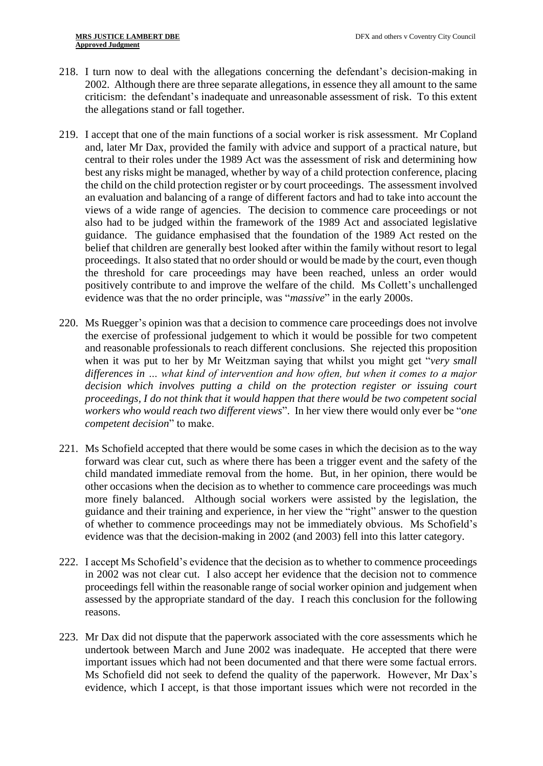- 218. I turn now to deal with the allegations concerning the defendant's decision-making in 2002. Although there are three separate allegations, in essence they all amount to the same criticism: the defendant's inadequate and unreasonable assessment of risk. To this extent the allegations stand or fall together.
- 219. I accept that one of the main functions of a social worker is risk assessment. Mr Copland and, later Mr Dax, provided the family with advice and support of a practical nature, but central to their roles under the 1989 Act was the assessment of risk and determining how best any risks might be managed, whether by way of a child protection conference, placing the child on the child protection register or by court proceedings. The assessment involved an evaluation and balancing of a range of different factors and had to take into account the views of a wide range of agencies. The decision to commence care proceedings or not also had to be judged within the framework of the 1989 Act and associated legislative guidance. The guidance emphasised that the foundation of the 1989 Act rested on the belief that children are generally best looked after within the family without resort to legal proceedings. It also stated that no order should or would be made by the court, even though the threshold for care proceedings may have been reached, unless an order would positively contribute to and improve the welfare of the child. Ms Collett's unchallenged evidence was that the no order principle, was "*massive*" in the early 2000s.
- 220. Ms Ruegger's opinion was that a decision to commence care proceedings does not involve the exercise of professional judgement to which it would be possible for two competent and reasonable professionals to reach different conclusions. She rejected this proposition when it was put to her by Mr Weitzman saying that whilst you might get "*very small differences in … what kind of intervention and how often, but when it comes to a major decision which involves putting a child on the protection register or issuing court proceedings, I do not think that it would happen that there would be two competent social workers who would reach two different views*". In her view there would only ever be "*one competent decision*" to make.
- 221. Ms Schofield accepted that there would be some cases in which the decision as to the way forward was clear cut, such as where there has been a trigger event and the safety of the child mandated immediate removal from the home. But, in her opinion, there would be other occasions when the decision as to whether to commence care proceedings was much more finely balanced. Although social workers were assisted by the legislation, the guidance and their training and experience, in her view the "right" answer to the question of whether to commence proceedings may not be immediately obvious. Ms Schofield's evidence was that the decision-making in 2002 (and 2003) fell into this latter category.
- 222. I accept Ms Schofield's evidence that the decision as to whether to commence proceedings in 2002 was not clear cut. I also accept her evidence that the decision not to commence proceedings fell within the reasonable range of social worker opinion and judgement when assessed by the appropriate standard of the day. I reach this conclusion for the following reasons.
- 223. Mr Dax did not dispute that the paperwork associated with the core assessments which he undertook between March and June 2002 was inadequate. He accepted that there were important issues which had not been documented and that there were some factual errors. Ms Schofield did not seek to defend the quality of the paperwork. However, Mr Dax's evidence, which I accept, is that those important issues which were not recorded in the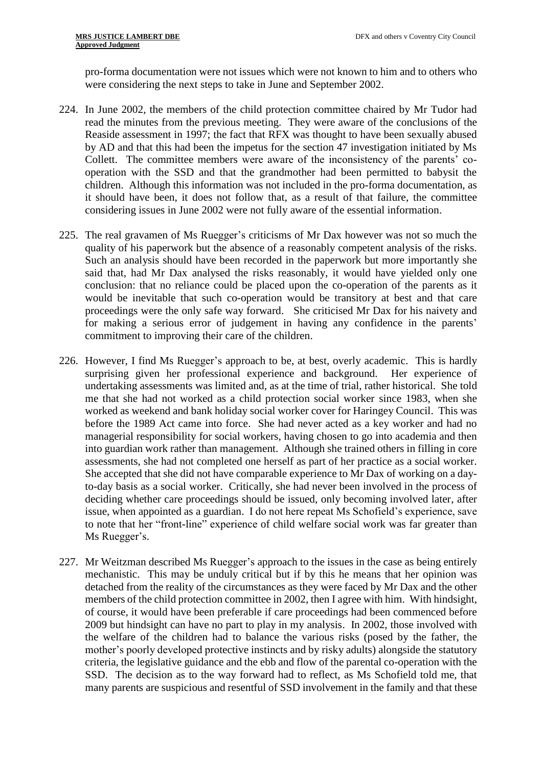pro-forma documentation were not issues which were not known to him and to others who were considering the next steps to take in June and September 2002.

- 224. In June 2002, the members of the child protection committee chaired by Mr Tudor had read the minutes from the previous meeting. They were aware of the conclusions of the Reaside assessment in 1997; the fact that RFX was thought to have been sexually abused by AD and that this had been the impetus for the section 47 investigation initiated by Ms Collett. The committee members were aware of the inconsistency of the parents' cooperation with the SSD and that the grandmother had been permitted to babysit the children. Although this information was not included in the pro-forma documentation, as it should have been, it does not follow that, as a result of that failure, the committee considering issues in June 2002 were not fully aware of the essential information.
- 225. The real gravamen of Ms Ruegger's criticisms of Mr Dax however was not so much the quality of his paperwork but the absence of a reasonably competent analysis of the risks. Such an analysis should have been recorded in the paperwork but more importantly she said that, had Mr Dax analysed the risks reasonably, it would have yielded only one conclusion: that no reliance could be placed upon the co-operation of the parents as it would be inevitable that such co-operation would be transitory at best and that care proceedings were the only safe way forward. She criticised Mr Dax for his naivety and for making a serious error of judgement in having any confidence in the parents' commitment to improving their care of the children.
- 226. However, I find Ms Ruegger's approach to be, at best, overly academic. This is hardly surprising given her professional experience and background. Her experience of undertaking assessments was limited and, as at the time of trial, rather historical. She told me that she had not worked as a child protection social worker since 1983, when she worked as weekend and bank holiday social worker cover for Haringey Council. This was before the 1989 Act came into force. She had never acted as a key worker and had no managerial responsibility for social workers, having chosen to go into academia and then into guardian work rather than management. Although she trained others in filling in core assessments, she had not completed one herself as part of her practice as a social worker. She accepted that she did not have comparable experience to Mr Dax of working on a dayto-day basis as a social worker. Critically, she had never been involved in the process of deciding whether care proceedings should be issued, only becoming involved later, after issue, when appointed as a guardian. I do not here repeat Ms Schofield's experience, save to note that her "front-line" experience of child welfare social work was far greater than Ms Ruegger's.
- 227. Mr Weitzman described Ms Ruegger's approach to the issues in the case as being entirely mechanistic. This may be unduly critical but if by this he means that her opinion was detached from the reality of the circumstances as they were faced by Mr Dax and the other members of the child protection committee in 2002, then I agree with him. With hindsight, of course, it would have been preferable if care proceedings had been commenced before 2009 but hindsight can have no part to play in my analysis. In 2002, those involved with the welfare of the children had to balance the various risks (posed by the father, the mother's poorly developed protective instincts and by risky adults) alongside the statutory criteria, the legislative guidance and the ebb and flow of the parental co-operation with the SSD. The decision as to the way forward had to reflect, as Ms Schofield told me, that many parents are suspicious and resentful of SSD involvement in the family and that these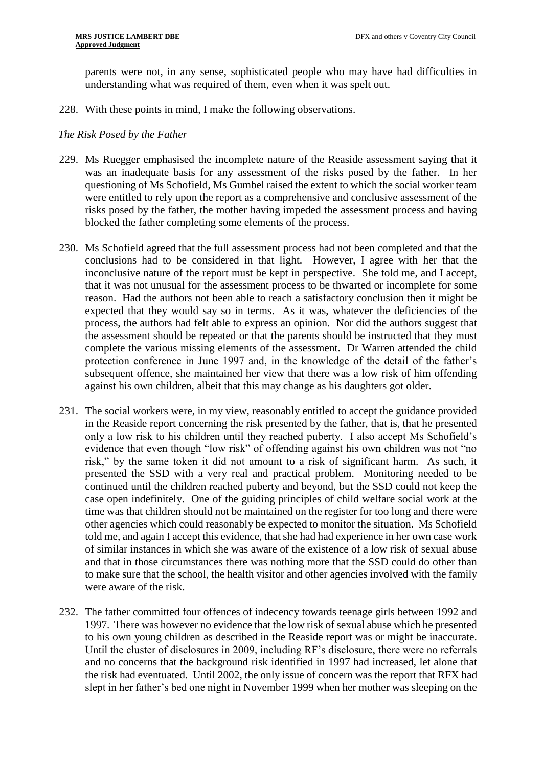parents were not, in any sense, sophisticated people who may have had difficulties in understanding what was required of them, even when it was spelt out.

228. With these points in mind, I make the following observations.

# *The Risk Posed by the Father*

- 229. Ms Ruegger emphasised the incomplete nature of the Reaside assessment saying that it was an inadequate basis for any assessment of the risks posed by the father. In her questioning of Ms Schofield, Ms Gumbel raised the extent to which the social worker team were entitled to rely upon the report as a comprehensive and conclusive assessment of the risks posed by the father, the mother having impeded the assessment process and having blocked the father completing some elements of the process.
- 230. Ms Schofield agreed that the full assessment process had not been completed and that the conclusions had to be considered in that light. However, I agree with her that the inconclusive nature of the report must be kept in perspective. She told me, and I accept, that it was not unusual for the assessment process to be thwarted or incomplete for some reason. Had the authors not been able to reach a satisfactory conclusion then it might be expected that they would say so in terms. As it was, whatever the deficiencies of the process, the authors had felt able to express an opinion. Nor did the authors suggest that the assessment should be repeated or that the parents should be instructed that they must complete the various missing elements of the assessment. Dr Warren attended the child protection conference in June 1997 and, in the knowledge of the detail of the father's subsequent offence, she maintained her view that there was a low risk of him offending against his own children, albeit that this may change as his daughters got older.
- 231. The social workers were, in my view, reasonably entitled to accept the guidance provided in the Reaside report concerning the risk presented by the father, that is, that he presented only a low risk to his children until they reached puberty. I also accept Ms Schofield's evidence that even though "low risk" of offending against his own children was not "no risk," by the same token it did not amount to a risk of significant harm. As such, it presented the SSD with a very real and practical problem. Monitoring needed to be continued until the children reached puberty and beyond, but the SSD could not keep the case open indefinitely. One of the guiding principles of child welfare social work at the time was that children should not be maintained on the register for too long and there were other agencies which could reasonably be expected to monitor the situation. Ms Schofield told me, and again I accept this evidence, that she had had experience in her own case work of similar instances in which she was aware of the existence of a low risk of sexual abuse and that in those circumstances there was nothing more that the SSD could do other than to make sure that the school, the health visitor and other agencies involved with the family were aware of the risk.
- 232. The father committed four offences of indecency towards teenage girls between 1992 and 1997. There was however no evidence that the low risk of sexual abuse which he presented to his own young children as described in the Reaside report was or might be inaccurate. Until the cluster of disclosures in 2009, including RF's disclosure, there were no referrals and no concerns that the background risk identified in 1997 had increased, let alone that the risk had eventuated. Until 2002, the only issue of concern was the report that RFX had slept in her father's bed one night in November 1999 when her mother was sleeping on the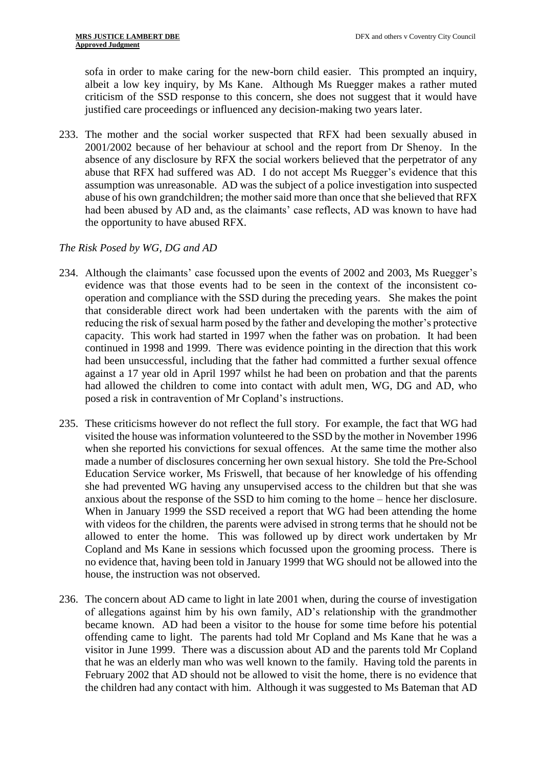sofa in order to make caring for the new-born child easier. This prompted an inquiry, albeit a low key inquiry, by Ms Kane. Although Ms Ruegger makes a rather muted criticism of the SSD response to this concern, she does not suggest that it would have justified care proceedings or influenced any decision-making two years later.

233. The mother and the social worker suspected that RFX had been sexually abused in 2001/2002 because of her behaviour at school and the report from Dr Shenoy. In the absence of any disclosure by RFX the social workers believed that the perpetrator of any abuse that RFX had suffered was AD. I do not accept Ms Ruegger's evidence that this assumption was unreasonable. AD was the subject of a police investigation into suspected abuse of his own grandchildren; the mother said more than once that she believed that RFX had been abused by AD and, as the claimants' case reflects, AD was known to have had the opportunity to have abused RFX.

# *The Risk Posed by WG, DG and AD*

- 234. Although the claimants' case focussed upon the events of 2002 and 2003, Ms Ruegger's evidence was that those events had to be seen in the context of the inconsistent cooperation and compliance with the SSD during the preceding years. She makes the point that considerable direct work had been undertaken with the parents with the aim of reducing the risk of sexual harm posed by the father and developing the mother's protective capacity. This work had started in 1997 when the father was on probation. It had been continued in 1998 and 1999. There was evidence pointing in the direction that this work had been unsuccessful, including that the father had committed a further sexual offence against a 17 year old in April 1997 whilst he had been on probation and that the parents had allowed the children to come into contact with adult men, WG, DG and AD, who posed a risk in contravention of Mr Copland's instructions.
- 235. These criticisms however do not reflect the full story. For example, the fact that WG had visited the house was information volunteered to the SSD by the mother in November 1996 when she reported his convictions for sexual offences. At the same time the mother also made a number of disclosures concerning her own sexual history. She told the Pre-School Education Service worker, Ms Friswell, that because of her knowledge of his offending she had prevented WG having any unsupervised access to the children but that she was anxious about the response of the SSD to him coming to the home – hence her disclosure. When in January 1999 the SSD received a report that WG had been attending the home with videos for the children, the parents were advised in strong terms that he should not be allowed to enter the home. This was followed up by direct work undertaken by Mr Copland and Ms Kane in sessions which focussed upon the grooming process. There is no evidence that, having been told in January 1999 that WG should not be allowed into the house, the instruction was not observed.
- 236. The concern about AD came to light in late 2001 when, during the course of investigation of allegations against him by his own family, AD's relationship with the grandmother became known. AD had been a visitor to the house for some time before his potential offending came to light. The parents had told Mr Copland and Ms Kane that he was a visitor in June 1999. There was a discussion about AD and the parents told Mr Copland that he was an elderly man who was well known to the family. Having told the parents in February 2002 that AD should not be allowed to visit the home, there is no evidence that the children had any contact with him. Although it was suggested to Ms Bateman that AD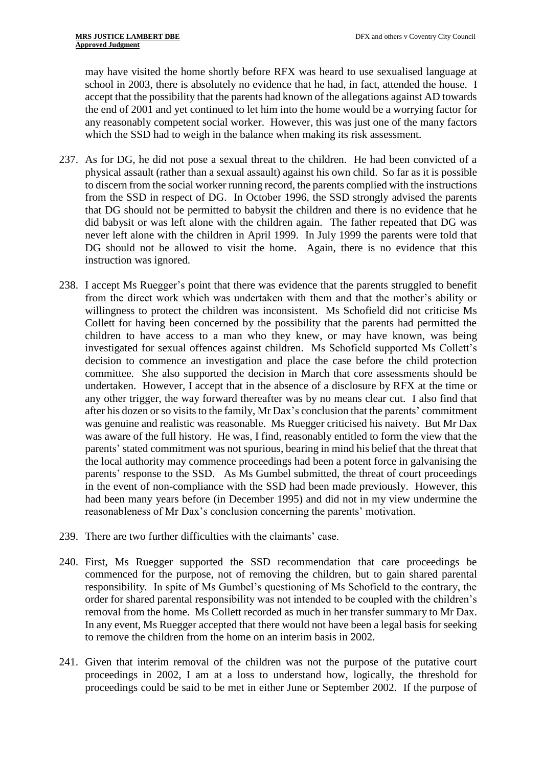may have visited the home shortly before RFX was heard to use sexualised language at school in 2003, there is absolutely no evidence that he had, in fact, attended the house. I accept that the possibility that the parents had known of the allegations against AD towards the end of 2001 and yet continued to let him into the home would be a worrying factor for any reasonably competent social worker. However, this was just one of the many factors which the SSD had to weigh in the balance when making its risk assessment.

- 237. As for DG, he did not pose a sexual threat to the children. He had been convicted of a physical assault (rather than a sexual assault) against his own child. So far as it is possible to discern from the social worker running record, the parents complied with the instructions from the SSD in respect of DG. In October 1996, the SSD strongly advised the parents that DG should not be permitted to babysit the children and there is no evidence that he did babysit or was left alone with the children again. The father repeated that DG was never left alone with the children in April 1999. In July 1999 the parents were told that DG should not be allowed to visit the home. Again, there is no evidence that this instruction was ignored.
- 238. I accept Ms Ruegger's point that there was evidence that the parents struggled to benefit from the direct work which was undertaken with them and that the mother's ability or willingness to protect the children was inconsistent. Ms Schofield did not criticise Ms Collett for having been concerned by the possibility that the parents had permitted the children to have access to a man who they knew, or may have known, was being investigated for sexual offences against children. Ms Schofield supported Ms Collett's decision to commence an investigation and place the case before the child protection committee. She also supported the decision in March that core assessments should be undertaken. However, I accept that in the absence of a disclosure by RFX at the time or any other trigger, the way forward thereafter was by no means clear cut. I also find that after his dozen or so visits to the family, Mr Dax's conclusion that the parents' commitment was genuine and realistic was reasonable. Ms Ruegger criticised his naivety. But Mr Dax was aware of the full history. He was, I find, reasonably entitled to form the view that the parents' stated commitment was not spurious, bearing in mind his belief that the threat that the local authority may commence proceedings had been a potent force in galvanising the parents' response to the SSD. As Ms Gumbel submitted, the threat of court proceedings in the event of non-compliance with the SSD had been made previously. However, this had been many years before (in December 1995) and did not in my view undermine the reasonableness of Mr Dax's conclusion concerning the parents' motivation.
- 239. There are two further difficulties with the claimants' case.
- 240. First, Ms Ruegger supported the SSD recommendation that care proceedings be commenced for the purpose, not of removing the children, but to gain shared parental responsibility. In spite of Ms Gumbel's questioning of Ms Schofield to the contrary, the order for shared parental responsibility was not intended to be coupled with the children's removal from the home. Ms Collett recorded as much in her transfer summary to Mr Dax. In any event, Ms Ruegger accepted that there would not have been a legal basis for seeking to remove the children from the home on an interim basis in 2002.
- 241. Given that interim removal of the children was not the purpose of the putative court proceedings in 2002, I am at a loss to understand how, logically, the threshold for proceedings could be said to be met in either June or September 2002. If the purpose of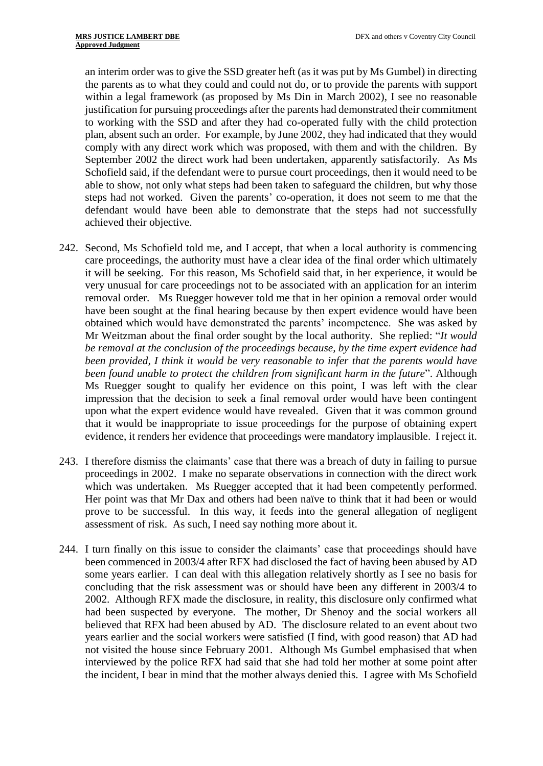an interim order was to give the SSD greater heft (as it was put by Ms Gumbel) in directing the parents as to what they could and could not do, or to provide the parents with support within a legal framework (as proposed by Ms Din in March 2002), I see no reasonable justification for pursuing proceedings after the parents had demonstrated their commitment to working with the SSD and after they had co-operated fully with the child protection plan, absent such an order. For example, by June 2002, they had indicated that they would comply with any direct work which was proposed, with them and with the children. By September 2002 the direct work had been undertaken, apparently satisfactorily. As Ms Schofield said, if the defendant were to pursue court proceedings, then it would need to be able to show, not only what steps had been taken to safeguard the children, but why those steps had not worked. Given the parents' co-operation, it does not seem to me that the defendant would have been able to demonstrate that the steps had not successfully achieved their objective.

- 242. Second, Ms Schofield told me, and I accept, that when a local authority is commencing care proceedings, the authority must have a clear idea of the final order which ultimately it will be seeking. For this reason, Ms Schofield said that, in her experience, it would be very unusual for care proceedings not to be associated with an application for an interim removal order. Ms Ruegger however told me that in her opinion a removal order would have been sought at the final hearing because by then expert evidence would have been obtained which would have demonstrated the parents' incompetence. She was asked by Mr Weitzman about the final order sought by the local authority. She replied: "*It would be removal at the conclusion of the proceedings because, by the time expert evidence had been provided, I think it would be very reasonable to infer that the parents would have been found unable to protect the children from significant harm in the future*". Although Ms Ruegger sought to qualify her evidence on this point, I was left with the clear impression that the decision to seek a final removal order would have been contingent upon what the expert evidence would have revealed. Given that it was common ground that it would be inappropriate to issue proceedings for the purpose of obtaining expert evidence, it renders her evidence that proceedings were mandatory implausible. I reject it.
- 243. I therefore dismiss the claimants' case that there was a breach of duty in failing to pursue proceedings in 2002. I make no separate observations in connection with the direct work which was undertaken. Ms Ruegger accepted that it had been competently performed. Her point was that Mr Dax and others had been naïve to think that it had been or would prove to be successful. In this way, it feeds into the general allegation of negligent assessment of risk. As such, I need say nothing more about it.
- 244. I turn finally on this issue to consider the claimants' case that proceedings should have been commenced in 2003/4 after RFX had disclosed the fact of having been abused by AD some years earlier. I can deal with this allegation relatively shortly as I see no basis for concluding that the risk assessment was or should have been any different in 2003/4 to 2002. Although RFX made the disclosure, in reality, this disclosure only confirmed what had been suspected by everyone. The mother, Dr Shenoy and the social workers all believed that RFX had been abused by AD. The disclosure related to an event about two years earlier and the social workers were satisfied (I find, with good reason) that AD had not visited the house since February 2001. Although Ms Gumbel emphasised that when interviewed by the police RFX had said that she had told her mother at some point after the incident, I bear in mind that the mother always denied this. I agree with Ms Schofield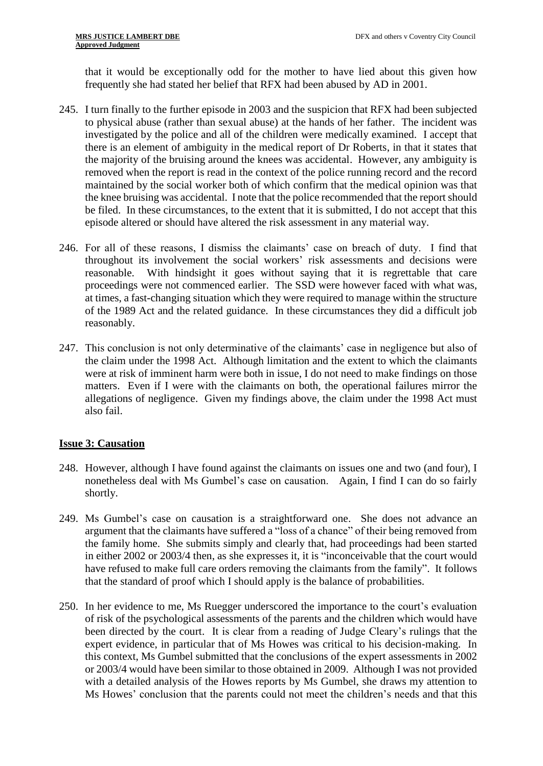that it would be exceptionally odd for the mother to have lied about this given how frequently she had stated her belief that RFX had been abused by AD in 2001.

- 245. I turn finally to the further episode in 2003 and the suspicion that RFX had been subjected to physical abuse (rather than sexual abuse) at the hands of her father. The incident was investigated by the police and all of the children were medically examined. I accept that there is an element of ambiguity in the medical report of Dr Roberts, in that it states that the majority of the bruising around the knees was accidental. However, any ambiguity is removed when the report is read in the context of the police running record and the record maintained by the social worker both of which confirm that the medical opinion was that the knee bruising was accidental. I note that the police recommended that the report should be filed. In these circumstances, to the extent that it is submitted, I do not accept that this episode altered or should have altered the risk assessment in any material way.
- 246. For all of these reasons, I dismiss the claimants' case on breach of duty. I find that throughout its involvement the social workers' risk assessments and decisions were reasonable. With hindsight it goes without saying that it is regrettable that care proceedings were not commenced earlier. The SSD were however faced with what was, at times, a fast-changing situation which they were required to manage within the structure of the 1989 Act and the related guidance. In these circumstances they did a difficult job reasonably.
- 247. This conclusion is not only determinative of the claimants' case in negligence but also of the claim under the 1998 Act. Although limitation and the extent to which the claimants were at risk of imminent harm were both in issue, I do not need to make findings on those matters. Even if I were with the claimants on both, the operational failures mirror the allegations of negligence. Given my findings above, the claim under the 1998 Act must also fail.

# **Issue 3: Causation**

- 248. However, although I have found against the claimants on issues one and two (and four), I nonetheless deal with Ms Gumbel's case on causation. Again, I find I can do so fairly shortly.
- 249. Ms Gumbel's case on causation is a straightforward one. She does not advance an argument that the claimants have suffered a "loss of a chance" of their being removed from the family home. She submits simply and clearly that, had proceedings had been started in either 2002 or 2003/4 then, as she expresses it, it is "inconceivable that the court would have refused to make full care orders removing the claimants from the family". It follows that the standard of proof which I should apply is the balance of probabilities.
- 250. In her evidence to me, Ms Ruegger underscored the importance to the court's evaluation of risk of the psychological assessments of the parents and the children which would have been directed by the court. It is clear from a reading of Judge Cleary's rulings that the expert evidence, in particular that of Ms Howes was critical to his decision-making. In this context, Ms Gumbel submitted that the conclusions of the expert assessments in 2002 or 2003/4 would have been similar to those obtained in 2009. Although I was not provided with a detailed analysis of the Howes reports by Ms Gumbel, she draws my attention to Ms Howes' conclusion that the parents could not meet the children's needs and that this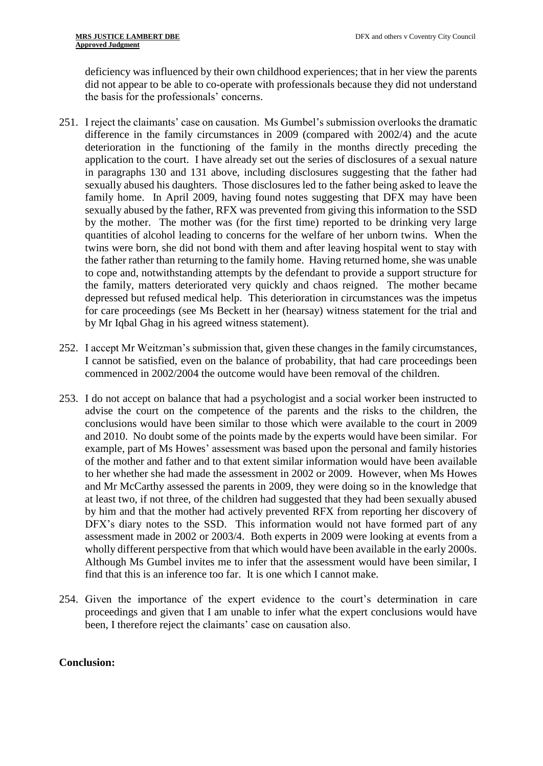deficiency was influenced by their own childhood experiences; that in her view the parents did not appear to be able to co-operate with professionals because they did not understand the basis for the professionals' concerns.

- 251. I reject the claimants' case on causation. Ms Gumbel's submission overlooks the dramatic difference in the family circumstances in 2009 (compared with 2002/4) and the acute deterioration in the functioning of the family in the months directly preceding the application to the court. I have already set out the series of disclosures of a sexual nature in paragraphs 130 and 131 above, including disclosures suggesting that the father had sexually abused his daughters. Those disclosures led to the father being asked to leave the family home. In April 2009, having found notes suggesting that DFX may have been sexually abused by the father, RFX was prevented from giving this information to the SSD by the mother. The mother was (for the first time) reported to be drinking very large quantities of alcohol leading to concerns for the welfare of her unborn twins. When the twins were born, she did not bond with them and after leaving hospital went to stay with the father rather than returning to the family home. Having returned home, she was unable to cope and, notwithstanding attempts by the defendant to provide a support structure for the family, matters deteriorated very quickly and chaos reigned. The mother became depressed but refused medical help. This deterioration in circumstances was the impetus for care proceedings (see Ms Beckett in her (hearsay) witness statement for the trial and by Mr Iqbal Ghag in his agreed witness statement).
- 252. I accept Mr Weitzman's submission that, given these changes in the family circumstances, I cannot be satisfied, even on the balance of probability, that had care proceedings been commenced in 2002/2004 the outcome would have been removal of the children.
- 253. I do not accept on balance that had a psychologist and a social worker been instructed to advise the court on the competence of the parents and the risks to the children, the conclusions would have been similar to those which were available to the court in 2009 and 2010. No doubt some of the points made by the experts would have been similar. For example, part of Ms Howes' assessment was based upon the personal and family histories of the mother and father and to that extent similar information would have been available to her whether she had made the assessment in 2002 or 2009. However, when Ms Howes and Mr McCarthy assessed the parents in 2009, they were doing so in the knowledge that at least two, if not three, of the children had suggested that they had been sexually abused by him and that the mother had actively prevented RFX from reporting her discovery of DFX's diary notes to the SSD. This information would not have formed part of any assessment made in 2002 or 2003/4. Both experts in 2009 were looking at events from a wholly different perspective from that which would have been available in the early 2000s. Although Ms Gumbel invites me to infer that the assessment would have been similar, I find that this is an inference too far. It is one which I cannot make.
- 254. Given the importance of the expert evidence to the court's determination in care proceedings and given that I am unable to infer what the expert conclusions would have been, I therefore reject the claimants' case on causation also.

# **Conclusion:**